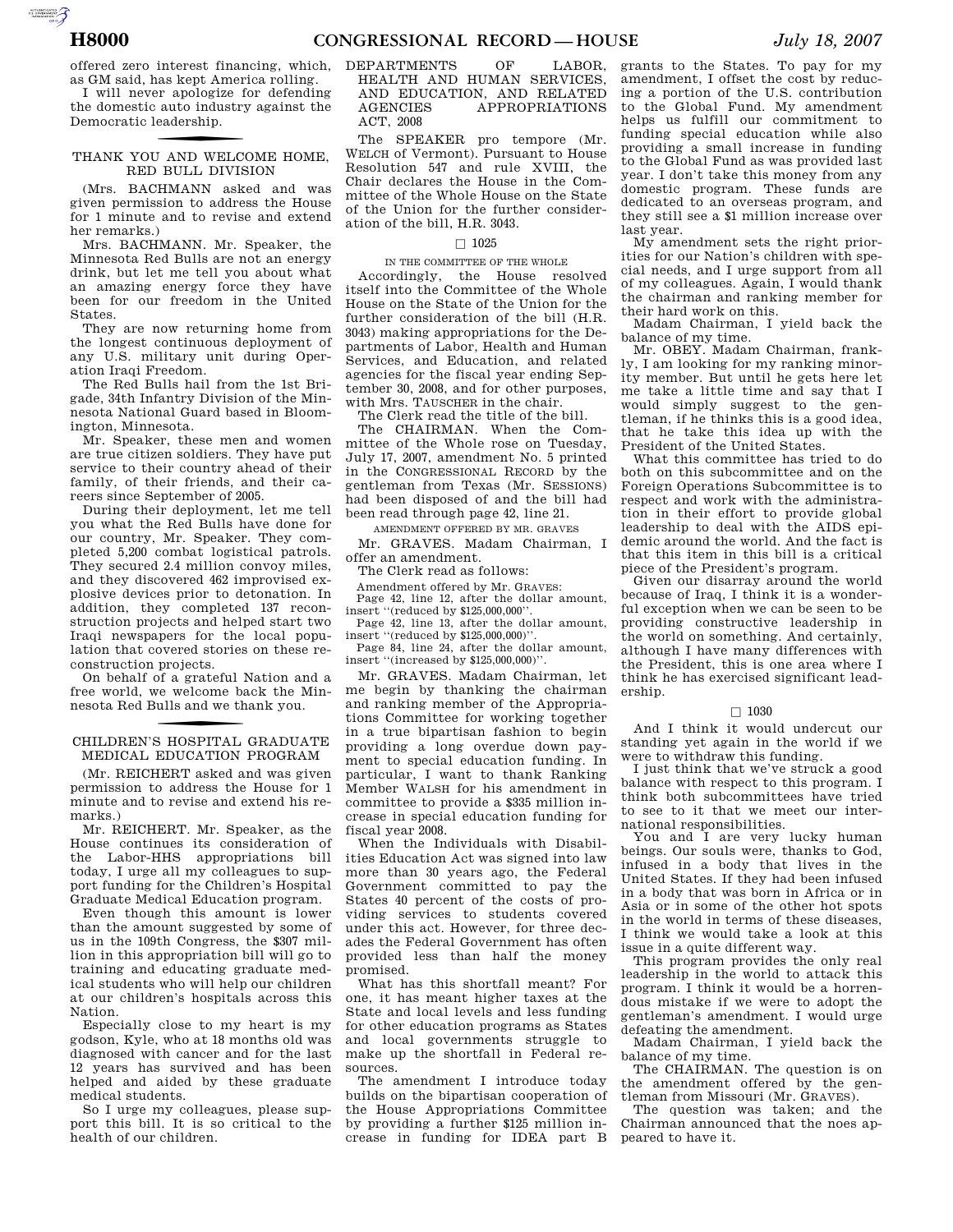offered zero interest financing, which, as GM said, has kept America rolling.

I will never apologize for defending the domestic auto industry against the Democratic leadership.

# THANK YOU AND WELCOME HOME, RED BULL DIVISION

(Mrs. BACHMANN asked and was given permission to address the House for 1 minute and to revise and extend her remarks.)

Mrs. BACHMANN. Mr. Speaker, the Minnesota Red Bulls are not an energy drink, but let me tell you about what an amazing energy force they have been for our freedom in the United States.

They are now returning home from the longest continuous deployment of any U.S. military unit during Operation Iraqi Freedom.

The Red Bulls hail from the 1st Brigade, 34th Infantry Division of the Minnesota National Guard based in Bloomington, Minnesota.

Mr. Speaker, these men and women are true citizen soldiers. They have put service to their country ahead of their family, of their friends, and their careers since September of 2005.

During their deployment, let me tell you what the Red Bulls have done for our country, Mr. Speaker. They completed 5,200 combat logistical patrols. They secured 2.4 million convoy miles, and they discovered 462 improvised explosive devices prior to detonation. In addition, they completed 137 reconstruction projects and helped start two Iraqi newspapers for the local population that covered stories on these reconstruction projects.

On behalf of a grateful Nation and a free world, we welcome back the Minnesota Red Bulls and we thank you.

# CHILDREN'S HOSPITAL GRADUATE MEDICAL EDUCATION PROGRAM

(Mr. REICHERT asked and was given permission to address the House for 1 minute and to revise and extend his remarks.)

Mr. REICHERT. Mr. Speaker, as the House continues its consideration of the Labor-HHS appropriations bill today, I urge all my colleagues to support funding for the Children's Hospital Graduate Medical Education program.

Even though this amount is lower than the amount suggested by some of us in the 109th Congress, the \$307 million in this appropriation bill will go to training and educating graduate medical students who will help our children at our children's hospitals across this Nation.

Especially close to my heart is my godson, Kyle, who at 18 months old was diagnosed with cancer and for the last 12 years has survived and has been helped and aided by these graduate medical students.

So I urge my colleagues, please support this bill. It is so critical to the health of our children.

## DEPARTMENTS OF LABOR, HEALTH AND HUMAN SERVICES, AND EDUCATION, AND RELATED AGENCIES APPROPRIATIONS ACT, 2008

The SPEAKER pro tempore (Mr. WELCH of Vermont). Pursuant to House Resolution 547 and rule XVIII, the Chair declares the House in the Committee of the Whole House on the State of the Union for the further consideration of the bill, H.R. 3043.

## $\Box$  1025

### IN THE COMMITTEE OF THE WHOLE

Accordingly, the House resolved itself into the Committee of the Whole House on the State of the Union for the further consideration of the bill (H.R. 3043) making appropriations for the Departments of Labor, Health and Human Services, and Education, and related agencies for the fiscal year ending September 30, 2008, and for other purposes, with Mrs. TAUSCHER in the chair.

The Clerk read the title of the bill.

The CHAIRMAN. When the Committee of the Whole rose on Tuesday, July 17, 2007, amendment No. 5 printed in the CONGRESSIONAL RECORD by the gentleman from Texas (Mr. SESSIONS) had been disposed of and the bill had been read through page 42, line 21.

AMENDMENT OFFERED BY MR. GRAVES

Mr. GRAVES. Madam Chairman, I offer an amendment.

The Clerk read as follows:

Amendment offered by Mr. GRAVES:

Page 42, line 12, after the dollar amount, insert ''(reduced by \$125,000,000''.

Page 42, line 13, after the dollar amount, insert ''(reduced by \$125,000,000)''.

Page 84, line 24, after the dollar amount, insert ''(increased by \$125,000,000)''.

Mr. GRAVES. Madam Chairman, let me begin by thanking the chairman and ranking member of the Appropriations Committee for working together in a true bipartisan fashion to begin providing a long overdue down payment to special education funding. In particular, I want to thank Ranking Member WALSH for his amendment in committee to provide a \$335 million increase in special education funding for fiscal year 2008.

When the Individuals with Disabilities Education Act was signed into law more than 30 years ago, the Federal Government committed to pay the States 40 percent of the costs of providing services to students covered under this act. However, for three decades the Federal Government has often provided less than half the money promised.

What has this shortfall meant? For one, it has meant higher taxes at the State and local levels and less funding for other education programs as States and local governments struggle to make up the shortfall in Federal resources.

The amendment I introduce today builds on the bipartisan cooperation of the House Appropriations Committee by providing a further \$125 million increase in funding for IDEA part B

grants to the States. To pay for my amendment, I offset the cost by reducing a portion of the U.S. contribution to the Global Fund. My amendment helps us fulfill our commitment to funding special education while also providing a small increase in funding to the Global Fund as was provided last year. I don't take this money from any domestic program. These funds are dedicated to an overseas program, and they still see a \$1 million increase over last year.

My amendment sets the right priorities for our Nation's children with special needs, and I urge support from all of my colleagues. Again, I would thank the chairman and ranking member for their hard work on this.

Madam Chairman, I yield back the balance of my time.

Mr. OBEY. Madam Chairman, frankly, I am looking for my ranking minority member. But until he gets here let me take a little time and say that I would simply suggest to the gentleman, if he thinks this is a good idea, that he take this idea up with the President of the United States.

What this committee has tried to do both on this subcommittee and on the Foreign Operations Subcommittee is to respect and work with the administration in their effort to provide global leadership to deal with the AIDS epidemic around the world. And the fact is that this item in this bill is a critical piece of the President's program.

Given our disarray around the world because of Iraq, I think it is a wonderful exception when we can be seen to be providing constructive leadership in the world on something. And certainly, although I have many differences with the President, this is one area where I think he has exercised significant leadership.

## $\Box$  1030

And I think it would undercut our standing yet again in the world if we were to withdraw this funding.

I just think that we've struck a good balance with respect to this program. I think both subcommittees have tried to see to it that we meet our international responsibilities.

You and I are very lucky human beings. Our souls were, thanks to God, infused in a body that lives in the United States. If they had been infused in a body that was born in Africa or in Asia or in some of the other hot spots in the world in terms of these diseases, I think we would take a look at this issue in a quite different way.

This program provides the only real leadership in the world to attack this program. I think it would be a horrendous mistake if we were to adopt the gentleman's amendment. I would urge defeating the amendment.

Madam Chairman, I yield back the balance of my time.

The CHAIRMAN. The question is on the amendment offered by the gentleman from Missouri (Mr. GRAVES).

The question was taken; and the Chairman announced that the noes appeared to have it.

AUTOROTOMICALE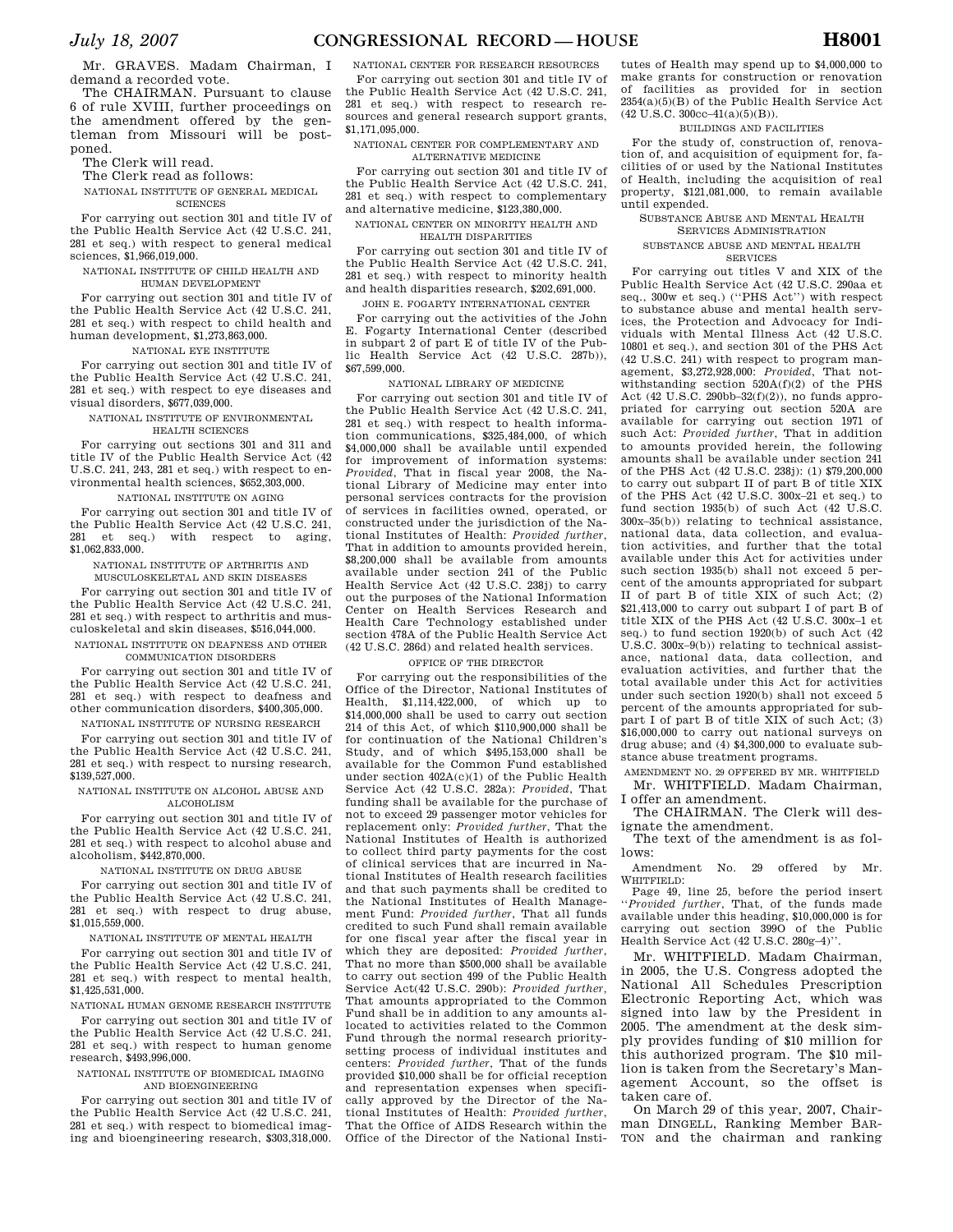Mr. GRAVES. Madam Chairman, I demand a recorded vote.

The CHAIRMAN. Pursuant to clause 6 of rule XVIII, further proceedings on the amendment offered by the gentleman from Missouri will be postponed.

The Clerk will read.

The Clerk read as follows:

NATIONAL INSTITUTE OF GENERAL MEDICAL **SCIENCES** 

For carrying out section 301 and title IV of the Public Health Service Act (42 U.S.C. 241, 281 et seq.) with respect to general medical sciences, \$1,966,019,000.

NATIONAL INSTITUTE OF CHILD HEALTH AND HUMAN DEVELOPMENT

For carrying out section 301 and title IV of the Public Health Service Act (42 U.S.C. 241, 281 et seq.) with respect to child health and human development, \$1,273,863,000.

NATIONAL EYE INSTITUTE

For carrying out section 301 and title IV of the Public Health Service Act (42 U.S.C. 241, 281 et seq.) with respect to eye diseases and visual disorders, \$677,039,000.

NATIONAL INSTITUTE OF ENVIRONMENTAL HEALTH SCIENCES

For carrying out sections 301 and 311 and title IV of the Public Health Service Act (42

U.S.C. 241, 243, 281 et seq.) with respect to environmental health sciences, \$652,303,000. NATIONAL INSTITUTE ON AGING

For carrying out section 301 and title IV of the Public Health Service Act (42 U.S.C. 241, 281 et seq.) with respect to aging, \$1,062,833,000.

NATIONAL INSTITUTE OF ARTHRITIS AND MUSCULOSKELETAL AND SKIN DISEASES

For carrying out section 301 and title IV of the Public Health Service Act (42 U.S.C. 241, 281 et seq.) with respect to arthritis and musculoskeletal and skin diseases, \$516,044,000. NATIONAL INSTITUTE ON DEAFNESS AND OTHER

COMMUNICATION DISORDERS

For carrying out section 301 and title IV of the Public Health Service Act (42 U.S.C. 241, 281 et seq.) with respect to deafness and other communication disorders, \$400,305,000.

NATIONAL INSTITUTE OF NURSING RESEARCH

For carrying out section 301 and title IV of the Public Health Service Act (42 U.S.C. 241, 281 et seq.) with respect to nursing research, \$139,527,000.

NATIONAL INSTITUTE ON ALCOHOL ABUSE AND ALCOHOLISM

For carrying out section 301 and title IV of the Public Health Service Act (42 U.S.C. 241, 281 et seq.) with respect to alcohol abuse and alcoholism, \$442,870,000.

NATIONAL INSTITUTE ON DRUG ABUSE

For carrying out section 301 and title IV of the Public Health Service Act (42 U.S.C. 241, 281 et seq.) with respect to drug abuse, \$1,015,559,000.

NATIONAL INSTITUTE OF MENTAL HEALTH

For carrying out section 301 and title IV of the Public Health Service Act (42 U.S.C. 241, 281 et seq.) with respect to mental health, \$1,425,531,000.

NATIONAL HUMAN GENOME RESEARCH INSTITUTE For carrying out section 301 and title IV of the Public Health Service Act (42 U.S.C. 241, 281 et seq.) with respect to human genome research, \$493,996,000.

NATIONAL INSTITUTE OF BIOMEDICAL IMAGING AND BIOENGINEERING

For carrying out section 301 and title IV of the Public Health Service Act (42 U.S.C. 241, 281 et seq.) with respect to biomedical imaging and bioengineering research, \$303,318,000.

NATIONAL CENTER FOR RESEARCH RESOURCES For carrying out section 301 and title IV of the Public Health Service Act (42 U.S.C. 241, 281 et seq.) with respect to research resources and general research support grants, \$1,171,095,000.

NATIONAL CENTER FOR COMPLEMENTARY AND ALTERNATIVE MEDICINE

For carrying out section 301 and title IV of the Public Health Service Act (42 U.S.C. 241, 281 et seq.) with respect to complementary and alternative medicine, \$123,380,000.

NATIONAL CENTER ON MINORITY HEALTH AND HEALTH DISPARITIES

For carrying out section 301 and title IV of the Public Health Service Act (42 U.S.C. 241, 281 et seq.) with respect to minority health and health disparities research, \$202,691,000.

JOHN E. FOGARTY INTERNATIONAL CENTER

For carrying out the activities of the John E. Fogarty International Center (described in subpart 2 of part E of title IV of the Public Health Service Act (42 U.S.C. 287b)), \$67,599,000.

NATIONAL LIBRARY OF MEDICINE

For carrying out section 301 and title IV of the Public Health Service Act (42 U.S.C. 241, 281 et seq.) with respect to health information communications, \$325,484,000, of which \$4,000,000 shall be available until expended for improvement of information systems: *Provided*, That in fiscal year 2008, the National Library of Medicine may enter into personal services contracts for the provision of services in facilities owned, operated, or constructed under the jurisdiction of the National Institutes of Health: *Provided further*, That in addition to amounts provided herein, \$8,200,000 shall be available from amounts available under section 241 of the Public Health Service Act (42 U.S.C. 238j) to carry out the purposes of the National Information Center on Health Services Research and Health Care Technology established under section 478A of the Public Health Service Act (42 U.S.C. 286d) and related health services.

## OFFICE OF THE DIRECTOR

For carrying out the responsibilities of the Office of the Director, National Institutes of Health, \$1,114,422,000, of which up to \$14,000,000 shall be used to carry out section 214 of this Act, of which \$110,900,000 shall be for continuation of the National Children's Study, and of which \$495,153,000 shall be available for the Common Fund established under section 402A(c)(1) of the Public Health Service Act (42 U.S.C. 282a): *Provided*, That funding shall be available for the purchase of not to exceed 29 passenger motor vehicles for replacement only: *Provided further*, That the National Institutes of Health is authorized to collect third party payments for the cost of clinical services that are incurred in National Institutes of Health research facilities and that such payments shall be credited to the National Institutes of Health Management Fund: *Provided further*, That all funds credited to such Fund shall remain available for one fiscal year after the fiscal year in which they are deposited: *Provided further*, That no more than \$500,000 shall be available to carry out section 499 of the Public Health Service Act(42 U.S.C. 290b): *Provided further,*  That amounts appropriated to the Common Fund shall be in addition to any amounts allocated to activities related to the Common Fund through the normal research prioritysetting process of individual institutes and centers: *Provided further*, That of the funds provided \$10,000 shall be for official reception and representation expenses when specifically approved by the Director of the National Institutes of Health: *Provided further*, That the Office of AIDS Research within the Office of the Director of the National Insti-

tutes of Health may spend up to \$4,000,000 to make grants for construction or renovation of facilities as provided for in section 2354(a)(5)(B) of the Public Health Service Act  $(42 \text{ U.S.C. } 300 \text{cc} - 41(a)(5)(B)).$ 

## BUILDINGS AND FACILITIES

For the study of, construction of, renovation of, and acquisition of equipment for, facilities of or used by the National Institutes of Health, including the acquisition of real property, \$121,081,000, to remain available until expended.

SUBSTANCE ABUSE AND MENTAL HEALTH SERVICES ADMINISTRATION

SUBSTANCE ABUSE AND MENTAL HEALTH

SERVICES

For carrying out titles V and XIX of the Public Health Service Act (42 U.S.C. 290aa et seq., 300w et seq.) ("PHS Act") with respect to substance abuse and mental health services, the Protection and Advocacy for Individuals with Mental Illness Act (42 U.S.C. 10801 et seq.), and section 301 of the PHS Act (42 U.S.C. 241) with respect to program management, \$3,272,928,000: *Provided*, That notwithstanding section 520A(f)(2) of the PHS Act (42 U.S.C. 290bb–32(f)(2)), no funds appropriated for carrying out section 520A are available for carrying out section 1971 of such Act: *Provided further*, That in addition to amounts provided herein, the following amounts shall be available under section 241 of the PHS Act (42 U.S.C. 238j): (1) \$79,200,000 to carry out subpart II of part B of title XIX of the PHS Act (42 U.S.C. 300x–21 et seq.) to fund section 1935(b) of such Act (42 U.S.C. 300x–35(b)) relating to technical assistance, national data, data collection, and evaluation activities, and further that the total available under this Act for activities under such section 1935(b) shall not exceed 5 percent of the amounts appropriated for subpart II of part B of title XIX of such Act; (2) \$21,413,000 to carry out subpart I of part B of title XIX of the PHS Act (42 U.S.C. 300x–1 et seq.) to fund section 1920(b) of such Act (42 U.S.C. 300x–9(b)) relating to technical assistance, national data, data collection, and evaluation activities, and further that the total available under this Act for activities under such section 1920(b) shall not exceed 5 percent of the amounts appropriated for subpart I of part B of title XIX of such Act; (3) \$16,000,000 to carry out national surveys on drug abuse; and (4) \$4,300,000 to evaluate substance abuse treatment programs.

AMENDMENT NO. 29 OFFERED BY MR. WHITFIELD Mr. WHITFIELD. Madam Chairman,

I offer an amendment. The CHAIRMAN. The Clerk will designate the amendment.

The text of the amendment is as follows:

Amendment No. 29 offered by Mr. WHITFIELD:

Page 49, line 25, before the period insert ''*Provided further*, That, of the funds made available under this heading, \$10,000,000 is for carrying out section 399O of the Public Health Service Act (42 U.S.C. 280g–4)''.

Mr. WHITFIELD. Madam Chairman, in 2005, the U.S. Congress adopted the National All Schedules Prescription Electronic Reporting Act, which was signed into law by the President in 2005. The amendment at the desk simply provides funding of \$10 million for this authorized program. The \$10 million is taken from the Secretary's Management Account, so the offset is taken care of.

On March 29 of this year, 2007, Chairman DINGELL, Ranking Member BAR-TON and the chairman and ranking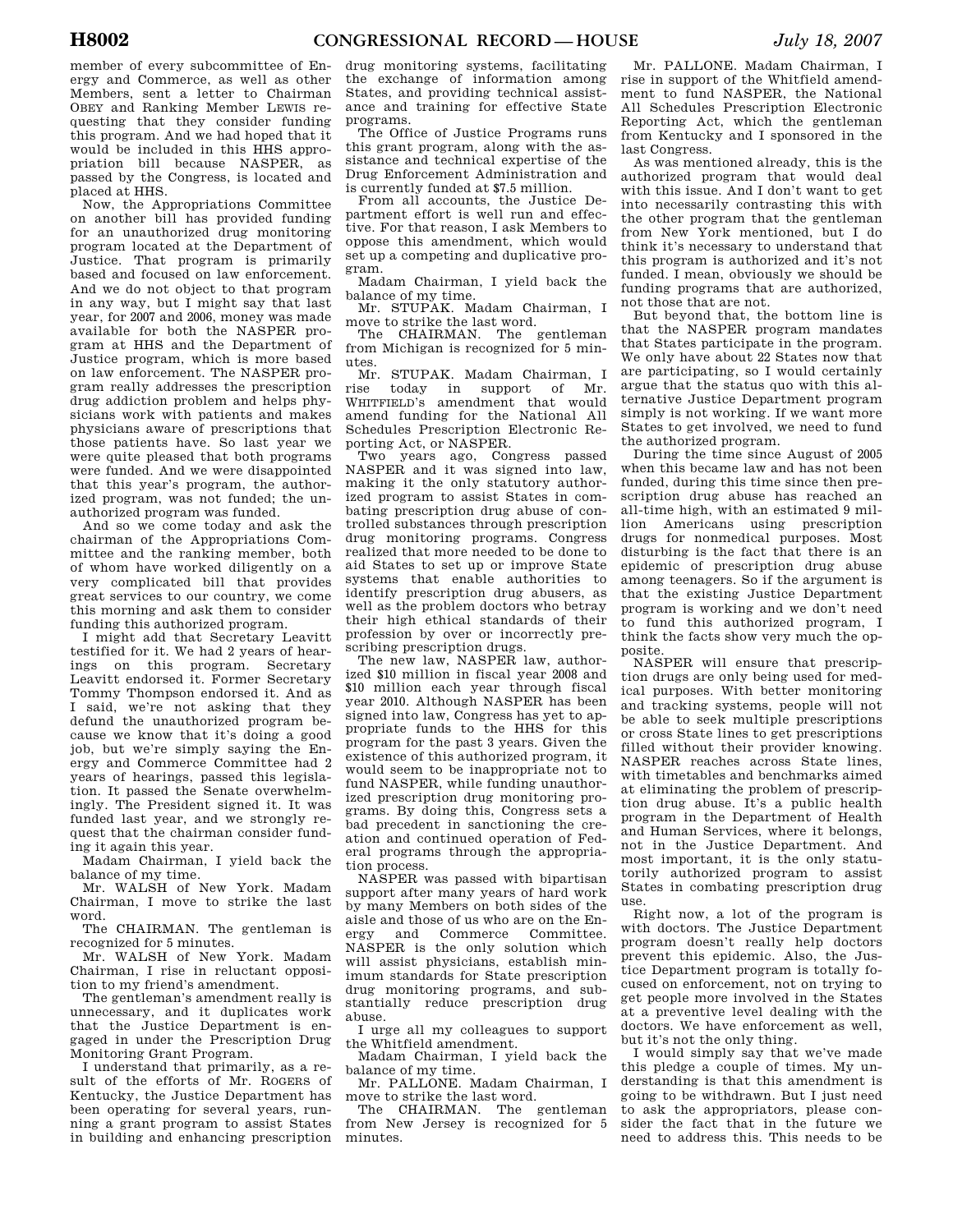member of every subcommittee of Energy and Commerce, as well as other Members, sent a letter to Chairman OBEY and Ranking Member LEWIS requesting that they consider funding this program. And we had hoped that it would be included in this HHS appropriation bill because NASPER, as passed by the Congress, is located and placed at HHS.

Now, the Appropriations Committee on another bill has provided funding for an unauthorized drug monitoring program located at the Department of Justice. That program is primarily based and focused on law enforcement. And we do not object to that program in any way, but I might say that last year, for 2007 and 2006, money was made available for both the NASPER program at HHS and the Department of Justice program, which is more based on law enforcement. The NASPER program really addresses the prescription drug addiction problem and helps physicians work with patients and makes physicians aware of prescriptions that those patients have. So last year we were quite pleased that both programs were funded. And we were disappointed that this year's program, the authorized program, was not funded; the unauthorized program was funded.

And so we come today and ask the chairman of the Appropriations Committee and the ranking member, both of whom have worked diligently on a very complicated bill that provides great services to our country, we come this morning and ask them to consider funding this authorized program.

I might add that Secretary Leavitt testified for it. We had 2 years of hearings on this program. Secretary Leavitt endorsed it. Former Secretary Tommy Thompson endorsed it. And as I said, we're not asking that they defund the unauthorized program because we know that it's doing a good job, but we're simply saying the Energy and Commerce Committee had 2 years of hearings, passed this legislation. It passed the Senate overwhelmingly. The President signed it. It was funded last year, and we strongly request that the chairman consider funding it again this year.

Madam Chairman, I yield back the balance of my time.

Mr. WALSH of New York. Madam Chairman, I move to strike the last word.

The CHAIRMAN. The gentleman is recognized for 5 minutes.

Mr. WALSH of New York. Madam Chairman, I rise in reluctant opposition to my friend's amendment.

The gentleman's amendment really is unnecessary, and it duplicates work that the Justice Department is engaged in under the Prescription Drug Monitoring Grant Program.

I understand that primarily, as a result of the efforts of Mr. ROGERS of Kentucky, the Justice Department has been operating for several years, running a grant program to assist States in building and enhancing prescription

drug monitoring systems, facilitating the exchange of information among States, and providing technical assistance and training for effective State programs.

The Office of Justice Programs runs this grant program, along with the assistance and technical expertise of the Drug Enforcement Administration and is currently funded at \$7.5 million.

From all accounts, the Justice Department effort is well run and effective. For that reason, I ask Members to oppose this amendment, which would set up a competing and duplicative program.

Madam Chairman, I yield back the balance of my time.

Mr. STUPAK. Madam Chairman, I move to strike the last word.

The CHAIRMAN. The gentleman from Michigan is recognized for 5 minutes.

Mr. STUPAK. Madam Chairman, I rise today in support of Mr. WHITFIELD's amendment that would amend funding for the National All Schedules Prescription Electronic Reporting Act, or NASPER.

Two years ago, Congress passed NASPER and it was signed into law, making it the only statutory authorized program to assist States in combating prescription drug abuse of controlled substances through prescription drug monitoring programs. Congress realized that more needed to be done to aid States to set up or improve State systems that enable authorities to identify prescription drug abusers, as well as the problem doctors who betray their high ethical standards of their profession by over or incorrectly prescribing prescription drugs.

The new law, NASPER law, authorized \$10 million in fiscal year 2008 and \$10 million each year through fiscal year 2010. Although NASPER has been signed into law, Congress has yet to appropriate funds to the HHS for this program for the past 3 years. Given the existence of this authorized program, it would seem to be inappropriate not to fund NASPER, while funding unauthorized prescription drug monitoring programs. By doing this, Congress sets a bad precedent in sanctioning the creation and continued operation of Federal programs through the appropriation process.

NASPER was passed with bipartisan support after many years of hard work by many Members on both sides of the aisle and those of us who are on the Energy and Commerce Committee. NASPER is the only solution which will assist physicians, establish minimum standards for State prescription drug monitoring programs, and substantially reduce prescription drug abuse.

I urge all my colleagues to support the Whitfield amendment.

Madam Chairman, I yield back the balance of my time.

Mr. PALLONE. Madam Chairman, I move to strike the last word.

The CHAIRMAN. The gentleman from New Jersey is recognized for 5 minutes.

Mr. PALLONE. Madam Chairman, I rise in support of the Whitfield amendment to fund NASPER, the National All Schedules Prescription Electronic Reporting Act, which the gentleman from Kentucky and I sponsored in the last Congress.

As was mentioned already, this is the authorized program that would deal with this issue. And I don't want to get into necessarily contrasting this with the other program that the gentleman from New York mentioned, but I do think it's necessary to understand that this program is authorized and it's not funded. I mean, obviously we should be funding programs that are authorized, not those that are not.

But beyond that, the bottom line is that the NASPER program mandates that States participate in the program. We only have about 22 States now that are participating, so I would certainly argue that the status quo with this alternative Justice Department program simply is not working. If we want more States to get involved, we need to fund the authorized program.

During the time since August of 2005 when this became law and has not been funded, during this time since then prescription drug abuse has reached an all-time high, with an estimated 9 million Americans using prescription drugs for nonmedical purposes. Most disturbing is the fact that there is an epidemic of prescription drug abuse among teenagers. So if the argument is that the existing Justice Department program is working and we don't need to fund this authorized program, I think the facts show very much the opposite.

NASPER will ensure that prescription drugs are only being used for medical purposes. With better monitoring and tracking systems, people will not be able to seek multiple prescriptions or cross State lines to get prescriptions filled without their provider knowing. NASPER reaches across State lines, with timetables and benchmarks aimed at eliminating the problem of prescription drug abuse. It's a public health program in the Department of Health and Human Services, where it belongs, not in the Justice Department. And most important, it is the only statutorily authorized program to assist States in combating prescription drug use.

Right now, a lot of the program is with doctors. The Justice Department program doesn't really help doctors prevent this epidemic. Also, the Justice Department program is totally focused on enforcement, not on trying to get people more involved in the States at a preventive level dealing with the doctors. We have enforcement as well, but it's not the only thing.

I would simply say that we've made this pledge a couple of times. My understanding is that this amendment is going to be withdrawn. But I just need to ask the appropriators, please consider the fact that in the future we need to address this. This needs to be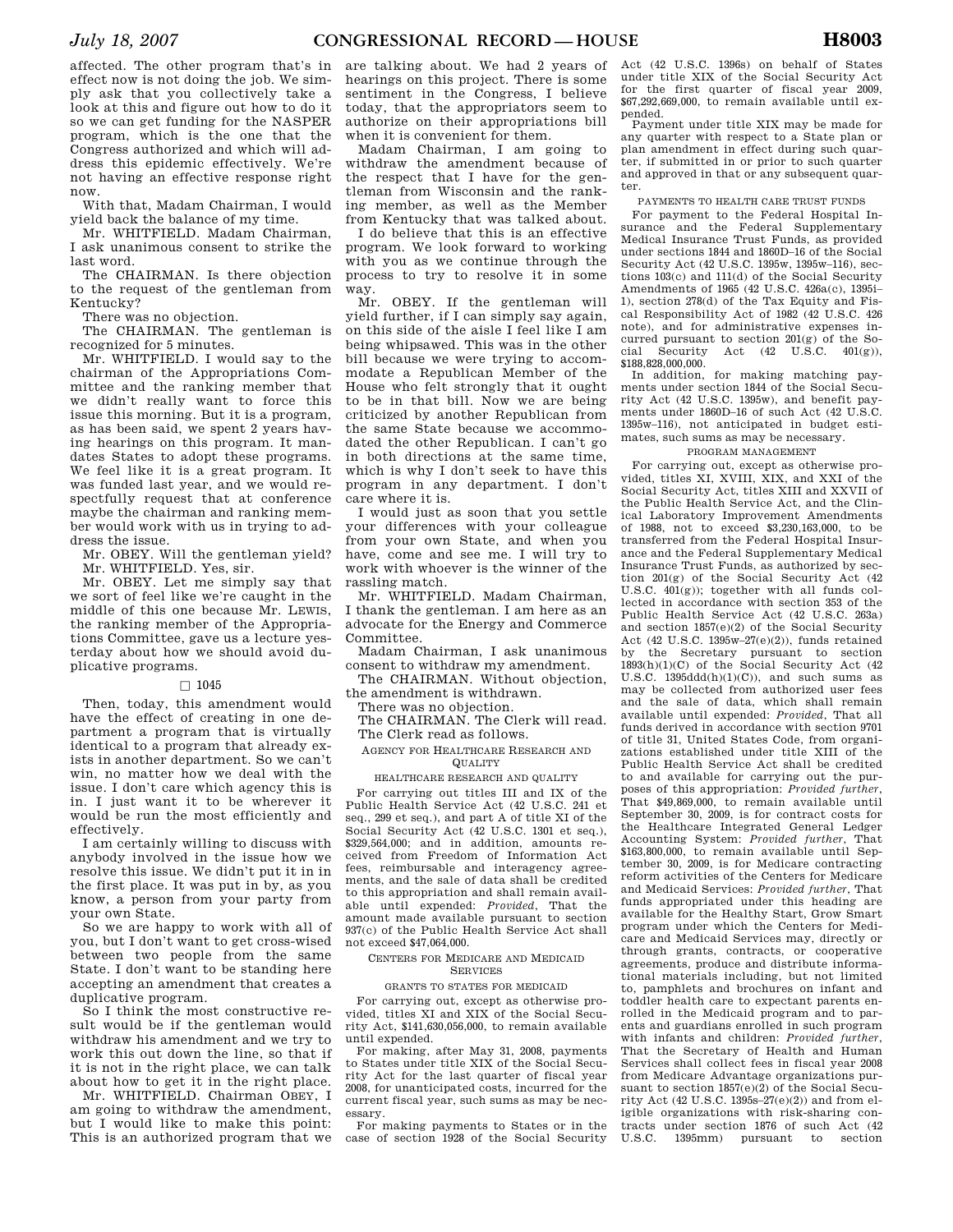affected. The other program that's in effect now is not doing the job. We simply ask that you collectively take a look at this and figure out how to do it so we can get funding for the NASPER program, which is the one that the Congress authorized and which will address this epidemic effectively. We're not having an effective response right now.

With that, Madam Chairman, I would yield back the balance of my time.

Mr. WHITFIELD. Madam Chairman, I ask unanimous consent to strike the last word.

The CHAIRMAN. Is there objection to the request of the gentleman from Kentucky?

There was no objection.

The CHAIRMAN. The gentleman is recognized for 5 minutes.

Mr. WHITFIELD. I would say to the chairman of the Appropriations Committee and the ranking member that we didn't really want to force this issue this morning. But it is a program, as has been said, we spent 2 years having hearings on this program. It mandates States to adopt these programs. We feel like it is a great program. It was funded last year, and we would respectfully request that at conference maybe the chairman and ranking member would work with us in trying to address the issue.

Mr. OBEY. Will the gentleman yield? Mr. WHITFIELD. Yes, sir.

Mr. OBEY. Let me simply say that we sort of feel like we're caught in the middle of this one because Mr. LEWIS, the ranking member of the Appropriations Committee, gave us a lecture yesterday about how we should avoid duplicative programs.

#### $\Box$  1045

Then, today, this amendment would have the effect of creating in one department a program that is virtually identical to a program that already exists in another department. So we can't win, no matter how we deal with the issue. I don't care which agency this is in. I just want it to be wherever it would be run the most efficiently and effectively.

I am certainly willing to discuss with anybody involved in the issue how we resolve this issue. We didn't put it in in the first place. It was put in by, as you know, a person from your party from your own State.

So we are happy to work with all of you, but I don't want to get cross-wised between two people from the same State. I don't want to be standing here accepting an amendment that creates a duplicative program.

So I think the most constructive result would be if the gentleman would withdraw his amendment and we try to work this out down the line, so that if it is not in the right place, we can talk about how to get it in the right place.

Mr. WHITFIELD. Chairman OBEY, I am going to withdraw the amendment, but I would like to make this point: This is an authorized program that we

are talking about. We had 2 years of hearings on this project. There is some sentiment in the Congress, I believe today, that the appropriators seem to authorize on their appropriations bill when it is convenient for them.

Madam Chairman, I am going to withdraw the amendment because of the respect that I have for the gentleman from Wisconsin and the ranking member, as well as the Member from Kentucky that was talked about.

I do believe that this is an effective program. We look forward to working with you as we continue through the process to try to resolve it in some way.

Mr. OBEY. If the gentleman will yield further, if I can simply say again, on this side of the aisle I feel like I am being whipsawed. This was in the other bill because we were trying to accommodate a Republican Member of the House who felt strongly that it ought to be in that bill. Now we are being criticized by another Republican from the same State because we accommodated the other Republican. I can't go in both directions at the same time, which is why I don't seek to have this program in any department. I don't care where it is.

I would just as soon that you settle your differences with your colleague from your own State, and when you have, come and see me. I will try to work with whoever is the winner of the rassling match.

Mr. WHITFIELD. Madam Chairman, I thank the gentleman. I am here as an advocate for the Energy and Commerce Committee.

Madam Chairman, I ask unanimous consent to withdraw my amendment.

The CHAIRMAN. Without objection, the amendment is withdrawn.

There was no objection.

The CHAIRMAN. The Clerk will read. The Clerk read as follows.

AGENCY FOR HEALTHCARE RESEARCH AND QUALITY

HEALTHCARE RESEARCH AND QUALITY

For carrying out titles III and IX of the Public Health Service Act (42 U.S.C. 241 et seq., 299 et seq.), and part A of title XI of the Social Security Act (42 U.S.C. 1301 et seq.), \$329,564,000; and in addition, amounts received from Freedom of Information Act fees, reimbursable and interagency agreements, and the sale of data shall be credited to this appropriation and shall remain available until expended: *Provided*, That the amount made available pursuant to section 937(c) of the Public Health Service Act shall not exceed \$47,064,000.

#### CENTERS FOR MEDICARE AND MEDICAID SERVICES

#### GRANTS TO STATES FOR MEDICAID

For carrying out, except as otherwise provided, titles XI and XIX of the Social Security Act, \$141,630,056,000, to remain available until expended.

For making, after May 31, 2008, payments to States under title XIX of the Social Security Act for the last quarter of fiscal year 2008, for unanticipated costs, incurred for the current fiscal year, such sums as may be necessary.

For making payments to States or in the case of section 1928 of the Social Security

Act (42 U.S.C. 1396s) on behalf of States under title XIX of the Social Security Act for the first quarter of fiscal year 2009, \$67,292,669,000, to remain available until expended.

Payment under title XIX may be made for any quarter with respect to a State plan or plan amendment in effect during such quarter, if submitted in or prior to such quarter and approved in that or any subsequent quarter.

#### PAYMENTS TO HEALTH CARE TRUST FUNDS

For payment to the Federal Hospital Insurance and the Federal Supplementary Medical Insurance Trust Funds, as provided under sections 1844 and 1860D–16 of the Social Security Act (42 U.S.C. 1395w, 1395w–116), sections 103(c) and 111(d) of the Social Security Amendments of 1965 (42 U.S.C. 426a(c), 1395i– 1), section 278(d) of the Tax Equity and Fiscal Responsibility Act of 1982 (42 U.S.C. 426 note), and for administrative expenses incurred pursuant to section 201(g) of the Social Security Act (42 U.S.C. 401(g)), \$188,828,000,000.

In addition, for making matching payments under section 1844 of the Social Security Act (42 U.S.C. 1395w), and benefit payments under 1860D–16 of such Act (42 U.S.C. 1395w–116), not anticipated in budget estimates, such sums as may be necessary.

#### PROGRAM MANAGEMENT

For carrying out, except as otherwise provided, titles XI, XVIII, XIX, and XXI of the Social Security Act, titles XIII and XXVII of the Public Health Service Act, and the Clinical Laboratory Improvement Amendments of 1988, not to exceed \$3,230,163,000, to be transferred from the Federal Hospital Insurance and the Federal Supplementary Medical Insurance Trust Funds, as authorized by section 201(g) of the Social Security Act (42 U.S.C. 401(g)); together with all funds collected in accordance with section 353 of the Public Health Service Act (42 U.S.C. 263a) and section 1857(e)(2) of the Social Security Act (42 U.S.C. 1395w–27(e)(2)), funds retained by the Secretary pursuant to section  $1893(h)(1)(C)$  of the Social Security Act (42) U.S.C. 1395ddd(h)(1)(C)), and such sums as may be collected from authorized user fees and the sale of data, which shall remain available until expended: *Provided*, That all funds derived in accordance with section 9701 of title 31, United States Code, from organizations established under title XIII of the Public Health Service Act shall be credited to and available for carrying out the purposes of this appropriation: *Provided further*, That \$49,869,000, to remain available until September 30, 2009, is for contract costs for the Healthcare Integrated General Ledger Accounting System: *Provided further*, That \$163,800,000, to remain available until September 30, 2009, is for Medicare contracting reform activities of the Centers for Medicare and Medicaid Services: *Provided further*, That funds appropriated under this heading are available for the Healthy Start, Grow Smart program under which the Centers for Medicare and Medicaid Services may, directly or through grants, contracts, or cooperative agreements, produce and distribute informational materials including, but not limited to, pamphlets and brochures on infant and toddler health care to expectant parents enrolled in the Medicaid program and to parents and guardians enrolled in such program with infants and children: *Provided further*, That the Secretary of Health and Human Services shall collect fees in fiscal year 2008 from Medicare Advantage organizations pursuant to section 1857(e)(2) of the Social Security Act (42 U.S.C. 1395s–27(e)(2)) and from eligible organizations with risk-sharing contracts under section 1876 of such Act (42 U.S.C. 1395mm) pursuant to section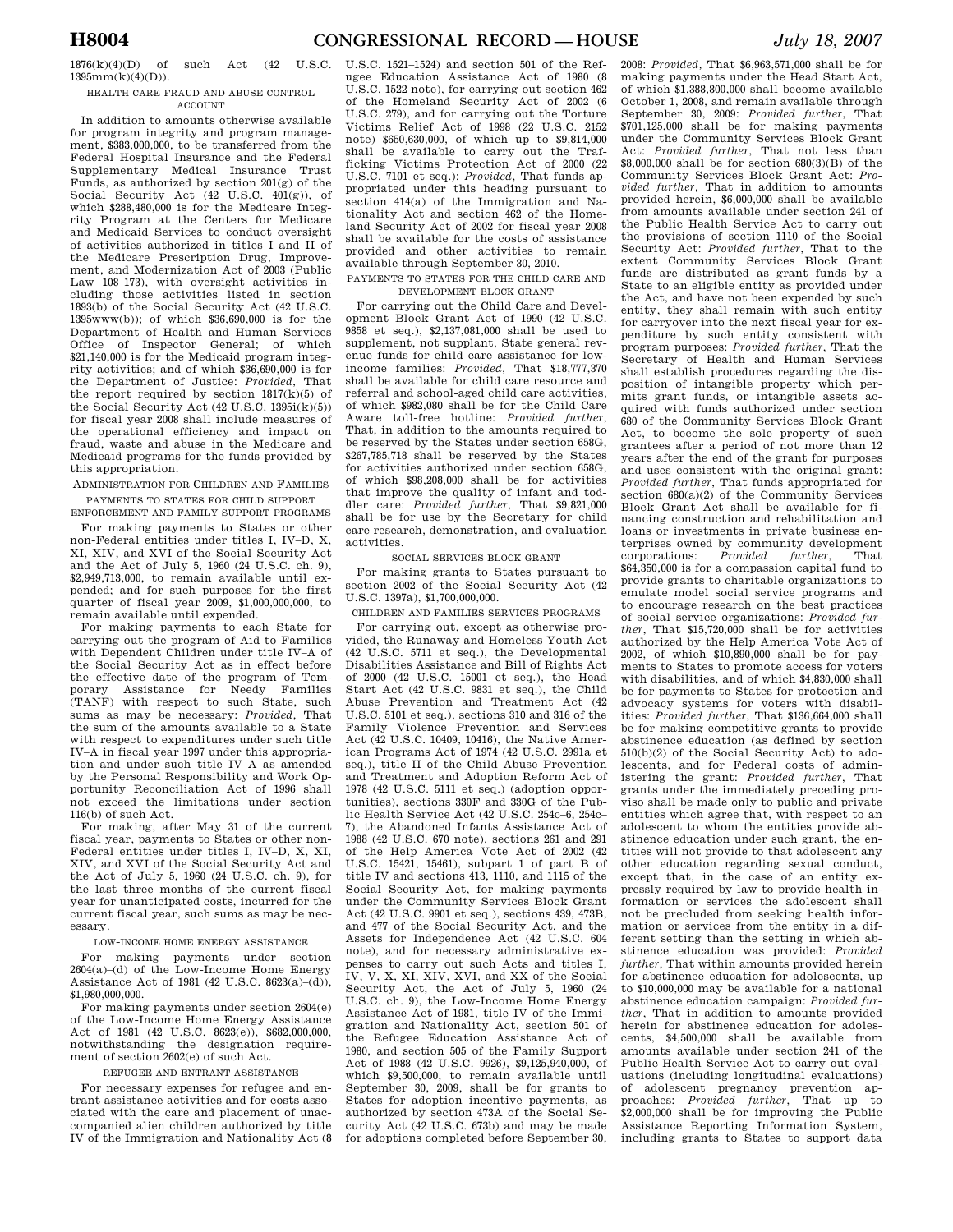# 1876(k)(4)(D) of such Act (42 U.S.C. 1395mm(k)(4)(D)).

#### HEALTH CARE FRAUD AND ABUSE CONTROL **ACCOUNT**

In addition to amounts otherwise available for program integrity and program management, \$383,000,000, to be transferred from the Federal Hospital Insurance and the Federal Supplementary Medical Insurance Trust Funds, as authorized by section 201(g) of the Social Security Act (42 U.S.C. 401(g)), of which \$288,480,000 is for the Medicare Integrity Program at the Centers for Medicare and Medicaid Services to conduct oversight of activities authorized in titles I and II of the Medicare Prescription Drug, Improvement, and Modernization Act of 2003 (Public Law 108–173), with oversight activities including those activities listed in section 1893(b) of the Social Security Act (42 U.S.C. 1395www(b)); of which \$36,690,000 is for the Department of Health and Human Services Office of Inspector General; of which \$21,140,000 is for the Medicaid program integrity activities; and of which \$36,690,000 is for the Department of Justice: *Provided*, That the report required by section  $1817(k)(5)$  of the Social Security Act (42 U.S.C. 1395i(k)(5)) for fiscal year 2008 shall include measures of the operational efficiency and impact on fraud, waste and abuse in the Medicare and Medicaid programs for the funds provided by this appropriation.

ADMINISTRATION FOR CHILDREN AND FAMILIES PAYMENTS TO STATES FOR CHILD SUPPORT

ENFORCEMENT AND FAMILY SUPPORT PROGRAMS

For making payments to States or other non-Federal entities under titles I, IV–D, X, XI, XIV, and XVI of the Social Security Act and the Act of July 5, 1960 (24 U.S.C. ch. 9), \$2,949,713,000, to remain available until expended; and for such purposes for the first quarter of fiscal year 2009, \$1,000,000,000, to remain available until expended.

For making payments to each State for carrying out the program of Aid to Families with Dependent Children under title IV–A of the Social Security Act as in effect before the effective date of the program of Temporary Assistance for Needy Families (TANF) with respect to such State, such sums as may be necessary: *Provided*, That the sum of the amounts available to a State with respect to expenditures under such title IV–A in fiscal year 1997 under this appropriation and under such title IV–A as amended by the Personal Responsibility and Work Opportunity Reconciliation Act of 1996 shall not exceed the limitations under section 116(b) of such Act.

For making, after May 31 of the current fiscal year, payments to States or other non-Federal entities under titles I, IV–D, X, XI, XIV, and XVI of the Social Security Act and the Act of July 5, 1960 (24 U.S.C. ch. 9), for the last three months of the current fiscal year for unanticipated costs, incurred for the current fiscal year, such sums as may be necessary.

#### LOW-INCOME HOME ENERGY ASSISTANCE

For making payments under section 2604(a)–(d) of the Low-Income Home Energy Assistance Act of 1981 (42 U.S.C. 8623(a)–(d)), \$1,980,000,000.

For making payments under section 2604(e) of the Low-Income Home Energy Assistance Act of 1981 (42 U.S.C. 8623(e)), \$682,000,000, notwithstanding the designation requirement of section 2602(e) of such Act.

### REFUGEE AND ENTRANT ASSISTANCE

For necessary expenses for refugee and entrant assistance activities and for costs associated with the care and placement of unaccompanied alien children authorized by title IV of the Immigration and Nationality Act (8

U.S.C. 1521–1524) and section 501 of the Refugee Education Assistance Act of 1980 (8 U.S.C. 1522 note), for carrying out section 462 of the Homeland Security Act of 2002 (6 U.S.C. 279), and for carrying out the Torture Victims Relief Act of 1998 (22 U.S.C. 2152 note) \$650,630,000, of which up to \$9,814,000 shall be available to carry out the Trafficking Victims Protection Act of 2000 (22 U.S.C. 7101 et seq.): *Provided*, That funds appropriated under this heading pursuant to section 414(a) of the Immigration and Nationality Act and section 462 of the Homeland Security Act of 2002 for fiscal year 2008 shall be available for the costs of assistance provided and other activities to remain available through September 30, 2010.

#### PAYMENTS TO STATES FOR THE CHILD CARE AND DEVELOPMENT BLOCK GRANT

For carrying out the Child Care and Development Block Grant Act of 1990 (42 U.S.C. 9858 et seq.), \$2,137,081,000 shall be used to supplement, not supplant, State general revenue funds for child care assistance for lowincome families: *Provided*, That \$18,777,370 shall be available for child care resource and referral and school-aged child care activities, of which \$982,080 shall be for the Child Care Aware toll-free hotline: *Provided further*, That, in addition to the amounts required to be reserved by the States under section 658G, \$267,785,718 shall be reserved by the States for activities authorized under section 658G, of which \$98,208,000 shall be for activities that improve the quality of infant and toddler care: *Provided further*, That \$9,821,000 shall be for use by the Secretary for child care research, demonstration, and evaluation activities.

### SOCIAL SERVICES BLOCK GRANT

For making grants to States pursuant to section 2002 of the Social Security Act (42 U.S.C. 1397a), \$1,700,000,000.

### CHILDREN AND FAMILIES SERVICES PROGRAMS

For carrying out, except as otherwise provided, the Runaway and Homeless Youth Act (42 U.S.C. 5711 et seq.), the Developmental Disabilities Assistance and Bill of Rights Act of 2000 (42 U.S.C. 15001 et seq.), the Head Start Act (42 U.S.C. 9831 et seq.), the Child Abuse Prevention and Treatment Act (42 U.S.C. 5101 et seq.), sections 310 and 316 of the Family Violence Prevention and Services Act (42 U.S.C. 10409, 10416), the Native American Programs Act of 1974 (42 U.S.C. 2991a et seq.), title II of the Child Abuse Prevention and Treatment and Adoption Reform Act of 1978 (42 U.S.C. 5111 et seq.) (adoption opportunities), sections 330F and 330G of the Public Health Service Act (42 U.S.C. 254c–6, 254c– 7), the Abandoned Infants Assistance Act of 1988 (42 U.S.C. 670 note), sections 261 and 291 of the Help America Vote Act of 2002 (42 U.S.C. 15421, 15461), subpart 1 of part B of title IV and sections 413, 1110, and 1115 of the Social Security Act, for making payments under the Community Services Block Grant Act (42 U.S.C. 9901 et seq.), sections 439, 473B, and 477 of the Social Security Act, and the Assets for Independence Act (42 U.S.C. 604 note), and for necessary administrative expenses to carry out such Acts and titles I, IV, V, X, XI, XIV, XVI, and XX of the Social Security Act, the Act of July 5, 1960 (24 U.S.C. ch. 9), the Low-Income Home Energy Assistance Act of 1981, title IV of the Immigration and Nationality Act, section 501 of the Refugee Education Assistance Act of 1980, and section 505 of the Family Support Act of 1988 (42 U.S.C. 9926), \$9,125,940,000, of which \$9,500,000, to remain available until September 30, 2009, shall be for grants to States for adoption incentive payments, as authorized by section 473A of the Social Security Act (42 U.S.C. 673b) and may be made for adoptions completed before September 30,

2008: *Provided,* That \$6,963,571,000 shall be for making payments under the Head Start Act, of which \$1,388,800,000 shall become available October 1, 2008, and remain available through September 30, 2009: *Provided further*, That \$701,125,000 shall be for making payments under the Community Services Block Grant Act: *Provided further*, That not less than \$8,000,000 shall be for section 680(3)(B) of the Community Services Block Grant Act: *Provided further*, That in addition to amounts provided herein, \$6,000,000 shall be available from amounts available under section 241 of the Public Health Service Act to carry out the provisions of section 1110 of the Social Security Act: *Provided further*, That to the extent Community Services Block Grant funds are distributed as grant funds by a State to an eligible entity as provided under the Act, and have not been expended by such entity, they shall remain with such entity for carryover into the next fiscal year for expenditure by such entity consistent with program purposes: *Provided further*, That the Secretary of Health and Human Services shall establish procedures regarding the disposition of intangible property which permits grant funds, or intangible assets acquired with funds authorized under section 680 of the Community Services Block Grant Act, to become the sole property of such grantees after a period of not more than 12 years after the end of the grant for purposes and uses consistent with the original grant: *Provided further*, That funds appropriated for section  $680(a)(2)$  of the Community Services Block Grant Act shall be available for financing construction and rehabilitation and loans or investments in private business enterprises owned by community development corporations: *Provided further*, That \$64,350,000 is for a compassion capital fund to provide grants to charitable organizations to emulate model social service programs and to encourage research on the best practices of social service organizations: *Provided further*, That \$15,720,000 shall be for activities authorized by the Help America Vote Act of 2002, of which \$10,890,000 shall be for payments to States to promote access for voters with disabilities, and of which \$4,830,000 shall be for payments to States for protection and advocacy systems for voters with disabilities: *Provided further*, That \$136,664,000 shall be for making competitive grants to provide abstinence education (as defined by section 510(b)(2) of the Social Security Act) to adolescents, and for Federal costs of administering the grant: *Provided further*, That grants under the immediately preceding proviso shall be made only to public and private entities which agree that, with respect to an adolescent to whom the entities provide abstinence education under such grant, the entities will not provide to that adolescent any other education regarding sexual conduct, except that, in the case of an entity expressly required by law to provide health information or services the adolescent shall not be precluded from seeking health information or services from the entity in a different setting than the setting in which abstinence education was provided: *Provided further*, That within amounts provided herein for abstinence education for adolescents, up to \$10,000,000 may be available for a national abstinence education campaign: *Provided further*, That in addition to amounts provided herein for abstinence education for adolescents, \$4,500,000 shall be available from amounts available under section 241 of the Public Health Service Act to carry out evaluations (including longitudinal evaluations) of adolescent pregnancy prevention approaches: *Provided further*, That up to \$2,000,000 shall be for improving the Public Assistance Reporting Information System, including grants to States to support data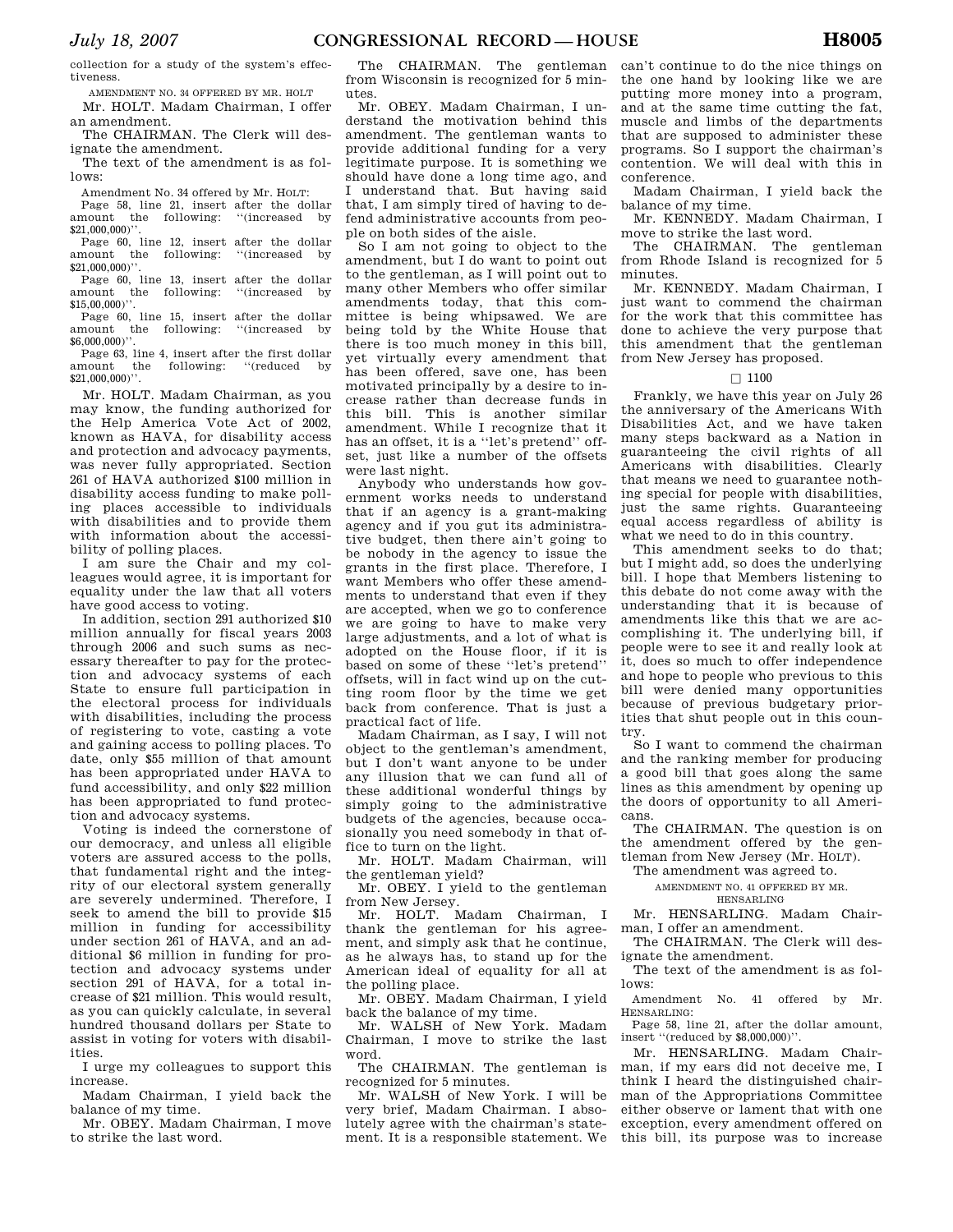collection for a study of the system's effectiveness.

AMENDMENT NO. 34 OFFERED BY MR. HOLT Mr. HOLT. Madam Chairman, I offer an amendment.

The CHAIRMAN. The Clerk will designate the amendment.

The text of the amendment is as follows:

Amendment No. 34 offered by Mr. HOLT:

Page 58, line 21, insert after the dollar amount the following: ''(increased by \$21,000,000)''

Page 60, line 12, insert after the dollar amount the following: ''(increased by \$21,000,000<sup>)</sup>'.

Page 60, line 13, insert after the dollar amount the following: ''(increased by  $$15,00,000$ <sup>"</sup>

Page 60, line 15, insert after the dollar<br>amount the following: "(increased by the following: \$6,000,000)''.

Page 63, line 4, insert after the first dollar<br>amount the following: "(reduced by the following: "(reduced by \$21,000,000)''.

Mr. HOLT. Madam Chairman, as you may know, the funding authorized for the Help America Vote Act of 2002, known as HAVA, for disability access and protection and advocacy payments, was never fully appropriated. Section 261 of HAVA authorized \$100 million in disability access funding to make polling places accessible to individuals with disabilities and to provide them with information about the accessibility of polling places.

I am sure the Chair and my colleagues would agree, it is important for equality under the law that all voters have good access to voting.

In addition, section 291 authorized \$10 million annually for fiscal years 2003 through 2006 and such sums as necessary thereafter to pay for the protection and advocacy systems of each State to ensure full participation in the electoral process for individuals with disabilities, including the process of registering to vote, casting a vote and gaining access to polling places. To date, only \$55 million of that amount has been appropriated under HAVA to fund accessibility, and only \$22 million has been appropriated to fund protection and advocacy systems.

Voting is indeed the cornerstone of our democracy, and unless all eligible voters are assured access to the polls, that fundamental right and the integrity of our electoral system generally are severely undermined. Therefore, I seek to amend the bill to provide \$15 million in funding for accessibility under section 261 of HAVA, and an additional \$6 million in funding for protection and advocacy systems under section 291 of HAVA, for a total increase of \$21 million. This would result, as you can quickly calculate, in several hundred thousand dollars per State to assist in voting for voters with disabilities.

I urge my colleagues to support this increase.

Madam Chairman, I yield back the balance of my time.

Mr. OBEY. Madam Chairman, I move to strike the last word.

The CHAIRMAN. The gentleman from Wisconsin is recognized for 5 minutes.

Mr. OBEY. Madam Chairman, I understand the motivation behind this amendment. The gentleman wants to provide additional funding for a very legitimate purpose. It is something we should have done a long time ago, and I understand that. But having said that, I am simply tired of having to defend administrative accounts from people on both sides of the aisle.

So I am not going to object to the amendment, but I do want to point out to the gentleman, as I will point out to many other Members who offer similar amendments today, that this committee is being whipsawed. We are being told by the White House that there is too much money in this bill, yet virtually every amendment that has been offered, save one, has been motivated principally by a desire to increase rather than decrease funds in this bill. This is another similar amendment. While I recognize that it has an offset, it is a ''let's pretend'' offset, just like a number of the offsets were last night.

Anybody who understands how government works needs to understand that if an agency is a grant-making agency and if you gut its administrative budget, then there ain't going to be nobody in the agency to issue the grants in the first place. Therefore, I want Members who offer these amendments to understand that even if they are accepted, when we go to conference we are going to have to make very large adjustments, and a lot of what is adopted on the House floor, if it is based on some of these ''let's pretend'' offsets, will in fact wind up on the cutting room floor by the time we get back from conference. That is just a practical fact of life.

Madam Chairman, as I say, I will not object to the gentleman's amendment, but I don't want anyone to be under any illusion that we can fund all of these additional wonderful things by simply going to the administrative budgets of the agencies, because occasionally you need somebody in that office to turn on the light.

Mr. HOLT. Madam Chairman, will the gentleman yield?

Mr. OBEY. I yield to the gentleman from New Jersey.

Mr. HOLT. Madam Chairman, I thank the gentleman for his agreement, and simply ask that he continue, as he always has, to stand up for the American ideal of equality for all at the polling place.

Mr. OBEY. Madam Chairman, I yield back the balance of my time.

Mr. WALSH of New York. Madam Chairman, I move to strike the last word.

The CHAIRMAN. The gentleman is recognized for 5 minutes.

Mr. WALSH of New York. I will be very brief, Madam Chairman. I absolutely agree with the chairman's statement. It is a responsible statement. We

can't continue to do the nice things on the one hand by looking like we are putting more money into a program, and at the same time cutting the fat, muscle and limbs of the departments that are supposed to administer these programs. So I support the chairman's contention. We will deal with this in conference.

Madam Chairman, I yield back the balance of my time.

Mr. KENNEDY. Madam Chairman, I move to strike the last word.

The CHAIRMAN. The gentleman from Rhode Island is recognized for 5 minutes.

Mr. KENNEDY. Madam Chairman, I just want to commend the chairman for the work that this committee has done to achieve the very purpose that this amendment that the gentleman from New Jersey has proposed.

# $\Box$  1100

Frankly, we have this year on July 26 the anniversary of the Americans With Disabilities Act, and we have taken many steps backward as a Nation in guaranteeing the civil rights of all Americans with disabilities. Clearly that means we need to guarantee nothing special for people with disabilities, just the same rights. Guaranteeing equal access regardless of ability is what we need to do in this country.

This amendment seeks to do that; but I might add, so does the underlying bill. I hope that Members listening to this debate do not come away with the understanding that it is because of amendments like this that we are accomplishing it. The underlying bill, if people were to see it and really look at it, does so much to offer independence and hope to people who previous to this bill were denied many opportunities because of previous budgetary priorities that shut people out in this country.

So I want to commend the chairman and the ranking member for producing a good bill that goes along the same lines as this amendment by opening up the doors of opportunity to all Americans.

The CHAIRMAN. The question is on the amendment offered by the gentleman from New Jersey (Mr. HOLT).

The amendment was agreed to.

AMENDMENT NO. 41 OFFERED BY MR.

HENSARLING

Mr. HENSARLING. Madam Chairman, I offer an amendment.

The CHAIRMAN. The Clerk will designate the amendment.

The text of the amendment is as follows:

Amendment No. 41 offered by Mr. HENSARLING:

Page 58, line 21, after the dollar amount, insert ''(reduced by \$8,000,000)''.

Mr. HENSARLING. Madam Chairman, if my ears did not deceive me, I think I heard the distinguished chairman of the Appropriations Committee either observe or lament that with one exception, every amendment offered on this bill, its purpose was to increase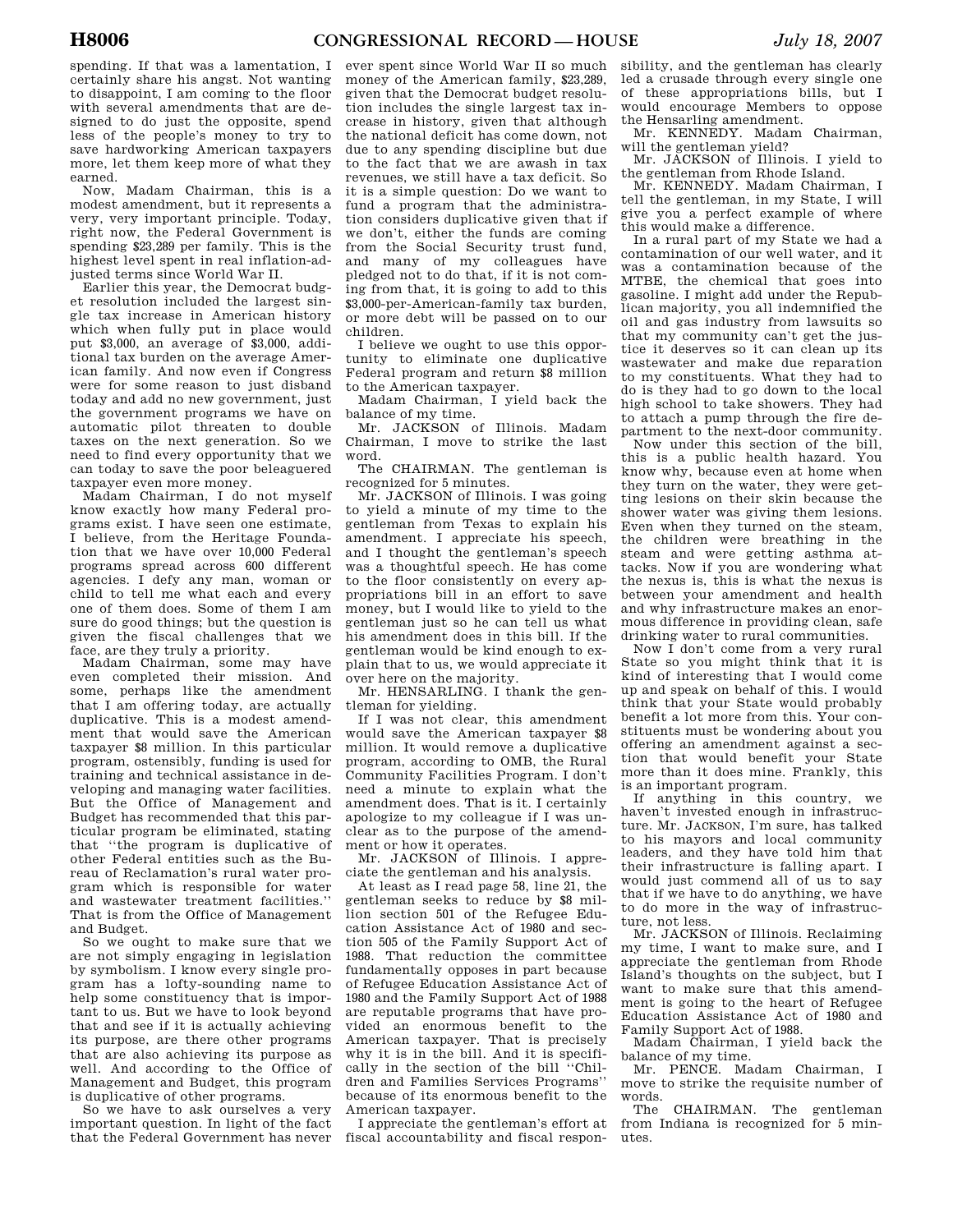spending. If that was a lamentation, I certainly share his angst. Not wanting to disappoint, I am coming to the floor with several amendments that are designed to do just the opposite, spend less of the people's money to try to save hardworking American taxpayers more, let them keep more of what they earned.

Now, Madam Chairman, this is a modest amendment, but it represents a very, very important principle. Today, right now, the Federal Government is spending \$23,289 per family. This is the highest level spent in real inflation-adjusted terms since World War II.

Earlier this year, the Democrat budget resolution included the largest single tax increase in American history which when fully put in place would put \$3,000, an average of \$3,000, additional tax burden on the average American family. And now even if Congress were for some reason to just disband today and add no new government, just the government programs we have on automatic pilot threaten to double taxes on the next generation. So we need to find every opportunity that we can today to save the poor beleaguered taxpayer even more money.

Madam Chairman, I do not myself know exactly how many Federal programs exist. I have seen one estimate, I believe, from the Heritage Foundation that we have over 10,000 Federal programs spread across 600 different agencies. I defy any man, woman or child to tell me what each and every one of them does. Some of them I am sure do good things; but the question is given the fiscal challenges that we face, are they truly a priority.

Madam Chairman, some may have even completed their mission. And some, perhaps like the amendment that I am offering today, are actually duplicative. This is a modest amendment that would save the American taxpayer \$8 million. In this particular program, ostensibly, funding is used for training and technical assistance in developing and managing water facilities. But the Office of Management and Budget has recommended that this particular program be eliminated, stating that ''the program is duplicative of other Federal entities such as the Bureau of Reclamation's rural water program which is responsible for water and wastewater treatment facilities.'' That is from the Office of Management and Budget.

So we ought to make sure that we are not simply engaging in legislation by symbolism. I know every single program has a lofty-sounding name to help some constituency that is important to us. But we have to look beyond that and see if it is actually achieving its purpose, are there other programs that are also achieving its purpose as well. And according to the Office of Management and Budget, this program is duplicative of other programs.

So we have to ask ourselves a very important question. In light of the fact that the Federal Government has never

ever spent since World War II so much money of the American family, \$23,289, given that the Democrat budget resolution includes the single largest tax increase in history, given that although the national deficit has come down, not due to any spending discipline but due to the fact that we are awash in tax revenues, we still have a tax deficit. So it is a simple question: Do we want to fund a program that the administration considers duplicative given that if we don't, either the funds are coming from the Social Security trust fund, and many of my colleagues have pledged not to do that, if it is not coming from that, it is going to add to this \$3,000-per-American-family tax burden, or more debt will be passed on to our children.

I believe we ought to use this opportunity to eliminate one duplicative Federal program and return \$8 million to the American taxpayer.

Madam Chairman, I yield back the balance of my time.

Mr. JACKSON of Illinois. Madam Chairman, I move to strike the last word.

The CHAIRMAN. The gentleman is recognized for 5 minutes.

Mr. JACKSON of Illinois. I was going to yield a minute of my time to the gentleman from Texas to explain his amendment. I appreciate his speech, and I thought the gentleman's speech was a thoughtful speech. He has come to the floor consistently on every appropriations bill in an effort to save money, but I would like to yield to the gentleman just so he can tell us what his amendment does in this bill. If the gentleman would be kind enough to explain that to us, we would appreciate it over here on the majority.

Mr. HENSARLING. I thank the gentleman for yielding.

If I was not clear, this amendment would save the American taxpayer \$8 million. It would remove a duplicative program, according to OMB, the Rural Community Facilities Program. I don't need a minute to explain what the amendment does. That is it. I certainly apologize to my colleague if I was unclear as to the purpose of the amendment or how it operates.

Mr. JACKSON of Illinois. I appreciate the gentleman and his analysis.

At least as I read page 58, line 21, the gentleman seeks to reduce by \$8 million section 501 of the Refugee Education Assistance Act of 1980 and section 505 of the Family Support Act of 1988. That reduction the committee fundamentally opposes in part because of Refugee Education Assistance Act of 1980 and the Family Support Act of 1988 are reputable programs that have provided an enormous benefit to the American taxpayer. That is precisely why it is in the bill. And it is specifically in the section of the bill ''Children and Families Services Programs'' because of its enormous benefit to the American taxpayer.

I appreciate the gentleman's effort at fiscal accountability and fiscal respon-

sibility, and the gentleman has clearly led a crusade through every single one of these appropriations bills, but I would encourage Members to oppose the Hensarling amendment.

Mr. KENNEDY. Madam Chairman, will the gentleman yield?

Mr. JACKSON of Illinois. I yield to the gentleman from Rhode Island.

Mr. KENNEDY. Madam Chairman, I tell the gentleman, in my State, I will give you a perfect example of where this would make a difference.

In a rural part of my State we had a contamination of our well water, and it was a contamination because of the MTBE, the chemical that goes into gasoline. I might add under the Republican majority, you all indemnified the oil and gas industry from lawsuits so that my community can't get the justice it deserves so it can clean up its wastewater and make due reparation to my constituents. What they had to do is they had to go down to the local high school to take showers. They had to attach a pump through the fire department to the next-door community.

Now under this section of the bill, this is a public health hazard. You know why, because even at home when they turn on the water, they were getting lesions on their skin because the shower water was giving them lesions. Even when they turned on the steam, the children were breathing in the steam and were getting asthma attacks. Now if you are wondering what the nexus is, this is what the nexus is between your amendment and health and why infrastructure makes an enormous difference in providing clean, safe drinking water to rural communities.

Now I don't come from a very rural State so you might think that it is kind of interesting that I would come up and speak on behalf of this. I would think that your State would probably benefit a lot more from this. Your constituents must be wondering about you offering an amendment against a section that would benefit your State more than it does mine. Frankly, this is an important program.

If anything in this country, we haven't invested enough in infrastructure. Mr. JACKSON, I'm sure, has talked to his mayors and local community leaders, and they have told him that their infrastructure is falling apart. I would just commend all of us to say that if we have to do anything, we have to do more in the way of infrastructure, not less.

Mr. JACKSON of Illinois. Reclaiming my time, I want to make sure, and I appreciate the gentleman from Rhode Island's thoughts on the subject, but I want to make sure that this amendment is going to the heart of Refugee Education Assistance Act of 1980 and Family Support Act of 1988.

Madam Chairman, I yield back the balance of my time.

Mr. PENCE. Madam Chairman, I move to strike the requisite number of words.

The CHAIRMAN. The gentleman from Indiana is recognized for 5 minutes.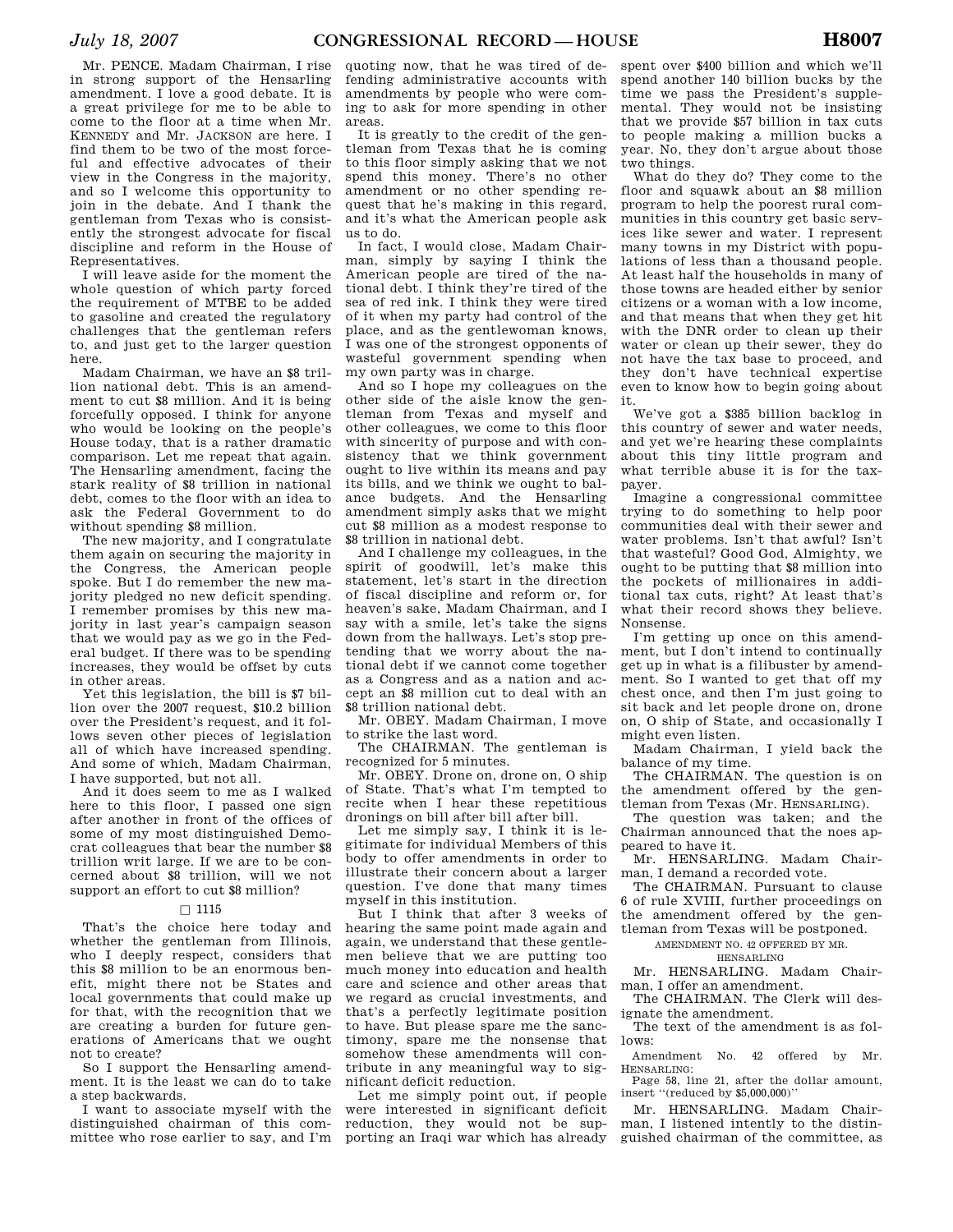Mr. PENCE. Madam Chairman, I rise in strong support of the Hensarling amendment. I love a good debate. It is a great privilege for me to be able to come to the floor at a time when Mr. KENNEDY and Mr. JACKSON are here. I find them to be two of the most forceful and effective advocates of their view in the Congress in the majority, and so I welcome this opportunity to join in the debate. And I thank the gentleman from Texas who is consistently the strongest advocate for fiscal discipline and reform in the House of Representatives.

I will leave aside for the moment the whole question of which party forced the requirement of MTBE to be added to gasoline and created the regulatory challenges that the gentleman refers to, and just get to the larger question here.

Madam Chairman, we have an \$8 trillion national debt. This is an amendment to cut \$8 million. And it is being forcefully opposed. I think for anyone who would be looking on the people's House today, that is a rather dramatic comparison. Let me repeat that again. The Hensarling amendment, facing the stark reality of \$8 trillion in national debt, comes to the floor with an idea to ask the Federal Government to do without spending \$8 million.

The new majority, and I congratulate them again on securing the majority in the Congress, the American people spoke. But I do remember the new majority pledged no new deficit spending. I remember promises by this new majority in last year's campaign season that we would pay as we go in the Federal budget. If there was to be spending increases, they would be offset by cuts in other areas.

Yet this legislation, the bill is \$7 billion over the 2007 request, \$10.2 billion over the President's request, and it follows seven other pieces of legislation all of which have increased spending. And some of which, Madam Chairman, I have supported, but not all.

And it does seem to me as I walked here to this floor, I passed one sign after another in front of the offices of some of my most distinguished Democrat colleagues that bear the number \$8 trillion writ large. If we are to be concerned about \$8 trillion, will we not support an effort to cut \$8 million?

## $\Box$  1115

That's the choice here today and whether the gentleman from Illinois, who I deeply respect, considers that this \$8 million to be an enormous benefit, might there not be States and local governments that could make up for that, with the recognition that we are creating a burden for future generations of Americans that we ought not to create?

So I support the Hensarling amendment. It is the least we can do to take a step backwards.

I want to associate myself with the distinguished chairman of this committee who rose earlier to say, and I'm

quoting now, that he was tired of defending administrative accounts with amendments by people who were coming to ask for more spending in other areas.

It is greatly to the credit of the gentleman from Texas that he is coming to this floor simply asking that we not spend this money. There's no other amendment or no other spending request that he's making in this regard, and it's what the American people ask us to do.

In fact, I would close, Madam Chairman, simply by saying I think the American people are tired of the national debt. I think they're tired of the sea of red ink. I think they were tired of it when my party had control of the place, and as the gentlewoman knows, I was one of the strongest opponents of wasteful government spending when my own party was in charge.

And so I hope my colleagues on the other side of the aisle know the gentleman from Texas and myself and other colleagues, we come to this floor with sincerity of purpose and with consistency that we think government ought to live within its means and pay its bills, and we think we ought to balance budgets. And the Hensarling amendment simply asks that we might cut \$8 million as a modest response to \$8 trillion in national debt.

And I challenge my colleagues, in the spirit of goodwill, let's make this statement, let's start in the direction of fiscal discipline and reform or, for heaven's sake, Madam Chairman, and I say with a smile, let's take the signs down from the hallways. Let's stop pretending that we worry about the national debt if we cannot come together as a Congress and as a nation and accept an \$8 million cut to deal with an \$8 trillion national debt.

Mr. OBEY. Madam Chairman, I move to strike the last word.

The CHAIRMAN. The gentleman is recognized for 5 minutes.

Mr. OBEY. Drone on, drone on, O ship of State. That's what I'm tempted to recite when I hear these repetitious dronings on bill after bill after bill.

Let me simply say, I think it is legitimate for individual Members of this body to offer amendments in order to illustrate their concern about a larger question. I've done that many times myself in this institution.

But I think that after 3 weeks of hearing the same point made again and again, we understand that these gentlemen believe that we are putting too much money into education and health care and science and other areas that we regard as crucial investments, and that's a perfectly legitimate position to have. But please spare me the sanctimony, spare me the nonsense that somehow these amendments will contribute in any meaningful way to significant deficit reduction.

Let me simply point out, if people were interested in significant deficit reduction, they would not be supporting an Iraqi war which has already

spent over \$400 billion and which we'll spend another 140 billion bucks by the time we pass the President's supplemental. They would not be insisting that we provide \$57 billion in tax cuts to people making a million bucks a year. No, they don't argue about those two things.

What do they do? They come to the floor and squawk about an \$8 million program to help the poorest rural communities in this country get basic services like sewer and water. I represent many towns in my District with populations of less than a thousand people. At least half the households in many of those towns are headed either by senior citizens or a woman with a low income, and that means that when they get hit with the DNR order to clean up their water or clean up their sewer, they do not have the tax base to proceed, and they don't have technical expertise even to know how to begin going about it.

We've got a \$385 billion backlog in this country of sewer and water needs, and yet we're hearing these complaints about this tiny little program and what terrible abuse it is for the taxpayer.

Imagine a congressional committee trying to do something to help poor communities deal with their sewer and water problems. Isn't that awful? Isn't that wasteful? Good God, Almighty, we ought to be putting that \$8 million into the pockets of millionaires in additional tax cuts, right? At least that's what their record shows they believe. Nonsense.

I'm getting up once on this amendment, but I don't intend to continually get up in what is a filibuster by amendment. So I wanted to get that off my chest once, and then I'm just going to sit back and let people drone on, drone on, O ship of State, and occasionally I might even listen.

Madam Chairman, I yield back the balance of my time.

The CHAIRMAN. The question is on the amendment offered by the gentleman from Texas (Mr. HENSARLING).

The question was taken; and the Chairman announced that the noes appeared to have it.

Mr. HENSARLING. Madam Chairman, I demand a recorded vote.

The CHAIRMAN. Pursuant to clause 6 of rule XVIII, further proceedings on the amendment offered by the gentleman from Texas will be postponed.

AMENDMENT NO. 42 OFFERED BY MR.

HENSARLING

Mr. HENSARLING. Madam Chairman, I offer an amendment.

The CHAIRMAN. The Clerk will designate the amendment.

The text of the amendment is as follows:

Amendment No. 42 offered by Mr. HENSARLING:

Page 58, line 21, after the dollar amount, insert ''(reduced by \$5,000,000)''

Mr. HENSARLING. Madam Chairman, I listened intently to the distinguished chairman of the committee, as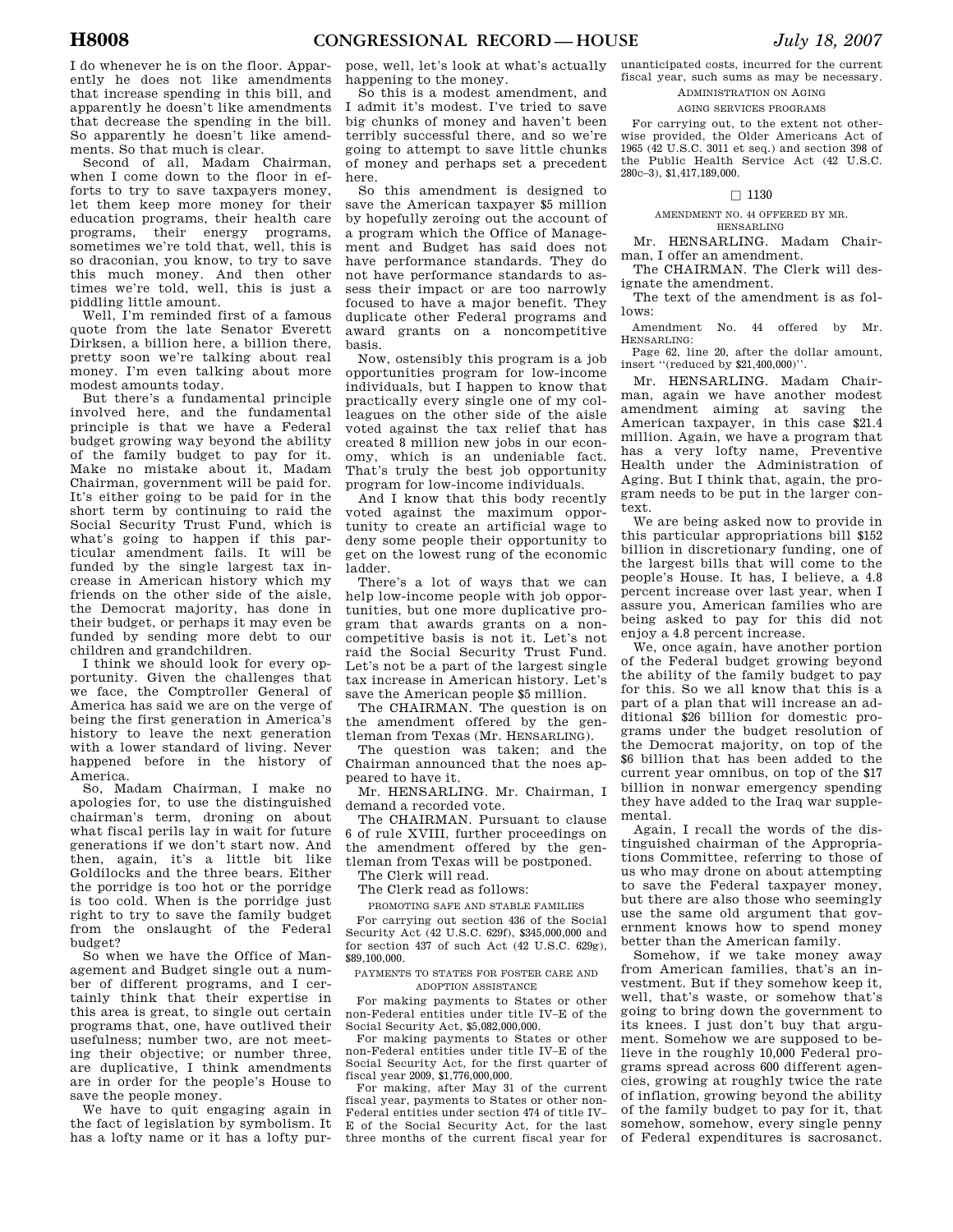I do whenever he is on the floor. Apparently he does not like amendments that increase spending in this bill, and apparently he doesn't like amendments that decrease the spending in the bill. So apparently he doesn't like amendments. So that much is clear.

Second of all, Madam Chairman, when I come down to the floor in efforts to try to save taxpayers money, let them keep more money for their education programs, their health care programs, their energy programs, sometimes we're told that, well, this is so draconian, you know, to try to save this much money. And then other times we're told, well, this is just a piddling little amount.

Well, I'm reminded first of a famous quote from the late Senator Everett Dirksen, a billion here, a billion there, pretty soon we're talking about real money. I'm even talking about more modest amounts today.

But there's a fundamental principle involved here, and the fundamental principle is that we have a Federal budget growing way beyond the ability of the family budget to pay for it. Make no mistake about it, Madam Chairman, government will be paid for. It's either going to be paid for in the short term by continuing to raid the Social Security Trust Fund, which is what's going to happen if this particular amendment fails. It will be funded by the single largest tax increase in American history which my friends on the other side of the aisle, the Democrat majority, has done in their budget, or perhaps it may even be funded by sending more debt to our children and grandchildren.

I think we should look for every opportunity. Given the challenges that we face, the Comptroller General of America has said we are on the verge of being the first generation in America's history to leave the next generation with a lower standard of living. Never happened before in the history of America.

So, Madam Chairman, I make no apologies for, to use the distinguished chairman's term, droning on about what fiscal perils lay in wait for future generations if we don't start now. And then, again, it's a little bit like Goldilocks and the three bears. Either the porridge is too hot or the porridge is too cold. When is the porridge just right to try to save the family budget from the onslaught of the Federal budget?

So when we have the Office of Management and Budget single out a number of different programs, and I certainly think that their expertise in this area is great, to single out certain programs that, one, have outlived their usefulness; number two, are not meeting their objective; or number three, are duplicative, I think amendments are in order for the people's House to save the people money.

We have to quit engaging again in the fact of legislation by symbolism. It has a lofty name or it has a lofty pur-

pose, well, let's look at what's actually happening to the money.

So this is a modest amendment, and I admit it's modest. I've tried to save big chunks of money and haven't been terribly successful there, and so we're going to attempt to save little chunks of money and perhaps set a precedent here.

So this amendment is designed to save the American taxpayer \$5 million by hopefully zeroing out the account of a program which the Office of Management and Budget has said does not have performance standards. They do not have performance standards to assess their impact or are too narrowly focused to have a major benefit. They duplicate other Federal programs and award grants on a noncompetitive basis.

Now, ostensibly this program is a job opportunities program for low-income individuals, but I happen to know that practically every single one of my colleagues on the other side of the aisle voted against the tax relief that has created 8 million new jobs in our economy, which is an undeniable fact. That's truly the best job opportunity program for low-income individuals.

And I know that this body recently voted against the maximum opportunity to create an artificial wage to deny some people their opportunity to get on the lowest rung of the economic ladder.

There's a lot of ways that we can help low-income people with job opportunities, but one more duplicative program that awards grants on a noncompetitive basis is not it. Let's not raid the Social Security Trust Fund. Let's not be a part of the largest single tax increase in American history. Let's save the American people \$5 million.

The CHAIRMAN. The question is on the amendment offered by the gentleman from Texas (Mr. HENSARLING).

The question was taken; and the Chairman announced that the noes appeared to have it.

Mr. HENSARLING. Mr. Chairman, I demand a recorded vote.

The CHAIRMAN. Pursuant to clause 6 of rule XVIII, further proceedings on the amendment offered by the gentleman from Texas will be postponed.

The Clerk will read.

The Clerk read as follows:

PROMOTING SAFE AND STABLE FAMILIES

For carrying out section 436 of the Social Security Act (42 U.S.C. 629f), \$345,000,000 and for section 437 of such Act (42 U.S.C. 629g), \$89,100,000.

PAYMENTS TO STATES FOR FOSTER CARE AND ADOPTION ASSISTANCE

For making payments to States or other non-Federal entities under title IV–E of the Social Security Act, \$5,082,000,000.

For making payments to States or other non-Federal entities under title IV–E of the Social Security Act, for the first quarter of fiscal year 2009, \$1,776,000,000.

For making, after May 31 of the current fiscal year, payments to States or other non-Federal entities under section 474 of title IV– E of the Social Security Act, for the last three months of the current fiscal year for unanticipated costs, incurred for the current fiscal year, such sums as may be necessary.

> ADMINISTRATION ON AGING AGING SERVICES PROGRAMS

For carrying out, to the extent not otherwise provided, the Older Americans Act of 1965 (42 U.S.C. 3011 et seq.) and section 398 of the Public Health Service Act (42 U.S.C. 280c–3), \$1,417,189,000.

## $\Box$  1130

#### AMENDMENT NO. 44 OFFERED BY MR. HENSARLING

Mr. HENSARLING. Madam Chairman, I offer an amendment.

The CHAIRMAN. The Clerk will designate the amendment.

The text of the amendment is as follows:

Amendment No. 44 offered by Mr. HENSARLING:

Page 62, line 20, after the dollar amount, insert ''(reduced by \$21,400,000)''.

Mr. HENSARLING. Madam Chairman, again we have another modest amendment aiming at saving the American taxpayer, in this case \$21.4 million. Again, we have a program that has a very lofty name, Preventive Health under the Administration of Aging. But I think that, again, the program needs to be put in the larger context.

We are being asked now to provide in this particular appropriations bill \$152 billion in discretionary funding, one of the largest bills that will come to the people's House. It has, I believe, a 4.8 percent increase over last year, when I assure you, American families who are being asked to pay for this did not enjoy a 4.8 percent increase.

We, once again, have another portion of the Federal budget growing beyond the ability of the family budget to pay for this. So we all know that this is a part of a plan that will increase an additional \$26 billion for domestic programs under the budget resolution of the Democrat majority, on top of the \$6 billion that has been added to the current year omnibus, on top of the \$17 billion in nonwar emergency spending they have added to the Iraq war supplemental.

Again, I recall the words of the distinguished chairman of the Appropriations Committee, referring to those of us who may drone on about attempting to save the Federal taxpayer money, but there are also those who seemingly use the same old argument that government knows how to spend money better than the American family.

Somehow, if we take money away from American families, that's an investment. But if they somehow keep it, well, that's waste, or somehow that's going to bring down the government to its knees. I just don't buy that argument. Somehow we are supposed to believe in the roughly 10,000 Federal programs spread across 600 different agencies, growing at roughly twice the rate of inflation, growing beyond the ability of the family budget to pay for it, that somehow, somehow, every single penny of Federal expenditures is sacrosanct.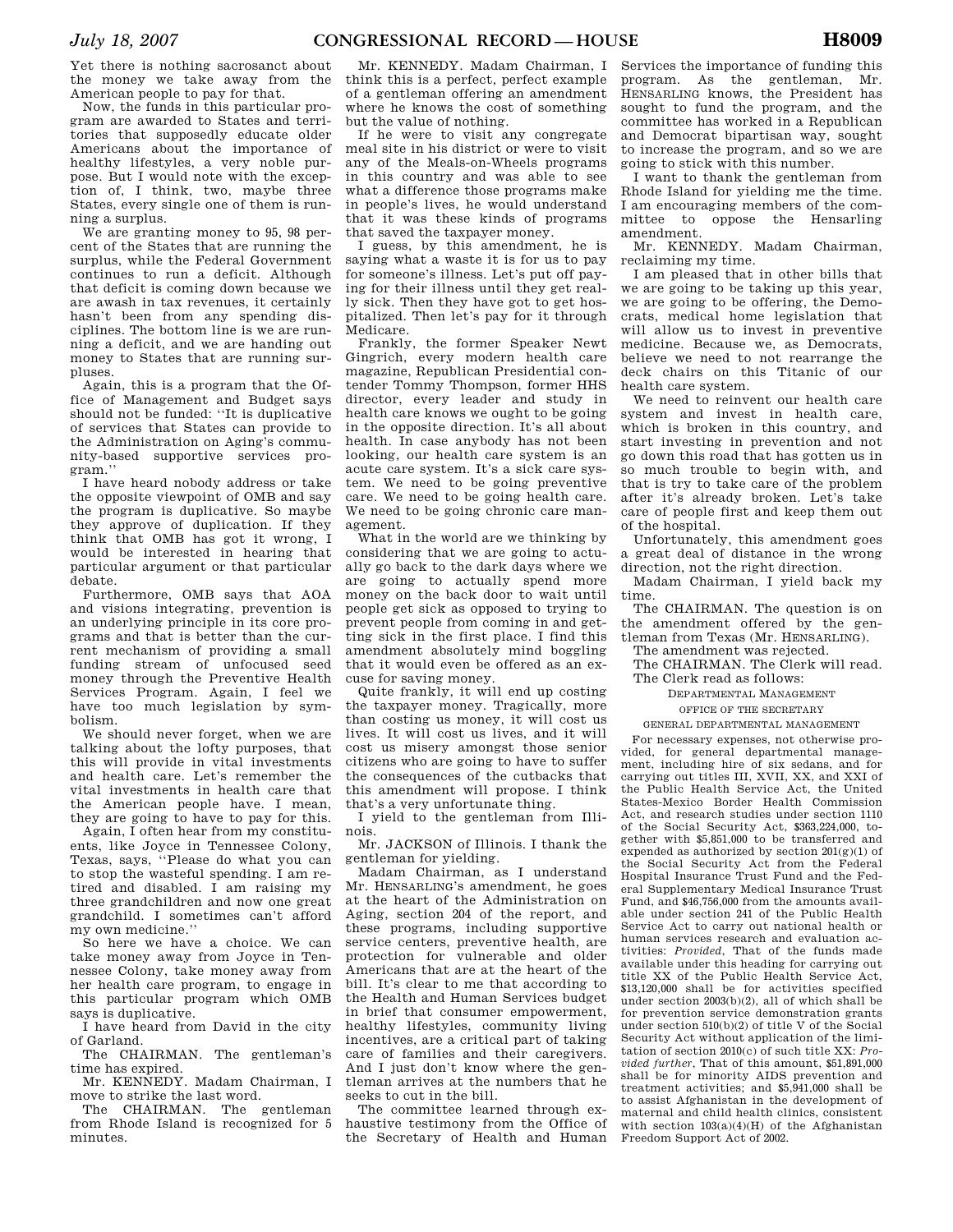Yet there is nothing sacrosanct about the money we take away from the American people to pay for that.

Now, the funds in this particular program are awarded to States and territories that supposedly educate older Americans about the importance of healthy lifestyles, a very noble purpose. But I would note with the exception of, I think, two, maybe three States, every single one of them is running a surplus.

We are granting money to 95, 98 percent of the States that are running the surplus, while the Federal Government continues to run a deficit. Although that deficit is coming down because we are awash in tax revenues, it certainly hasn't been from any spending disciplines. The bottom line is we are running a deficit, and we are handing out money to States that are running surpluses.

Again, this is a program that the Office of Management and Budget says should not be funded: ''It is duplicative of services that States can provide to the Administration on Aging's community-based supportive services program.''

I have heard nobody address or take the opposite viewpoint of OMB and say the program is duplicative. So maybe they approve of duplication. If they think that OMB has got it wrong, I would be interested in hearing that particular argument or that particular debate.

Furthermore, OMB says that AOA and visions integrating, prevention is an underlying principle in its core programs and that is better than the current mechanism of providing a small funding stream of unfocused seed money through the Preventive Health Services Program. Again, I feel we have too much legislation by symbolism.

We should never forget, when we are talking about the lofty purposes, that this will provide in vital investments and health care. Let's remember the vital investments in health care that the American people have. I mean, they are going to have to pay for this.

Again, I often hear from my constituents, like Joyce in Tennessee Colony, Texas, says, ''Please do what you can to stop the wasteful spending. I am retired and disabled. I am raising my three grandchildren and now one great grandchild. I sometimes can't afford my own medicine.''

So here we have a choice. We can take money away from Joyce in Tennessee Colony, take money away from her health care program, to engage in this particular program which OMB says is duplicative.

I have heard from David in the city of Garland.

The CHAIRMAN. The gentleman's time has expired.

Mr. KENNEDY. Madam Chairman, I move to strike the last word.

The CHAIRMAN. The gentleman from Rhode Island is recognized for 5 minutes.

Mr. KENNEDY. Madam Chairman, I think this is a perfect, perfect example of a gentleman offering an amendment where he knows the cost of something but the value of nothing.

If he were to visit any congregate meal site in his district or were to visit any of the Meals-on-Wheels programs in this country and was able to see what a difference those programs make in people's lives, he would understand that it was these kinds of programs that saved the taxpayer money.

I guess, by this amendment, he is saying what a waste it is for us to pay for someone's illness. Let's put off paying for their illness until they get really sick. Then they have got to get hospitalized. Then let's pay for it through Medicare.

Frankly, the former Speaker Newt Gingrich, every modern health care magazine, Republican Presidential contender Tommy Thompson, former HHS director, every leader and study in health care knows we ought to be going in the opposite direction. It's all about health. In case anybody has not been looking, our health care system is an acute care system. It's a sick care system. We need to be going preventive care. We need to be going health care. We need to be going chronic care management.

What in the world are we thinking by considering that we are going to actually go back to the dark days where we are going to actually spend more money on the back door to wait until people get sick as opposed to trying to prevent people from coming in and getting sick in the first place. I find this amendment absolutely mind boggling that it would even be offered as an excuse for saving money.

Quite frankly, it will end up costing the taxpayer money. Tragically, more than costing us money, it will cost us lives. It will cost us lives, and it will cost us misery amongst those senior citizens who are going to have to suffer the consequences of the cutbacks that this amendment will propose. I think that's a very unfortunate thing.

I yield to the gentleman from Illinois.

Mr. JACKSON of Illinois. I thank the gentleman for yielding.

Madam Chairman, as I understand Mr. HENSARLING's amendment, he goes at the heart of the Administration on Aging, section 204 of the report, and these programs, including supportive service centers, preventive health, are protection for vulnerable and older Americans that are at the heart of the bill. It's clear to me that according to the Health and Human Services budget in brief that consumer empowerment, healthy lifestyles, community living incentives, are a critical part of taking care of families and their caregivers. And I just don't know where the gentleman arrives at the numbers that he seeks to cut in the bill.

The committee learned through exhaustive testimony from the Office of the Secretary of Health and Human

Services the importance of funding this program. As the gentleman, Mr. HENSARLING knows, the President has sought to fund the program, and the committee has worked in a Republican and Democrat bipartisan way, sought to increase the program, and so we are going to stick with this number.

I want to thank the gentleman from Rhode Island for yielding me the time. I am encouraging members of the committee to oppose the Hensarling amendment.

Mr. KENNEDY. Madam Chairman, reclaiming my time.

I am pleased that in other bills that we are going to be taking up this year, we are going to be offering, the Democrats, medical home legislation that will allow us to invest in preventive medicine. Because we, as Democrats, believe we need to not rearrange the deck chairs on this Titanic of our health care system.

We need to reinvent our health care system and invest in health care, which is broken in this country, and start investing in prevention and not go down this road that has gotten us in so much trouble to begin with, and that is try to take care of the problem after it's already broken. Let's take care of people first and keep them out of the hospital.

Unfortunately, this amendment goes a great deal of distance in the wrong direction, not the right direction.

Madam Chairman, I yield back my time.

The CHAIRMAN. The question is on the amendment offered by the gentleman from Texas (Mr. HENSARLING).

The amendment was rejected.

The CHAIRMAN. The Clerk will read. The Clerk read as follows:

DEPARTMENTAL MANAGEMENT

OFFICE OF THE SECRETARY

GENERAL DEPARTMENTAL MANAGEMENT

For necessary expenses, not otherwise provided, for general departmental management, including hire of six sedans, and for carrying out titles III, XVII, XX, and XXI of the Public Health Service Act, the United States-Mexico Border Health Commission Act, and research studies under section 1110 of the Social Security Act, \$363,224,000, together with \$5,851,000 to be transferred and expended as authorized by section  $201(g)(1)$  of the Social Security Act from the Federal Hospital Insurance Trust Fund and the Federal Supplementary Medical Insurance Trust Fund, and \$46,756,000 from the amounts available under section 241 of the Public Health Service Act to carry out national health or human services research and evaluation activities: *Provided*, That of the funds made available under this heading for carrying out title XX of the Public Health Service Act, \$13,120,000 shall be for activities specified under section 2003(b)(2), all of which shall be for prevention service demonstration grants under section 510(b)(2) of title V of the Social Security Act without application of the limitation of section 2010(c) of such title XX: *Provided further*, That of this amount, \$51,891,000 shall be for minority AIDS prevention and treatment activities; and \$5,941,000 shall be to assist Afghanistan in the development of maternal and child health clinics, consistent with section  $103(a)(4)(H)$  of the Afghanistan Freedom Support Act of 2002.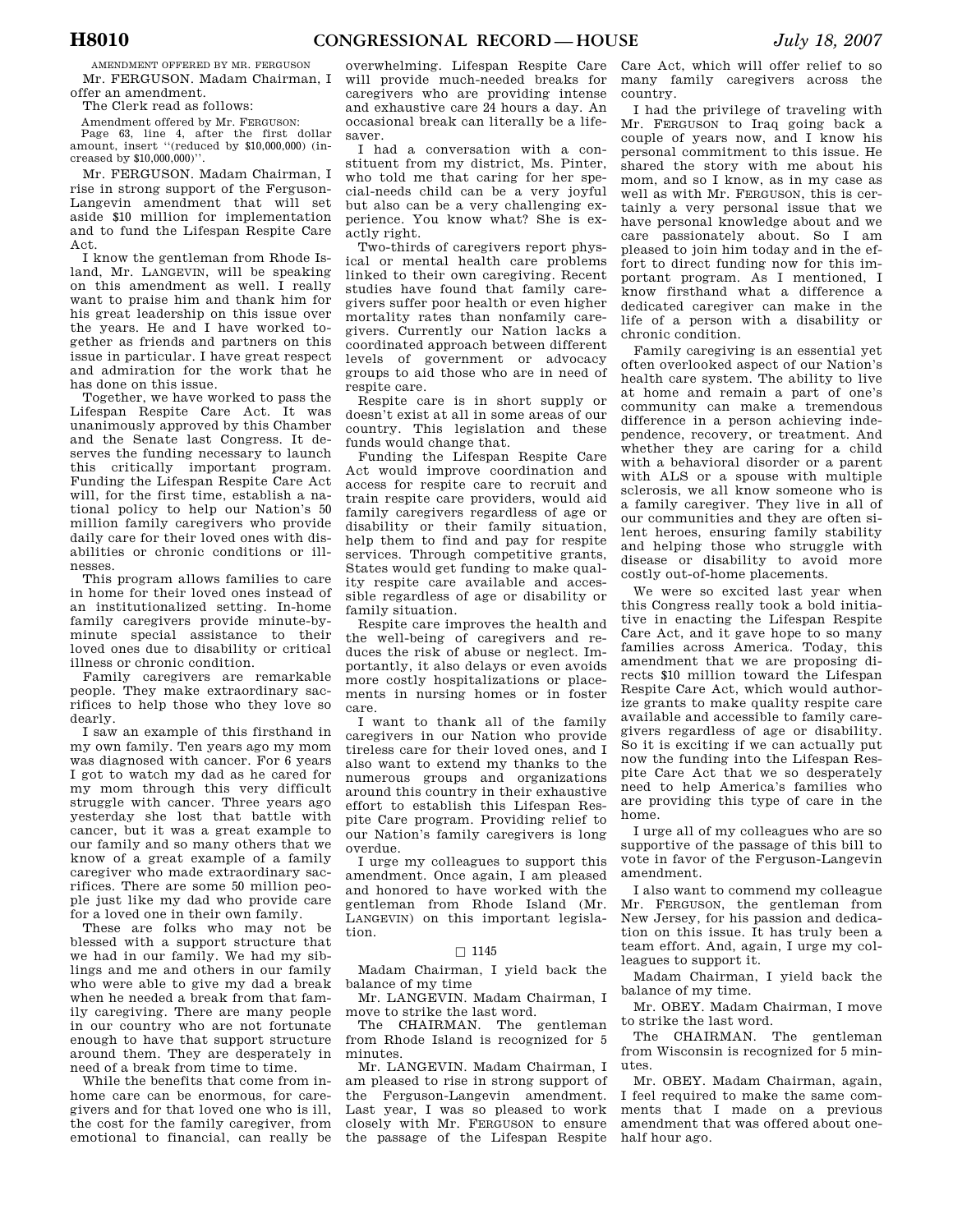AMENDMENT OFFERED BY MR. FERGUSON Mr. FERGUSON. Madam Chairman, I offer an amendment.

The Clerk read as follows:

Amendment offered by Mr. FERGUSON:

Page 63, line 4, after the first dollar amount, insert ''(reduced by \$10,000,000) (increased by \$10,000,000)''.

Mr. FERGUSON. Madam Chairman, I rise in strong support of the Ferguson-Langevin amendment that will set aside \$10 million for implementation and to fund the Lifespan Respite Care Act.

I know the gentleman from Rhode Island, Mr. LANGEVIN, will be speaking on this amendment as well. I really want to praise him and thank him for his great leadership on this issue over the years. He and I have worked together as friends and partners on this issue in particular. I have great respect and admiration for the work that he has done on this issue.

Together, we have worked to pass the Lifespan Respite Care Act. It was unanimously approved by this Chamber and the Senate last Congress. It deserves the funding necessary to launch this critically important program. Funding the Lifespan Respite Care Act will, for the first time, establish a national policy to help our Nation's 50 million family caregivers who provide daily care for their loved ones with disabilities or chronic conditions or illnesses.

This program allows families to care in home for their loved ones instead of an institutionalized setting. In-home family caregivers provide minute-byminute special assistance to their loved ones due to disability or critical illness or chronic condition.

Family caregivers are remarkable people. They make extraordinary sacrifices to help those who they love so dearly.

I saw an example of this firsthand in my own family. Ten years ago my mom was diagnosed with cancer. For 6 years I got to watch my dad as he cared for my mom through this very difficult struggle with cancer. Three years ago yesterday she lost that battle with cancer, but it was a great example to our family and so many others that we know of a great example of a family caregiver who made extraordinary sacrifices. There are some 50 million people just like my dad who provide care for a loved one in their own family.

These are folks who may not be blessed with a support structure that we had in our family. We had my siblings and me and others in our family who were able to give my dad a break when he needed a break from that family caregiving. There are many people in our country who are not fortunate enough to have that support structure around them. They are desperately in need of a break from time to time.

While the benefits that come from inhome care can be enormous, for caregivers and for that loved one who is ill, the cost for the family caregiver, from emotional to financial, can really be

overwhelming. Lifespan Respite Care will provide much-needed breaks for caregivers who are providing intense and exhaustive care 24 hours a day. An occasional break can literally be a lifesaver.

I had a conversation with a constituent from my district, Ms. Pinter, who told me that caring for her special-needs child can be a very joyful but also can be a very challenging experience. You know what? She is exactly right.

Two-thirds of caregivers report physical or mental health care problems linked to their own caregiving. Recent studies have found that family caregivers suffer poor health or even higher mortality rates than nonfamily caregivers. Currently our Nation lacks a coordinated approach between different levels of government or advocacy groups to aid those who are in need of respite care.

Respite care is in short supply or doesn't exist at all in some areas of our country. This legislation and these funds would change that.

Funding the Lifespan Respite Care Act would improve coordination and access for respite care to recruit and train respite care providers, would aid family caregivers regardless of age or disability or their family situation, help them to find and pay for respite services. Through competitive grants, States would get funding to make quality respite care available and accessible regardless of age or disability or family situation.

Respite care improves the health and the well-being of caregivers and reduces the risk of abuse or neglect. Importantly, it also delays or even avoids more costly hospitalizations or placements in nursing homes or in foster care.

I want to thank all of the family caregivers in our Nation who provide tireless care for their loved ones, and I also want to extend my thanks to the numerous groups and organizations around this country in their exhaustive effort to establish this Lifespan Respite Care program. Providing relief to our Nation's family caregivers is long overdue.

I urge my colleagues to support this amendment. Once again, I am pleased and honored to have worked with the gentleman from Rhode Island (Mr. LANGEVIN) on this important legislation.

# $\square$  1145

Madam Chairman, I yield back the balance of my time

Mr. LANGEVIN. Madam Chairman, I move to strike the last word.

The CHAIRMAN. The gentleman from Rhode Island is recognized for 5 minutes.

Mr. LANGEVIN. Madam Chairman, I am pleased to rise in strong support of the Ferguson-Langevin amendment. Last year, I was so pleased to work closely with Mr. FERGUSON to ensure the passage of the Lifespan Respite

Care Act, which will offer relief to so many family caregivers across the country.

I had the privilege of traveling with Mr. FERGUSON to Iraq going back a couple of years now, and I know his personal commitment to this issue. He shared the story with me about his mom, and so I know, as in my case as well as with Mr. FERGUSON, this is certainly a very personal issue that we have personal knowledge about and we care passionately about. So I am pleased to join him today and in the effort to direct funding now for this important program. As I mentioned, I know firsthand what a difference a dedicated caregiver can make in the life of a person with a disability or chronic condition.

Family caregiving is an essential yet often overlooked aspect of our Nation's health care system. The ability to live at home and remain a part of one's community can make a tremendous difference in a person achieving independence, recovery, or treatment. And whether they are caring for a child with a behavioral disorder or a parent with ALS or a spouse with multiple sclerosis, we all know someone who is a family caregiver. They live in all of our communities and they are often silent heroes, ensuring family stability and helping those who struggle with disease or disability to avoid more costly out-of-home placements.

We were so excited last year when this Congress really took a bold initiative in enacting the Lifespan Respite Care Act, and it gave hope to so many families across America. Today, this amendment that we are proposing directs \$10 million toward the Lifespan Respite Care Act, which would authorize grants to make quality respite care available and accessible to family caregivers regardless of age or disability. So it is exciting if we can actually put now the funding into the Lifespan Respite Care Act that we so desperately need to help America's families who are providing this type of care in the home.

I urge all of my colleagues who are so supportive of the passage of this bill to vote in favor of the Ferguson-Langevin amendment.

I also want to commend my colleague Mr. FERGUSON, the gentleman from New Jersey, for his passion and dedication on this issue. It has truly been a team effort. And, again, I urge my colleagues to support it.

Madam Chairman, I yield back the balance of my time.

Mr. OBEY. Madam Chairman, I move to strike the last word.

The CHAIRMAN. The gentleman from Wisconsin is recognized for 5 minutes.

Mr. OBEY. Madam Chairman, again, I feel required to make the same comments that I made on a previous amendment that was offered about onehalf hour ago.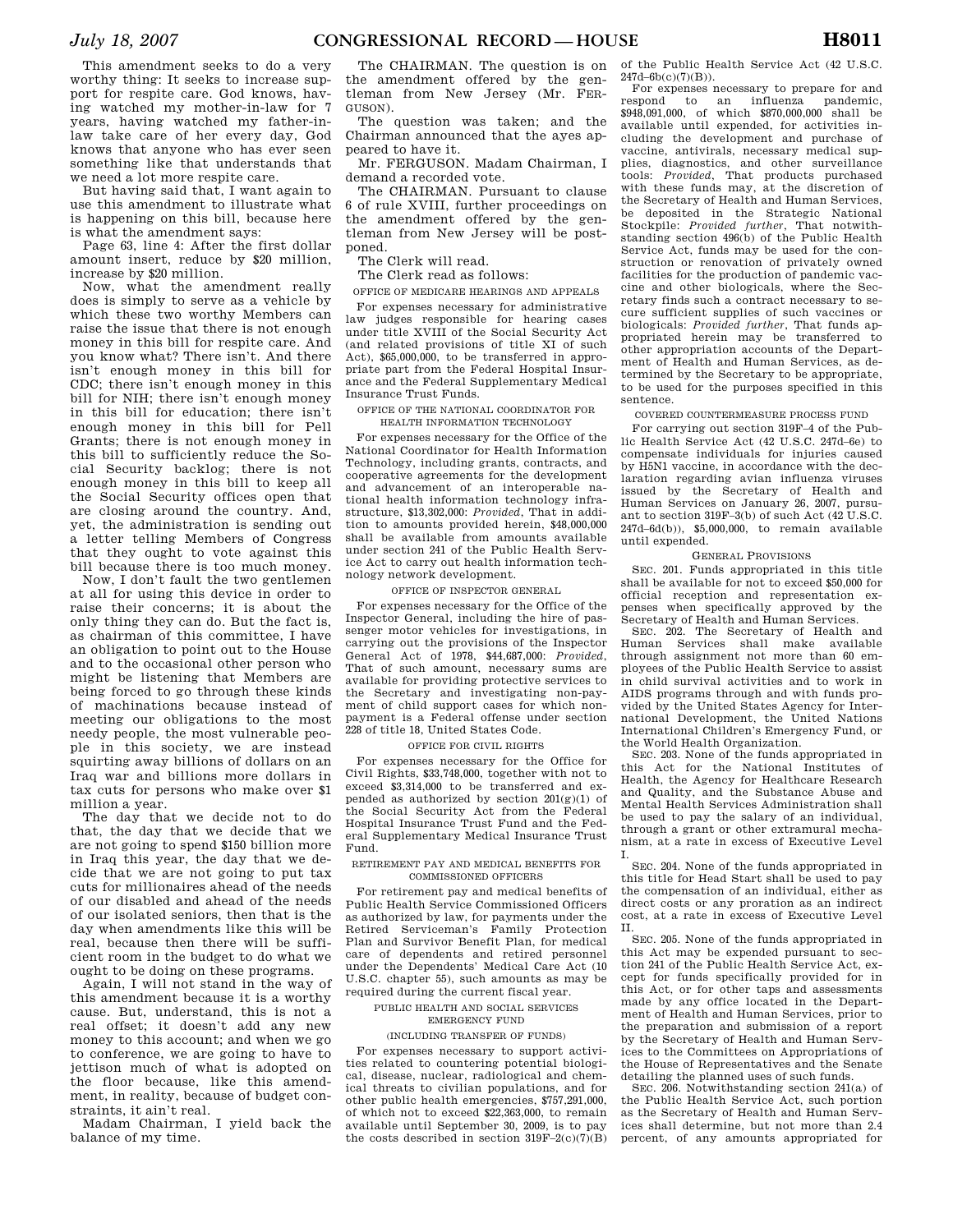This amendment seeks to do a very worthy thing: It seeks to increase support for respite care. God knows, having watched my mother-in-law for 7 years, having watched my father-inlaw take care of her every day, God knows that anyone who has ever seen something like that understands that we need a lot more respite care.

But having said that, I want again to use this amendment to illustrate what is happening on this bill, because here is what the amendment says:

Page 63, line 4: After the first dollar amount insert, reduce by \$20 million, increase by \$20 million.

Now, what the amendment really does is simply to serve as a vehicle by which these two worthy Members can raise the issue that there is not enough money in this bill for respite care. And you know what? There isn't. And there isn't enough money in this bill for CDC; there isn't enough money in this bill for NIH; there isn't enough money in this bill for education; there isn't enough money in this bill for Pell Grants; there is not enough money in this bill to sufficiently reduce the Social Security backlog; there is not enough money in this bill to keep all the Social Security offices open that are closing around the country. And, yet, the administration is sending out a letter telling Members of Congress that they ought to vote against this bill because there is too much money.

Now, I don't fault the two gentlemen at all for using this device in order to raise their concerns; it is about the only thing they can do. But the fact is, as chairman of this committee, I have an obligation to point out to the House and to the occasional other person who might be listening that Members are being forced to go through these kinds of machinations because instead of meeting our obligations to the most needy people, the most vulnerable people in this society, we are instead squirting away billions of dollars on an Iraq war and billions more dollars in tax cuts for persons who make over \$1 million a year.

The day that we decide not to do that, the day that we decide that we are not going to spend \$150 billion more in Iraq this year, the day that we decide that we are not going to put tax cuts for millionaires ahead of the needs of our disabled and ahead of the needs of our isolated seniors, then that is the day when amendments like this will be real, because then there will be sufficient room in the budget to do what we ought to be doing on these programs.

Again, I will not stand in the way of this amendment because it is a worthy cause. But, understand, this is not a real offset; it doesn't add any new money to this account; and when we go to conference, we are going to have to jettison much of what is adopted on the floor because, like this amendment, in reality, because of budget constraints, it ain't real.

Madam Chairman, I yield back the balance of my time.

The CHAIRMAN. The question is on the amendment offered by the gentleman from New Jersey (Mr. FER-GUSON).

The question was taken; and the Chairman announced that the ayes appeared to have it.

Mr. FERGUSON. Madam Chairman, I demand a recorded vote.

The CHAIRMAN. Pursuant to clause 6 of rule XVIII, further proceedings on the amendment offered by the gentleman from New Jersey will be postponed.

The Clerk will read.

The Clerk read as follows:

OFFICE OF MEDICARE HEARINGS AND APPEALS

For expenses necessary for administrative law judges responsible for hearing cases under title XVIII of the Social Security Act (and related provisions of title XI of such Act), \$65,000,000, to be transferred in appropriate part from the Federal Hospital Insurance and the Federal Supplementary Medical Insurance Trust Funds.

#### OFFICE OF THE NATIONAL COORDINATOR FOR HEALTH INFORMATION TECHNOLOGY

For expenses necessary for the Office of the National Coordinator for Health Information Technology, including grants, contracts, and cooperative agreements for the development and advancement of an interoperable national health information technology infrastructure, \$13,302,000: *Provided*, That in addition to amounts provided herein, \$48,000,000 shall be available from amounts available under section 241 of the Public Health Service Act to carry out health information technology network development.

#### OFFICE OF INSPECTOR GENERAL

For expenses necessary for the Office of the Inspector General, including the hire of passenger motor vehicles for investigations, in carrying out the provisions of the Inspector General Act of 1978, \$44,687,000: *Provided*, That of such amount, necessary sums are available for providing protective services to the Secretary and investigating non-payment of child support cases for which nonpayment is a Federal offense under section 228 of title 18, United States Code.

#### OFFICE FOR CIVIL RIGHTS

For expenses necessary for the Office for Civil Rights, \$33,748,000, together with not to exceed \$3,314,000 to be transferred and expended as authorized by section  $201(g)(1)$  of the Social Security Act from the Federal Hospital Insurance Trust Fund and the Federal Supplementary Medical Insurance Trust Fund.

#### RETIREMENT PAY AND MEDICAL BENEFITS FOR COMMISSIONED OFFICERS

For retirement pay and medical benefits of Public Health Service Commissioned Officers as authorized by law, for payments under the Retired Serviceman's Family Protection Plan and Survivor Benefit Plan, for medical care of dependents and retired personnel under the Dependents' Medical Care Act (10 U.S.C. chapter 55), such amounts as may be required during the current fiscal year.

#### PUBLIC HEALTH AND SOCIAL SERVICES EMERGENCY FUND

## (INCLUDING TRANSFER OF FUNDS)

For expenses necessary to support activities related to countering potential biological, disease, nuclear, radiological and chemical threats to civilian populations, and for other public health emergencies, \$757,291,000, of which not to exceed \$22,363,000, to remain available until September 30, 2009, is to pay the costs described in section  $319F-2(c)(7)(B)$ 

of the Public Health Service Act (42 U.S.C. 247d–6b(c)(7)(B)).

For expenses necessary to prepare for and<br>respond to an influenza pandemic. to an influenza pandemic, \$948,091,000, of which \$870,000,000 shall be available until expended, for activities including the development and purchase of vaccine, antivirals, necessary medical supplies, diagnostics, and other surveillance tools: *Provided*, That products purchased with these funds may, at the discretion of the Secretary of Health and Human Services, be deposited in the Strategic National Stockpile: *Provided further*, That notwithstanding section 496(b) of the Public Health Service Act, funds may be used for the construction or renovation of privately owned facilities for the production of pandemic vaccine and other biologicals, where the Secretary finds such a contract necessary to secure sufficient supplies of such vaccines or biologicals: *Provided further*, That funds appropriated herein may be transferred to other appropriation accounts of the Department of Health and Human Services, as determined by the Secretary to be appropriate, to be used for the purposes specified in this sentence.

### COVERED COUNTERMEASURE PROCESS FUND

For carrying out section 319F–4 of the Public Health Service Act (42 U.S.C. 247d–6e) to compensate individuals for injuries caused by H5N1 vaccine, in accordance with the declaration regarding avian influenza viruses issued by the Secretary of Health and Human Services on January 26, 2007, pursuant to section 319F–3(b) of such Act (42 U.S.C. 247d–6d(b)), \$5,000,000, to remain available until expended.

## GENERAL PROVISIONS

SEC. 201. Funds appropriated in this title shall be available for not to exceed \$50,000 for official reception and representation expenses when specifically approved by the Secretary of Health and Human Services.

SEC. 202. The Secretary of Health and Human Services shall make available through assignment not more than 60 employees of the Public Health Service to assist in child survival activities and to work in AIDS programs through and with funds provided by the United States Agency for International Development, the United Nations International Children's Emergency Fund, or the World Health Organization.

SEC. 203. None of the funds appropriated in this Act for the National Institutes of Health, the Agency for Healthcare Research and Quality, and the Substance Abuse and Mental Health Services Administration shall be used to pay the salary of an individual, through a grant or other extramural mechanism, at a rate in excess of Executive Level I.

SEC. 204. None of the funds appropriated in this title for Head Start shall be used to pay the compensation of an individual, either as direct costs or any proration as an indirect cost, at a rate in excess of Executive Level II.

SEC. 205. None of the funds appropriated in this Act may be expended pursuant to section 241 of the Public Health Service Act, except for funds specifically provided for in this Act, or for other taps and assessments made by any office located in the Department of Health and Human Services, prior to the preparation and submission of a report by the Secretary of Health and Human Services to the Committees on Appropriations of the House of Representatives and the Senate detailing the planned uses of such funds.

SEC. 206. Notwithstanding section 241(a) of the Public Health Service Act, such portion as the Secretary of Health and Human Services shall determine, but not more than 2.4 percent, of any amounts appropriated for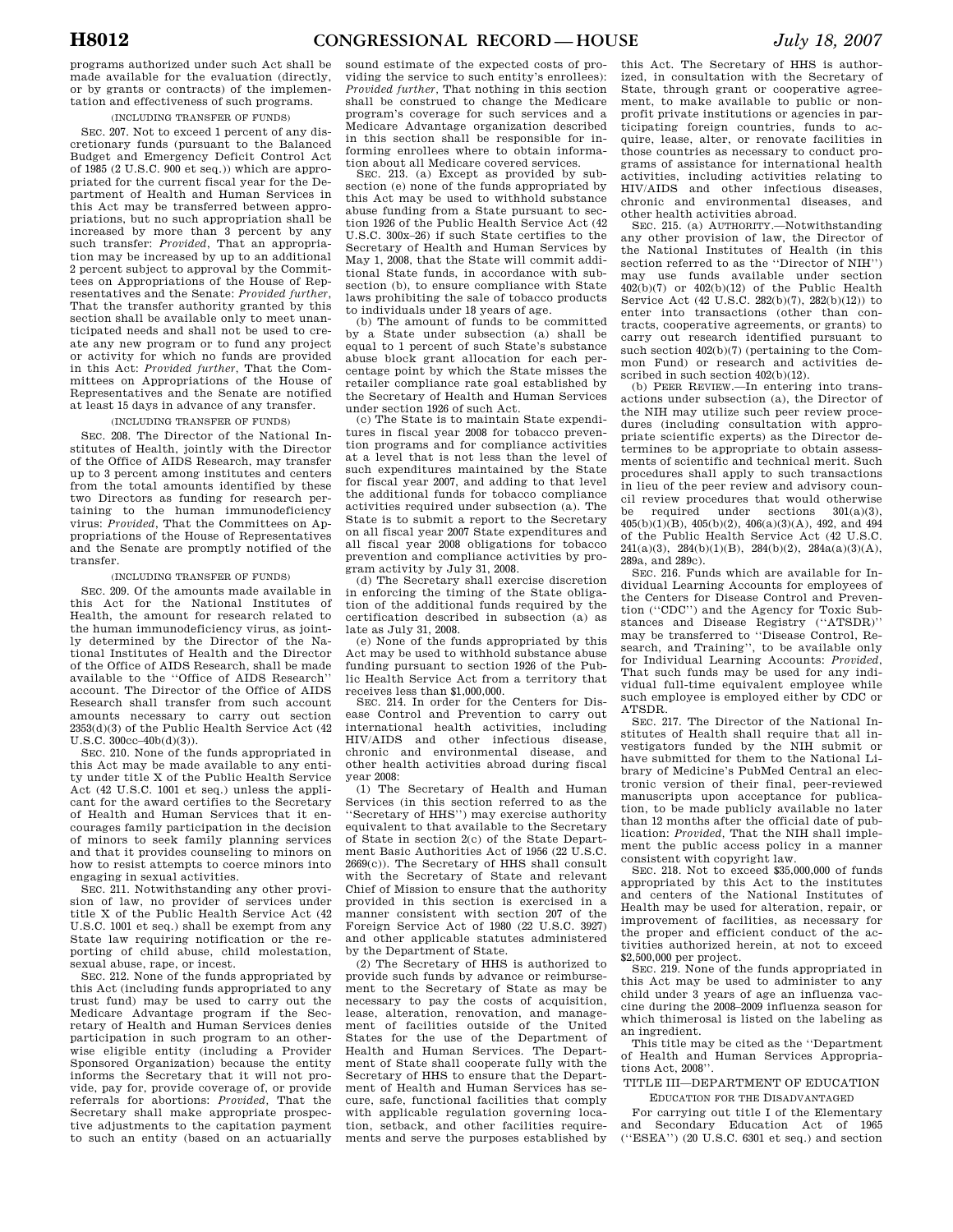programs authorized under such Act shall be made available for the evaluation (directly, or by grants or contracts) of the implementation and effectiveness of such programs.

# (INCLUDING TRANSFER OF FUNDS)

SEC. 207. Not to exceed 1 percent of any discretionary funds (pursuant to the Balanced Budget and Emergency Deficit Control Act of 1985 (2 U.S.C. 900 et seq.)) which are appropriated for the current fiscal year for the Department of Health and Human Services in this Act may be transferred between appropriations, but no such appropriation shall be increased by more than 3 percent by any such transfer: *Provided*, That an appropriation may be increased by up to an additional 2 percent subject to approval by the Committees on Appropriations of the House of Representatives and the Senate: *Provided further*, That the transfer authority granted by this section shall be available only to meet unanticipated needs and shall not be used to create any new program or to fund any project or activity for which no funds are provided in this Act: *Provided further*, That the Committees on Appropriations of the House of Representatives and the Senate are notified at least 15 days in advance of any transfer.

### (INCLUDING TRANSFER OF FUNDS)

SEC. 208. The Director of the National Institutes of Health, jointly with the Director of the Office of AIDS Research, may transfer up to 3 percent among institutes and centers from the total amounts identified by these two Directors as funding for research pertaining to the human immunodeficiency virus: *Provided*, That the Committees on Appropriations of the House of Representatives and the Senate are promptly notified of the transfer.

#### (INCLUDING TRANSFER OF FUNDS)

SEC. 209. Of the amounts made available in this Act for the National Institutes of Health, the amount for research related to the human immunodeficiency virus, as jointly determined by the Director of the National Institutes of Health and the Director of the Office of AIDS Research, shall be made available to the ''Office of AIDS Research'' account. The Director of the Office of AIDS Research shall transfer from such account amounts necessary to carry out section  $2353(d)(3)$  of the Public Health Service Act  $(42)$ U.S.C. 300cc–40b(d)(3)).

SEC. 210. None of the funds appropriated in this Act may be made available to any entity under title X of the Public Health Service Act (42 U.S.C. 1001 et seq.) unless the applicant for the award certifies to the Secretary of Health and Human Services that it encourages family participation in the decision of minors to seek family planning services and that it provides counseling to minors on how to resist attempts to coerce minors into engaging in sexual activities.

SEC. 211. Notwithstanding any other provision of law, no provider of services under title X of the Public Health Service Act (42 U.S.C. 1001 et seq.) shall be exempt from any State law requiring notification or the reporting of child abuse, child molestation, sexual abuse, rape, or incest.

SEC. 212. None of the funds appropriated by this Act (including funds appropriated to any trust fund) may be used to carry out the Medicare Advantage program if the Secretary of Health and Human Services denies participation in such program to an otherwise eligible entity (including a Provider Sponsored Organization) because the entity informs the Secretary that it will not provide, pay for, provide coverage of, or provide referrals for abortions: *Provided,* That the Secretary shall make appropriate prospective adjustments to the capitation payment to such an entity (based on an actuarially

sound estimate of the expected costs of providing the service to such entity's enrollees): *Provided further,* That nothing in this section shall be construed to change the Medicare program's coverage for such services and a Medicare Advantage organization described in this section shall be responsible for informing enrollees where to obtain information about all Medicare covered services.

SEC. 213. (a) Except as provided by subsection (e) none of the funds appropriated by this Act may be used to withhold substance abuse funding from a State pursuant to section 1926 of the Public Health Service Act (42 U.S.C. 300x–26) if such State certifies to the Secretary of Health and Human Services by May 1, 2008, that the State will commit additional State funds, in accordance with subsection (b), to ensure compliance with State laws prohibiting the sale of tobacco products to individuals under 18 years of age.

(b) The amount of funds to be committed by a State under subsection (a) shall be equal to 1 percent of such State's substance abuse block grant allocation for each percentage point by which the State misses the retailer compliance rate goal established by the Secretary of Health and Human Services under section 1926 of such Act.

(c) The State is to maintain State expenditures in fiscal year 2008 for tobacco prevention programs and for compliance activities at a level that is not less than the level of such expenditures maintained by the State for fiscal year 2007, and adding to that level the additional funds for tobacco compliance activities required under subsection (a). The State is to submit a report to the Secretary on all fiscal year 2007 State expenditures and all fiscal year 2008 obligations for tobacco prevention and compliance activities by program activity by July 31, 2008.

(d) The Secretary shall exercise discretion in enforcing the timing of the State obligation of the additional funds required by the certification described in subsection (a) as late as July 31, 2008.

(e) None of the funds appropriated by this Act may be used to withhold substance abuse funding pursuant to section 1926 of the Public Health Service Act from a territory that receives less than \$1,000,000.

SEC. 214. In order for the Centers for Disease Control and Prevention to carry out international health activities, including HIV/AIDS and other infectious disease, chronic and environmental disease, and other health activities abroad during fiscal year 2008:

(1) The Secretary of Health and Human Services (in this section referred to as the ''Secretary of HHS'') may exercise authority equivalent to that available to the Secretary of State in section 2(c) of the State Department Basic Authorities Act of 1956 (22 U.S.C. 2669(c)). The Secretary of HHS shall consult with the Secretary of State and relevant Chief of Mission to ensure that the authority provided in this section is exercised in a manner consistent with section 207 of the Foreign Service Act of 1980 (22 U.S.C. 3927) and other applicable statutes administered by the Department of State.

(2) The Secretary of HHS is authorized to provide such funds by advance or reimbursement to the Secretary of State as may be necessary to pay the costs of acquisition, lease, alteration, renovation, and management of facilities outside of the United States for the use of the Department of Health and Human Services. The Department of State shall cooperate fully with the Secretary of HHS to ensure that the Department of Health and Human Services has secure, safe, functional facilities that comply with applicable regulation governing location, setback, and other facilities requirements and serve the purposes established by

this Act. The Secretary of HHS is authorized, in consultation with the Secretary of State, through grant or cooperative agreement, to make available to public or nonprofit private institutions or agencies in participating foreign countries, funds to acquire, lease, alter, or renovate facilities in those countries as necessary to conduct programs of assistance for international health activities, including activities relating to HIV/AIDS and other infectious diseases, chronic and environmental diseases, and other health activities abroad.

SEC. 215. (a) AUTHORITY.—Notwithstanding any other provision of law, the Director of the National Institutes of Health (in this section referred to as the ''Director of NIH'') may use funds available under section  $402(b)(7)$  or  $402(b)(12)$  of the Public Health Service Act (42 U.S.C. 282(b)(7), 282(b)(12)) to enter into transactions (other than contracts, cooperative agreements, or grants) to carry out research identified pursuant to such section 402(b)(7) (pertaining to the Common Fund) or research and activities described in such section 402(b)(12).

(b) PEER REVIEW.—In entering into transactions under subsection (a), the Director of the NIH may utilize such peer review procedures (including consultation with appropriate scientific experts) as the Director determines to be appropriate to obtain assessments of scientific and technical merit. Such procedures shall apply to such transactions in lieu of the peer review and advisory council review procedures that would otherwise be required under sections 301(a)(3),  $405(b)(1)(B)$ ,  $405(b)(2)$ ,  $406(a)(3)(A)$ ,  $492$ , and  $494$ of the Public Health Service Act (42 U.S.C. 241(a)(3), 284(b)(1)(B), 284(b)(2), 284a(a)(3)(A), 289a, and 289c).

SEC. 216. Funds which are available for Individual Learning Accounts for employees of the Centers for Disease Control and Prevention (''CDC'') and the Agency for Toxic Substances and Disease Registry (''ATSDR)'' may be transferred to ''Disease Control, Research, and Training'', to be available only for Individual Learning Accounts: *Provided*, That such funds may be used for any individual full-time equivalent employee while such employee is employed either by CDC or ATSDR.

SEC. 217. The Director of the National Institutes of Health shall require that all investigators funded by the NIH submit or have submitted for them to the National Library of Medicine's PubMed Central an electronic version of their final, peer-reviewed manuscripts upon acceptance for publication, to be made publicly available no later than 12 months after the official date of publication: *Provided,* That the NIH shall implement the public access policy in a manner consistent with copyright law.

SEC. 218. Not to exceed \$35,000,000 of funds appropriated by this Act to the institutes and centers of the National Institutes of Health may be used for alteration, repair, or improvement of facilities, as necessary for the proper and efficient conduct of the activities authorized herein, at not to exceed \$2,500,000 per project.

SEC. 219. None of the funds appropriated in this Act may be used to administer to any child under 3 years of age an influenza vaccine during the 2008–2009 influenza season for which thimerosal is listed on the labeling as an ingredient.

This title may be cited as the ''Department of Health and Human Services Appropriations Act, 2008''.

TITLE III—DEPARTMENT OF EDUCATION EDUCATION FOR THE DISADVANTAGED

For carrying out title I of the Elementary and Secondary Education Act of 1965 (''ESEA'') (20 U.S.C. 6301 et seq.) and section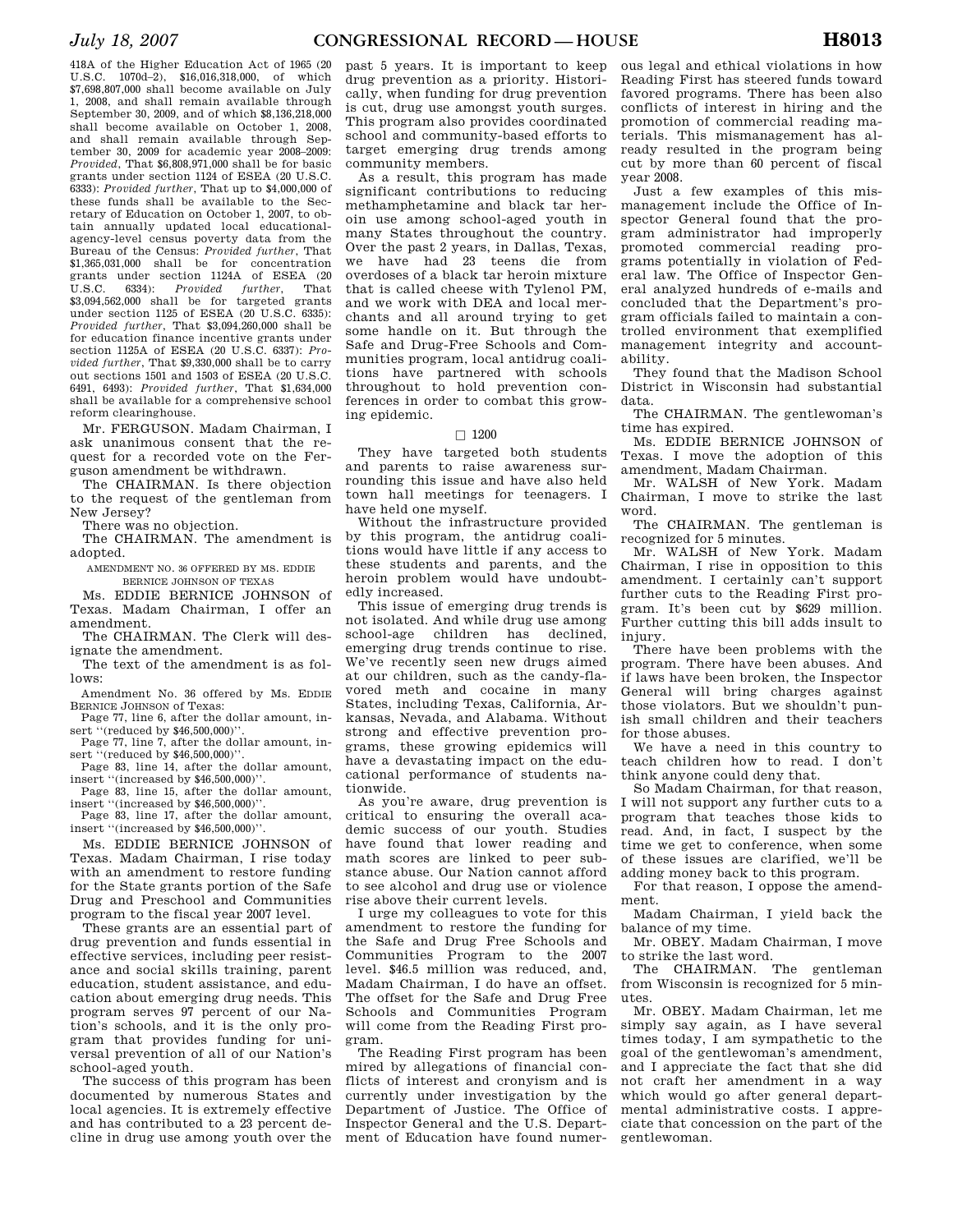418A of the Higher Education Act of 1965 (20 U.S.C. 1070d–2), \$16,016,318,000, of which \$7,698,807,000 shall become available on July 1, 2008, and shall remain available through September 30, 2009, and of which \$8,136,218,000 shall become available on October 1, 2008, and shall remain available through September 30, 2009 for academic year 2008–2009: *Provided*, That \$6,808,971,000 shall be for basic grants under section 1124 of ESEA (20 U.S.C. 6333): *Provided further*, That up to \$4,000,000 of these funds shall be available to the Secretary of Education on October 1, 2007, to obtain annually updated local educationalagency-level census poverty data from the Bureau of the Census: *Provided further*, That \$1,365,031,000 shall be for concentration grants under section 1124A of ESEA (20 U.S.C. 6334): *Provided further*, That \$3,094,562,000 shall be for targeted grants under section 1125 of ESEA (20 U.S.C. 6335): *Provided further*, That \$3,094,260,000 shall be for education finance incentive grants under section 1125A of ESEA (20 U.S.C. 6337): *Provided further*, That \$9,330,000 shall be to carry out sections 1501 and 1503 of ESEA (20 U.S.C. 6491, 6493): *Provided further*, That \$1,634,000 shall be available for a comprehensive school reform clearinghouse.

Mr. FERGUSON. Madam Chairman, I ask unanimous consent that the request for a recorded vote on the Ferguson amendment be withdrawn.

The CHAIRMAN. Is there objection to the request of the gentleman from New Jersey?

There was no objection.

The CHAIRMAN. The amendment is adopted.

AMENDMENT NO. 36 OFFERED BY MS. EDDIE BERNICE JOHNSON OF TEXAS

Ms. EDDIE BERNICE JOHNSON of Texas. Madam Chairman, I offer an amendment.

The CHAIRMAN. The Clerk will designate the amendment.

The text of the amendment is as follows:

Amendment No. 36 offered by Ms. EDDIE BERNICE JOHNSON of Texas:

Page 77, line 6, after the dollar amount, insert "(reduced by \$46,500,000)".

Page 77, line 7, after the dollar amount, insert "(reduced by \$46,500,000)".

Page 83, line 14, after the dollar amount, insert ''(increased by \$46,500,000)''.

Page 83, line 15, after the dollar amount, insert ''(increased by \$46,500,000)''.

Page 83, line 17, after the dollar amount, insert ''(increased by \$46,500,000)''.

Ms. EDDIE BERNICE JOHNSON of Texas. Madam Chairman, I rise today with an amendment to restore funding for the State grants portion of the Safe Drug and Preschool and Communities program to the fiscal year 2007 level.

These grants are an essential part of drug prevention and funds essential in effective services, including peer resistance and social skills training, parent education, student assistance, and education about emerging drug needs. This program serves 97 percent of our Nation's schools, and it is the only program that provides funding for universal prevention of all of our Nation's school-aged youth.

The success of this program has been documented by numerous States and local agencies. It is extremely effective and has contributed to a 23 percent decline in drug use among youth over the past 5 years. It is important to keep drug prevention as a priority. Historically, when funding for drug prevention is cut, drug use amongst youth surges. This program also provides coordinated school and community-based efforts to target emerging drug trends among community members.

As a result, this program has made significant contributions to reducing methamphetamine and black tar heroin use among school-aged youth in many States throughout the country. Over the past 2 years, in Dallas, Texas, we have had 23 teens die from overdoses of a black tar heroin mixture that is called cheese with Tylenol PM, and we work with DEA and local merchants and all around trying to get some handle on it. But through the Safe and Drug-Free Schools and Communities program, local antidrug coalitions have partnered with schools throughout to hold prevention conferences in order to combat this growing epidemic.

#### $\Box$  1200

They have targeted both students and parents to raise awareness surrounding this issue and have also held town hall meetings for teenagers. I have held one myself.

Without the infrastructure provided by this program, the antidrug coalitions would have little if any access to these students and parents, and the heroin problem would have undoubtedly increased.

This issue of emerging drug trends is not isolated. And while drug use among school-age children has declined emerging drug trends continue to rise. We've recently seen new drugs aimed at our children, such as the candy-flavored meth and cocaine in many States, including Texas, California, Arkansas, Nevada, and Alabama. Without strong and effective prevention programs, these growing epidemics will have a devastating impact on the educational performance of students nationwide.

As you're aware, drug prevention is critical to ensuring the overall academic success of our youth. Studies have found that lower reading and math scores are linked to peer substance abuse. Our Nation cannot afford to see alcohol and drug use or violence rise above their current levels.

I urge my colleagues to vote for this amendment to restore the funding for the Safe and Drug Free Schools and Communities Program to the 2007 level. \$46.5 million was reduced, and, Madam Chairman, I do have an offset. The offset for the Safe and Drug Free Schools and Communities Program will come from the Reading First program.

The Reading First program has been mired by allegations of financial conflicts of interest and cronyism and is currently under investigation by the Department of Justice. The Office of Inspector General and the U.S. Department of Education have found numer-

ous legal and ethical violations in how Reading First has steered funds toward favored programs. There has been also conflicts of interest in hiring and the promotion of commercial reading materials. This mismanagement has already resulted in the program being cut by more than 60 percent of fiscal year 2008.

Just a few examples of this mismanagement include the Office of Inspector General found that the program administrator had improperly promoted commercial reading programs potentially in violation of Federal law. The Office of Inspector General analyzed hundreds of e-mails and concluded that the Department's program officials failed to maintain a controlled environment that exemplified management integrity and accountability.

They found that the Madison School District in Wisconsin had substantial data.

The CHAIRMAN. The gentlewoman's time has expired.

Ms. EDDIE BERNICE JOHNSON of Texas. I move the adoption of this amendment, Madam Chairman.

Mr. WALSH of New York. Madam Chairman, I move to strike the last word.

The CHAIRMAN. The gentleman is recognized for 5 minutes.

Mr. WALSH of New York. Madam Chairman, I rise in opposition to this amendment. I certainly can't support further cuts to the Reading First program. It's been cut by \$629 million. Further cutting this bill adds insult to injury.

There have been problems with the program. There have been abuses. And if laws have been broken, the Inspector General will bring charges against those violators. But we shouldn't punish small children and their teachers for those abuses.

We have a need in this country to teach children how to read. I don't think anyone could deny that.

So Madam Chairman, for that reason, I will not support any further cuts to a program that teaches those kids to read. And, in fact, I suspect by the time we get to conference, when some of these issues are clarified, we'll be adding money back to this program.

For that reason, I oppose the amendment.

Madam Chairman, I yield back the balance of my time.

Mr. OBEY. Madam Chairman, I move to strike the last word.

The CHAIRMAN. The gentleman from Wisconsin is recognized for 5 minutes.

Mr. OBEY. Madam Chairman, let me simply say again, as I have several times today, I am sympathetic to the goal of the gentlewoman's amendment, and I appreciate the fact that she did not craft her amendment in a way which would go after general departmental administrative costs. I appreciate that concession on the part of the gentlewoman.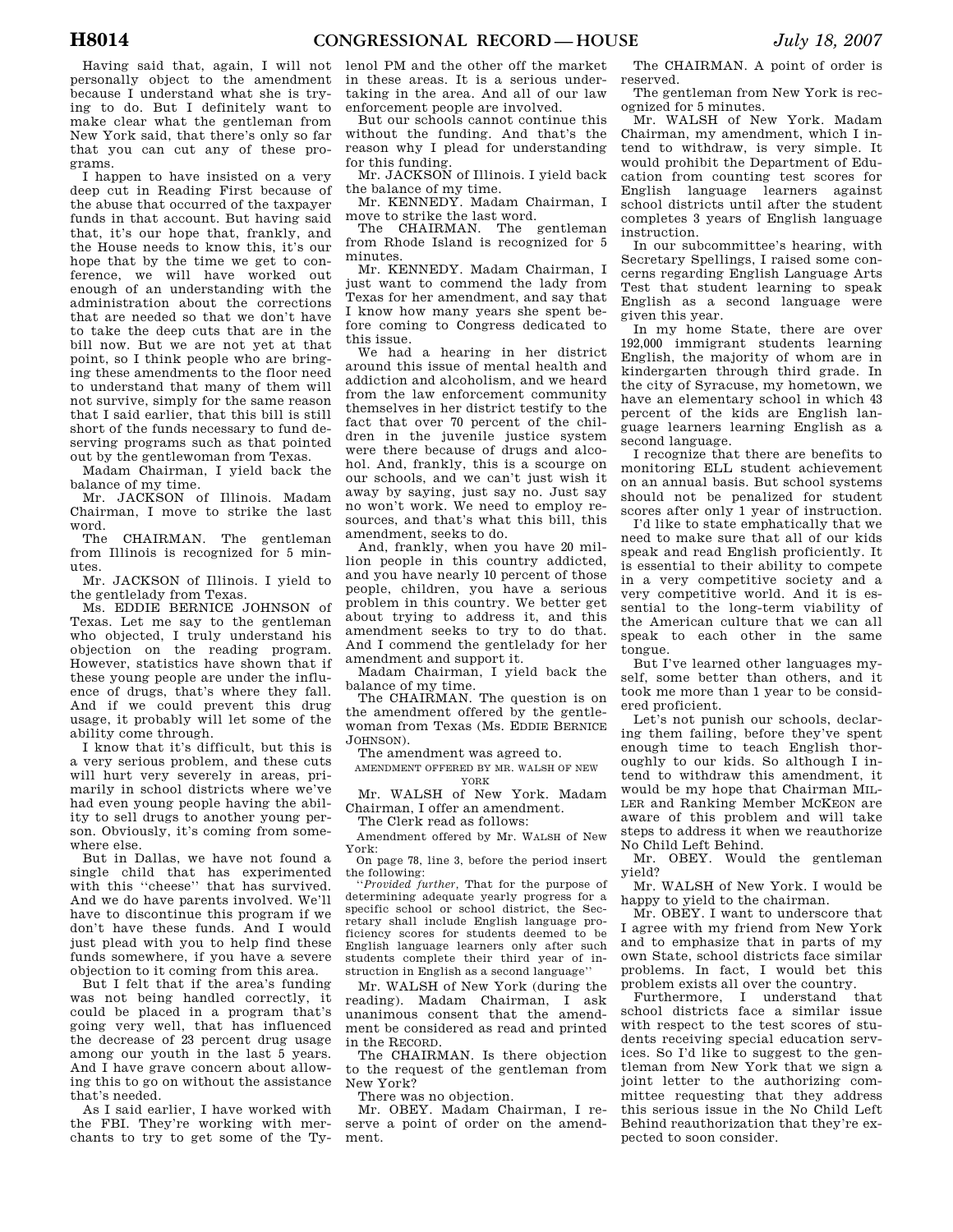Having said that, again, I will not personally object to the amendment because I understand what she is trying to do. But I definitely want to make clear what the gentleman from New York said, that there's only so far that you can cut any of these programs.

I happen to have insisted on a very deep cut in Reading First because of the abuse that occurred of the taxpayer funds in that account. But having said that, it's our hope that, frankly, and the House needs to know this, it's our hope that by the time we get to conference, we will have worked out enough of an understanding with the administration about the corrections that are needed so that we don't have to take the deep cuts that are in the bill now. But we are not yet at that point, so I think people who are bringing these amendments to the floor need to understand that many of them will not survive, simply for the same reason that I said earlier, that this bill is still short of the funds necessary to fund deserving programs such as that pointed out by the gentlewoman from Texas.

Madam Chairman, I yield back the balance of my time.

Mr. JACKSON of Illinois. Madam Chairman, I move to strike the last word.

The CHAIRMAN. The gentleman from Illinois is recognized for 5 minutes.

Mr. JACKSON of Illinois. I yield to the gentlelady from Texas.

Ms. EDDIE BERNICE JOHNSON of Texas. Let me say to the gentleman who objected, I truly understand his objection on the reading program. However, statistics have shown that if these young people are under the influence of drugs, that's where they fall. And if we could prevent this drug usage, it probably will let some of the ability come through.

I know that it's difficult, but this is a very serious problem, and these cuts will hurt very severely in areas, primarily in school districts where we've had even young people having the ability to sell drugs to another young person. Obviously, it's coming from somewhere else.

But in Dallas, we have not found a single child that has experimented with this ''cheese'' that has survived. And we do have parents involved. We'll have to discontinue this program if we don't have these funds. And I would just plead with you to help find these funds somewhere, if you have a severe objection to it coming from this area.

But I felt that if the area's funding was not being handled correctly, it could be placed in a program that's going very well, that has influenced the decrease of 23 percent drug usage among our youth in the last 5 years. And I have grave concern about allowing this to go on without the assistance that's needed.

As I said earlier, I have worked with the FBI. They're working with merchants to try to get some of the Ty-

lenol PM and the other off the market in these areas. It is a serious undertaking in the area. And all of our law enforcement people are involved.

But our schools cannot continue this without the funding. And that's the reason why I plead for understanding for this funding.

Mr. JACKSON of Illinois. I yield back the balance of my time.

Mr. KENNEDY. Madam Chairman, I move to strike the last word.

The CHAIRMAN. The gentleman from Rhode Island is recognized for 5 minutes.

Mr. KENNEDY. Madam Chairman, I just want to commend the lady from Texas for her amendment, and say that I know how many years she spent before coming to Congress dedicated to this issue.

We had a hearing in her district around this issue of mental health and addiction and alcoholism, and we heard from the law enforcement community themselves in her district testify to the fact that over 70 percent of the children in the juvenile justice system were there because of drugs and alcohol. And, frankly, this is a scourge on our schools, and we can't just wish it away by saying, just say no. Just say no won't work. We need to employ resources, and that's what this bill, this amendment, seeks to do.

And, frankly, when you have 20 million people in this country addicted, and you have nearly 10 percent of those people, children, you have a serious problem in this country. We better get about trying to address it, and this amendment seeks to try to do that. And I commend the gentlelady for her amendment and support it.

Madam Chairman, I yield back the balance of my time.

The CHAIRMAN. The question is on the amendment offered by the gentlewoman from Texas (Ms. EDDIE BERNICE JOHNSON).

The amendment was agreed to.

AMENDMENT OFFERED BY MR. WALSH OF NEW YORK

Mr. WALSH of New York. Madam Chairman, I offer an amendment.

The Clerk read as follows:

Amendment offered by Mr. WALSH of New York: On page 78, line 3, before the period insert

the following: ''*Provided further,* That for the purpose of

determining adequate yearly progress for a specific school or school district, the Secretary shall include English language proficiency scores for students deemed to be English language learners only after such students complete their third year of instruction in English as a second language''

Mr. WALSH of New York (during the reading). Madam Chairman, I ask unanimous consent that the amendment be considered as read and printed in the RECORD.

The CHAIRMAN. Is there objection to the request of the gentleman from New York?

There was no objection.

Mr. OBEY. Madam Chairman, I reserve a point of order on the amendment.

The CHAIRMAN. A point of order is reserved.

The gentleman from New York is recognized for 5 minutes.

Mr. WALSH of New York. Madam Chairman, my amendment, which I intend to withdraw, is very simple. It would prohibit the Department of Education from counting test scores for English language learners against school districts until after the student completes 3 years of English language instruction.

In our subcommittee's hearing, with Secretary Spellings, I raised some concerns regarding English Language Arts Test that student learning to speak English as a second language were given this year.

In my home State, there are over 192,000 immigrant students learning English, the majority of whom are in kindergarten through third grade. In the city of Syracuse, my hometown, we have an elementary school in which 43 percent of the kids are English language learners learning English as a second language.

I recognize that there are benefits to monitoring ELL student achievement on an annual basis. But school systems should not be penalized for student scores after only 1 year of instruction.

I'd like to state emphatically that we need to make sure that all of our kids speak and read English proficiently. It is essential to their ability to compete in a very competitive society and a very competitive world. And it is essential to the long-term viability of the American culture that we can all speak to each other in the same tongue.

But I've learned other languages myself, some better than others, and it took me more than 1 year to be considered proficient.

Let's not punish our schools, declaring them failing, before they've spent enough time to teach English thoroughly to our kids. So although I intend to withdraw this amendment, it would be my hope that Chairman MIL-LER and Ranking Member MCKEON are aware of this problem and will take steps to address it when we reauthorize No Child Left Behind.

Mr. OBEY. Would the gentleman yield?

Mr. WALSH of New York. I would be happy to yield to the chairman.

Mr. OBEY. I want to underscore that I agree with my friend from New York and to emphasize that in parts of my own State, school districts face similar problems. In fact, I would bet this problem exists all over the country.

Furthermore, I understand that school districts face a similar issue with respect to the test scores of students receiving special education services. So I'd like to suggest to the gentleman from New York that we sign a joint letter to the authorizing committee requesting that they address this serious issue in the No Child Left Behind reauthorization that they're expected to soon consider.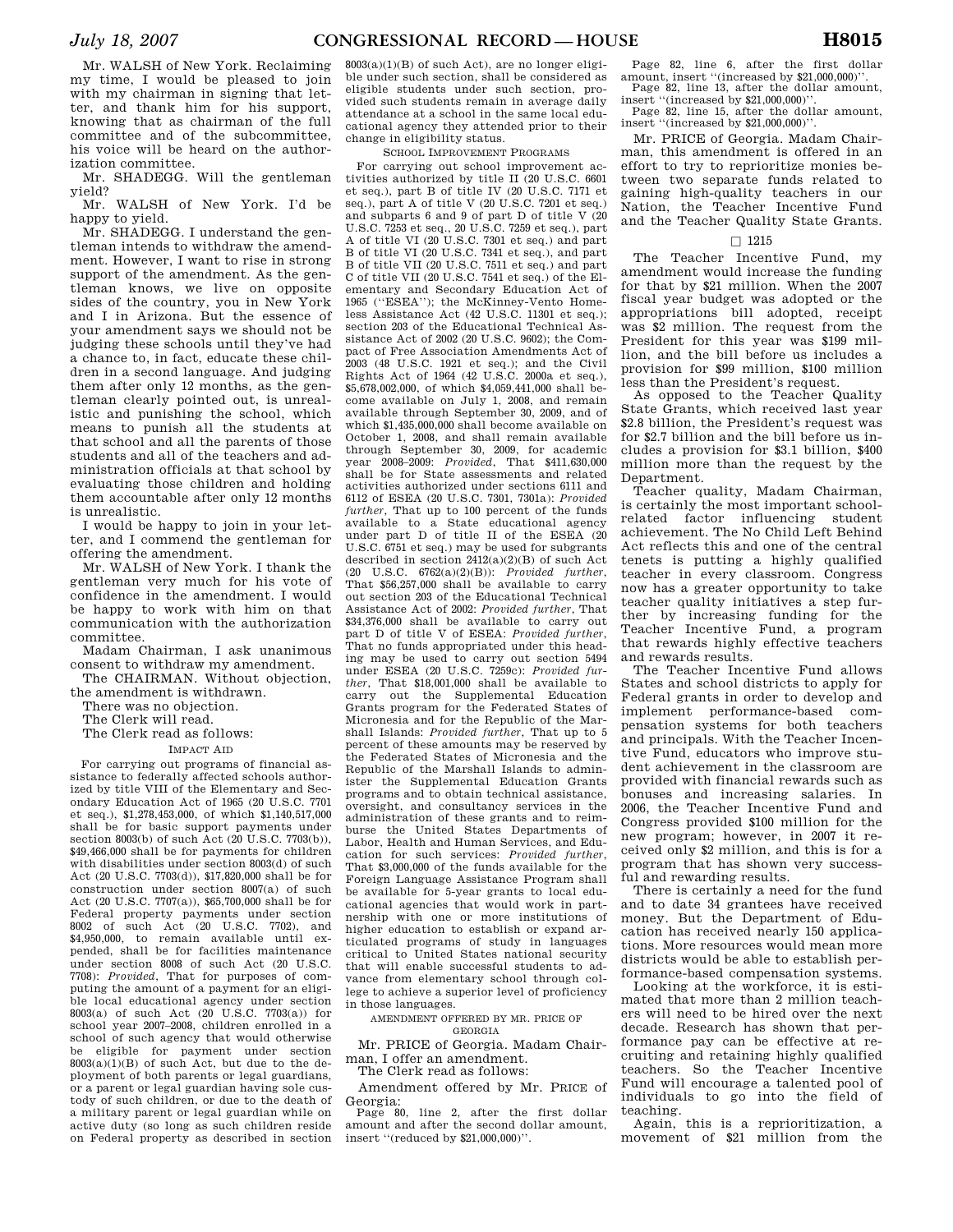Mr. WALSH of New York. Reclaiming my time, I would be pleased to join with my chairman in signing that letter, and thank him for his support, knowing that as chairman of the full committee and of the subcommittee, his voice will be heard on the authorization committee.

yield?

Mr. WALSH of New York. I'd be happy to yield.

Mr. SHADEGG. I understand the gentleman intends to withdraw the amendment. However, I want to rise in strong support of the amendment. As the gentleman knows, we live on opposite sides of the country, you in New York and I in Arizona. But the essence of your amendment says we should not be judging these schools until they've had a chance to, in fact, educate these children in a second language. And judging them after only 12 months, as the gentleman clearly pointed out, is unrealistic and punishing the school, which means to punish all the students at that school and all the parents of those students and all of the teachers and administration officials at that school by evaluating those children and holding them accountable after only 12 months is unrealistic.

I would be happy to join in your letter, and I commend the gentleman for offering the amendment.

Mr. WALSH of New York. I thank the gentleman very much for his vote of confidence in the amendment. I would be happy to work with him on that communication with the authorization committee.

Madam Chairman, I ask unanimous consent to withdraw my amendment.

The CHAIRMAN. Without objection, the amendment is withdrawn.

There was no objection.

The Clerk will read.

The Clerk read as follows:

IMPACT AID

For carrying out programs of financial assistance to federally affected schools authorized by title VIII of the Elementary and Secondary Education Act of 1965 (20 U.S.C. 7701 et seq.), \$1,278,453,000, of which \$1,140,517,000 shall be for basic support payments under section 8003(b) of such Act (20 U.S.C. 7703(b)), \$49,466,000 shall be for payments for children with disabilities under section 8003(d) of such Act (20 U.S.C. 7703(d)), \$17,820,000 shall be for construction under section 8007(a) of such Act (20 U.S.C. 7707(a)), \$65,700,000 shall be for Federal property payments under section 8002 of such Act (20 U.S.C. 7702), and \$4,950,000, to remain available until expended, shall be for facilities maintenance under section 8008 of such Act (20 U.S.C. 7708): *Provided*, That for purposes of computing the amount of a payment for an eligible local educational agency under section 8003(a) of such Act (20 U.S.C. 7703(a)) for school year 2007–2008, children enrolled in a school of such agency that would otherwise be eligible for payment under section 8003(a)(1)(B) of such Act, but due to the deployment of both parents or legal guardians, or a parent or legal guardian having sole custody of such children, or due to the death of a military parent or legal guardian while on active duty (so long as such children reside on Federal property as described in section

 $8003(a)(1)(B)$  of such Act), are no longer eligible under such section, shall be considered as eligible students under such section, provided such students remain in average daily attendance at a school in the same local educational agency they attended prior to their change in eligibility status.

# SCHOOL IMPROVEMENT PROGRAMS

Mr. SHADEGG. Will the gentleman tivities authorized by title II (20 U.S.C. 6601 For carrying out school improvement acet seq.), part B of title IV (20 U.S.C. 7171 et seq.), part A of title V (20 U.S.C. 7201 et seq.) and subparts 6 and 9 of part D of title V (20 U.S.C. 7253 et seq., 20 U.S.C. 7259 et seq.), part A of title VI (20 U.S.C. 7301 et seq.) and part B of title VI (20 U.S.C. 7341 et seq.), and part B of title VII (20 U.S.C. 7511 et seq.) and part C of title VII (20 U.S.C. 7541 et seq.) of the Elementary and Secondary Education Act of 1965 (''ESEA''); the McKinney-Vento Homeless Assistance Act (42 U.S.C. 11301 et seq.); section 203 of the Educational Technical Assistance Act of 2002 (20 U.S.C. 9602); the Compact of Free Association Amendments Act of 2003 (48 U.S.C. 1921 et seq.); and the Civil Rights Act of 1964 (42 U.S.C. 2000a et seq.), \$5,678,002,000, of which \$4,059,441,000 shall become available on July 1, 2008, and remain available through September 30, 2009, and of which \$1,435,000,000 shall become available on October 1, 2008, and shall remain available through September 30, 2009, for academic year 2008–2009: *Provided*, That \$411,630,000 shall be for State assessments and related activities authorized under sections 6111 and 6112 of ESEA (20 U.S.C. 7301, 7301a): *Provided further*, That up to 100 percent of the funds available to a State educational agency under part D of title II of the ESEA (20 U.S.C. 6751 et seq.) may be used for subgrants described in section  $2412(a)(2)(B)$  of such Act (20 U.S.C. 6762(a)(2)(B)): *Provided further*, That \$56,257,000 shall be available to carry out section 203 of the Educational Technical Assistance Act of 2002: *Provided further*, That \$34,376,000 shall be available to carry out part D of title V of ESEA: *Provided further*, That no funds appropriated under this heading may be used to carry out section 5494 under ESEA (20 U.S.C. 7259c): *Provided further*, That \$18,001,000 shall be available to carry out the Supplemental Education Grants program for the Federated States of Micronesia and for the Republic of the Marshall Islands: *Provided further*, That up to 5 percent of these amounts may be reserved by the Federated States of Micronesia and the Republic of the Marshall Islands to administer the Supplemental Education Grants programs and to obtain technical assistance, oversight, and consultancy services in the administration of these grants and to reimburse the United States Departments of Labor, Health and Human Services, and Education for such services: *Provided further*, That \$3,000,000 of the funds available for the Foreign Language Assistance Program shall be available for 5-year grants to local educational agencies that would work in partnership with one or more institutions of higher education to establish or expand articulated programs of study in languages critical to United States national security that will enable successful students to advance from elementary school through college to achieve a superior level of proficiency in those languages.

AMENDMENT OFFERED BY MR. PRICE OF

GEORGIA

Mr. PRICE of Georgia. Madam Chairman, I offer an amendment.

The Clerk read as follows: Amendment offered by Mr. PRICE of Georgia:

Page 80, line 2, after the first dollar amount and after the second dollar amount, insert ''(reduced by \$21,000,000)''.

Page 82, line 6, after the first dollar amount, insert ''(increased by \$21,000,000)''. Page 82, line 13, after the dollar amount,

insert ''(increased by  $\$21,000,000)$  ' Page 82, line 15, after the dollar amount, insert ''(increased by \$21,000,000)''.

Mr. PRICE of Georgia. Madam Chairman, this amendment is offered in an effort to try to reprioritize monies between two separate funds related to gaining high-quality teachers in our Nation, the Teacher Incentive Fund and the Teacher Quality State Grants.

# $\Box$  1215

The Teacher Incentive Fund, my amendment would increase the funding for that by \$21 million. When the 2007 fiscal year budget was adopted or the appropriations bill adopted, receipt was \$2 million. The request from the President for this year was \$199 million, and the bill before us includes a provision for \$99 million, \$100 million less than the President's request.

As opposed to the Teacher Quality State Grants, which received last year \$2.8 billion, the President's request was for \$2.7 billion and the bill before us includes a provision for \$3.1 billion, \$400 million more than the request by the Department.

Teacher quality, Madam Chairman, is certainly the most important schoolrelated factor influencing student achievement. The No Child Left Behind Act reflects this and one of the central tenets is putting a highly qualified teacher in every classroom. Congress now has a greater opportunity to take teacher quality initiatives a step further by increasing funding for the Teacher Incentive Fund, a program that rewards highly effective teachers and rewards results.

The Teacher Incentive Fund allows States and school districts to apply for Federal grants in order to develop and implement performance-based compensation systems for both teachers and principals. With the Teacher Incentive Fund, educators who improve student achievement in the classroom are provided with financial rewards such as bonuses and increasing salaries. In 2006, the Teacher Incentive Fund and Congress provided \$100 million for the new program; however, in 2007 it received only \$2 million, and this is for a program that has shown very successful and rewarding results.

There is certainly a need for the fund and to date 34 grantees have received money. But the Department of Education has received nearly 150 applications. More resources would mean more districts would be able to establish performance-based compensation systems.

Looking at the workforce, it is estimated that more than 2 million teachers will need to be hired over the next decade. Research has shown that performance pay can be effective at recruiting and retaining highly qualified teachers. So the Teacher Incentive Fund will encourage a talented pool of individuals to go into the field of teaching.

Again, this is a reprioritization, a movement of \$21 million from the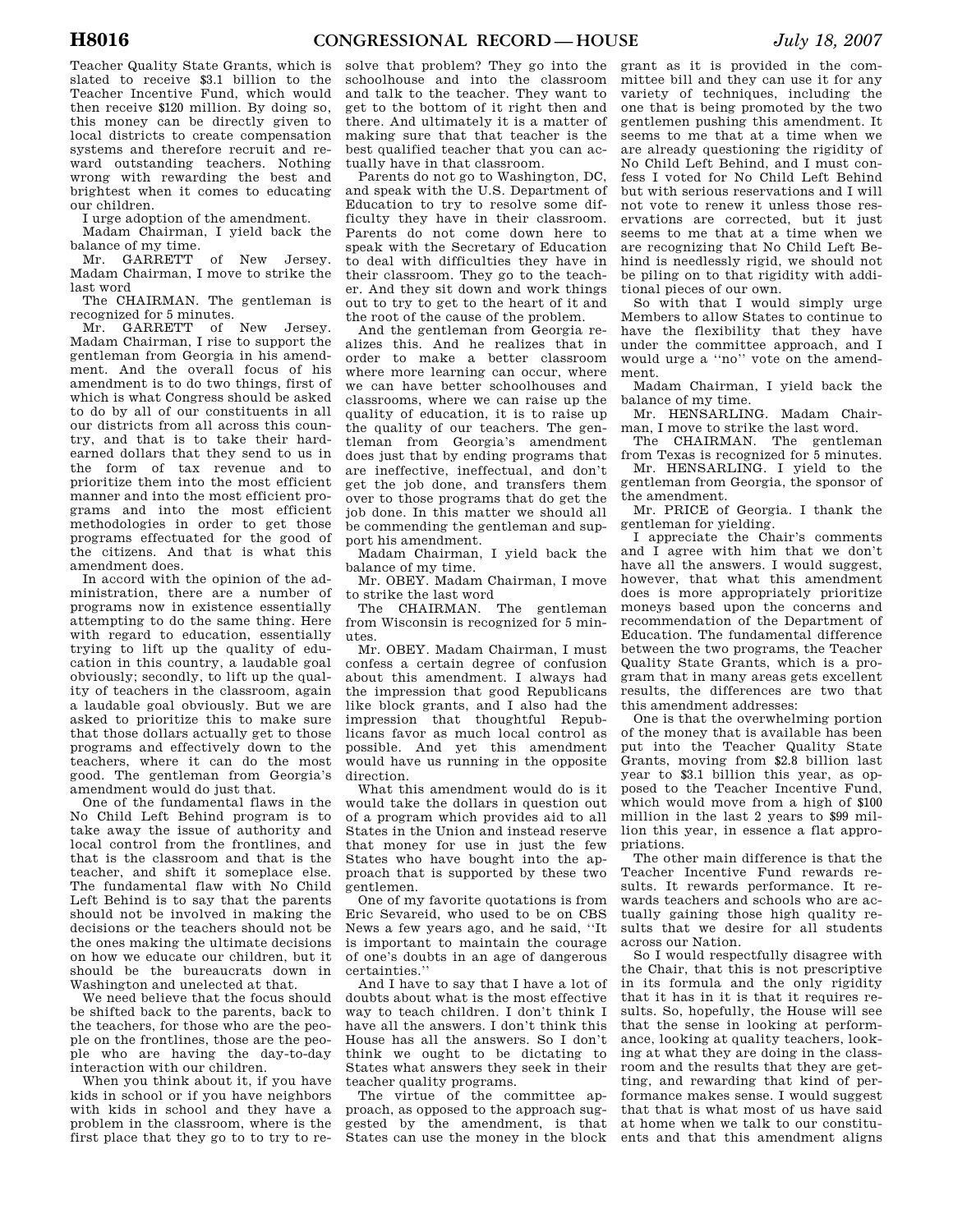Teacher Quality State Grants, which is slated to receive \$3.1 billion to the Teacher Incentive Fund, which would then receive \$120 million. By doing so, this money can be directly given to local districts to create compensation systems and therefore recruit and reward outstanding teachers. Nothing wrong with rewarding the best and brightest when it comes to educating our children.

I urge adoption of the amendment.

Madam Chairman, I yield back the

balance of my time.<br>Mr. GARRETT of New Jersey. Madam Chairman, I move to strike the last word

The CHAIRMAN. The gentleman is recognized for 5 minutes.

Mr. GARRETT of New Jersey. Madam Chairman, I rise to support the gentleman from Georgia in his amendment. And the overall focus of his amendment is to do two things, first of which is what Congress should be asked to do by all of our constituents in all our districts from all across this country, and that is to take their hardearned dollars that they send to us in the form of tax revenue and to prioritize them into the most efficient manner and into the most efficient programs and into the most efficient methodologies in order to get those programs effectuated for the good of the citizens. And that is what this amendment does.

In accord with the opinion of the administration, there are a number of programs now in existence essentially attempting to do the same thing. Here with regard to education, essentially trying to lift up the quality of education in this country, a laudable goal obviously; secondly, to lift up the quality of teachers in the classroom, again a laudable goal obviously. But we are asked to prioritize this to make sure that those dollars actually get to those programs and effectively down to the teachers, where it can do the most good. The gentleman from Georgia's amendment would do just that.

One of the fundamental flaws in the No Child Left Behind program is to take away the issue of authority and local control from the frontlines, and that is the classroom and that is the teacher, and shift it someplace else. The fundamental flaw with No Child Left Behind is to say that the parents should not be involved in making the decisions or the teachers should not be the ones making the ultimate decisions on how we educate our children, but it should be the bureaucrats down in Washington and unelected at that.

We need believe that the focus should be shifted back to the parents, back to the teachers, for those who are the people on the frontlines, those are the people who are having the day-to-day interaction with our children.

When you think about it, if you have kids in school or if you have neighbors with kids in school and they have a problem in the classroom, where is the first place that they go to to try to re-

solve that problem? They go into the schoolhouse and into the classroom and talk to the teacher. They want to get to the bottom of it right then and there. And ultimately it is a matter of making sure that that teacher is the best qualified teacher that you can actually have in that classroom.

Parents do not go to Washington, DC, and speak with the U.S. Department of Education to try to resolve some difficulty they have in their classroom. Parents do not come down here to speak with the Secretary of Education to deal with difficulties they have in their classroom. They go to the teacher. And they sit down and work things out to try to get to the heart of it and the root of the cause of the problem.

And the gentleman from Georgia realizes this. And he realizes that in order to make a better classroom where more learning can occur, where we can have better schoolhouses and classrooms, where we can raise up the quality of education, it is to raise up the quality of our teachers. The gentleman from Georgia's amendment does just that by ending programs that are ineffective, ineffectual, and don't get the job done, and transfers them over to those programs that do get the job done. In this matter we should all be commending the gentleman and support his amendment.

Madam Chairman, I yield back the balance of my time.

Mr. OBEY. Madam Chairman, I move to strike the last word

The CHAIRMAN. The gentleman from Wisconsin is recognized for 5 minutes.

Mr. OBEY. Madam Chairman, I must confess a certain degree of confusion about this amendment. I always had the impression that good Republicans like block grants, and I also had the impression that thoughtful Republicans favor as much local control as possible. And yet this amendment would have us running in the opposite direction.

What this amendment would do is it would take the dollars in question out of a program which provides aid to all States in the Union and instead reserve that money for use in just the few States who have bought into the approach that is supported by these two gentlemen.

One of my favorite quotations is from Eric Sevareid, who used to be on CBS News a few years ago, and he said, ''It is important to maintain the courage of one's doubts in an age of dangerous certainties.''

And I have to say that I have a lot of doubts about what is the most effective way to teach children. I don't think I have all the answers. I don't think this House has all the answers. So I don't think we ought to be dictating to States what answers they seek in their teacher quality programs.

The virtue of the committee approach, as opposed to the approach suggested by the amendment, is that States can use the money in the block

grant as it is provided in the committee bill and they can use it for any variety of techniques, including the one that is being promoted by the two gentlemen pushing this amendment. It seems to me that at a time when we are already questioning the rigidity of No Child Left Behind, and I must confess I voted for No Child Left Behind but with serious reservations and I will not vote to renew it unless those reservations are corrected, but it just seems to me that at a time when we are recognizing that No Child Left Behind is needlessly rigid, we should not be piling on to that rigidity with additional pieces of our own.

So with that I would simply urge Members to allow States to continue to have the flexibility that they have under the committee approach, and I would urge a ''no'' vote on the amendment.

Madam Chairman, I yield back the balance of my time.

Mr. HENSARLING. Madam Chairman, I move to strike the last word.

The CHAIRMAN. The gentleman from Texas is recognized for 5 minutes.

Mr. HENSARLING. I yield to the gentleman from Georgia, the sponsor of the amendment.

Mr. PRICE of Georgia. I thank the gentleman for yielding.

I appreciate the Chair's comments and I agree with him that we don't have all the answers. I would suggest, however, that what this amendment does is more appropriately prioritize moneys based upon the concerns and recommendation of the Department of Education. The fundamental difference between the two programs, the Teacher Quality State Grants, which is a program that in many areas gets excellent results, the differences are two that this amendment addresses:

One is that the overwhelming portion of the money that is available has been put into the Teacher Quality State Grants, moving from \$2.8 billion last year to \$3.1 billion this year, as opposed to the Teacher Incentive Fund, which would move from a high of \$100 million in the last 2 years to \$99 million this year, in essence a flat appropriations.

The other main difference is that the Teacher Incentive Fund rewards results. It rewards performance. It rewards teachers and schools who are actually gaining those high quality results that we desire for all students across our Nation.

So I would respectfully disagree with the Chair, that this is not prescriptive in its formula and the only rigidity that it has in it is that it requires results. So, hopefully, the House will see that the sense in looking at performance, looking at quality teachers, looking at what they are doing in the classroom and the results that they are getting, and rewarding that kind of performance makes sense. I would suggest that that is what most of us have said at home when we talk to our constituents and that this amendment aligns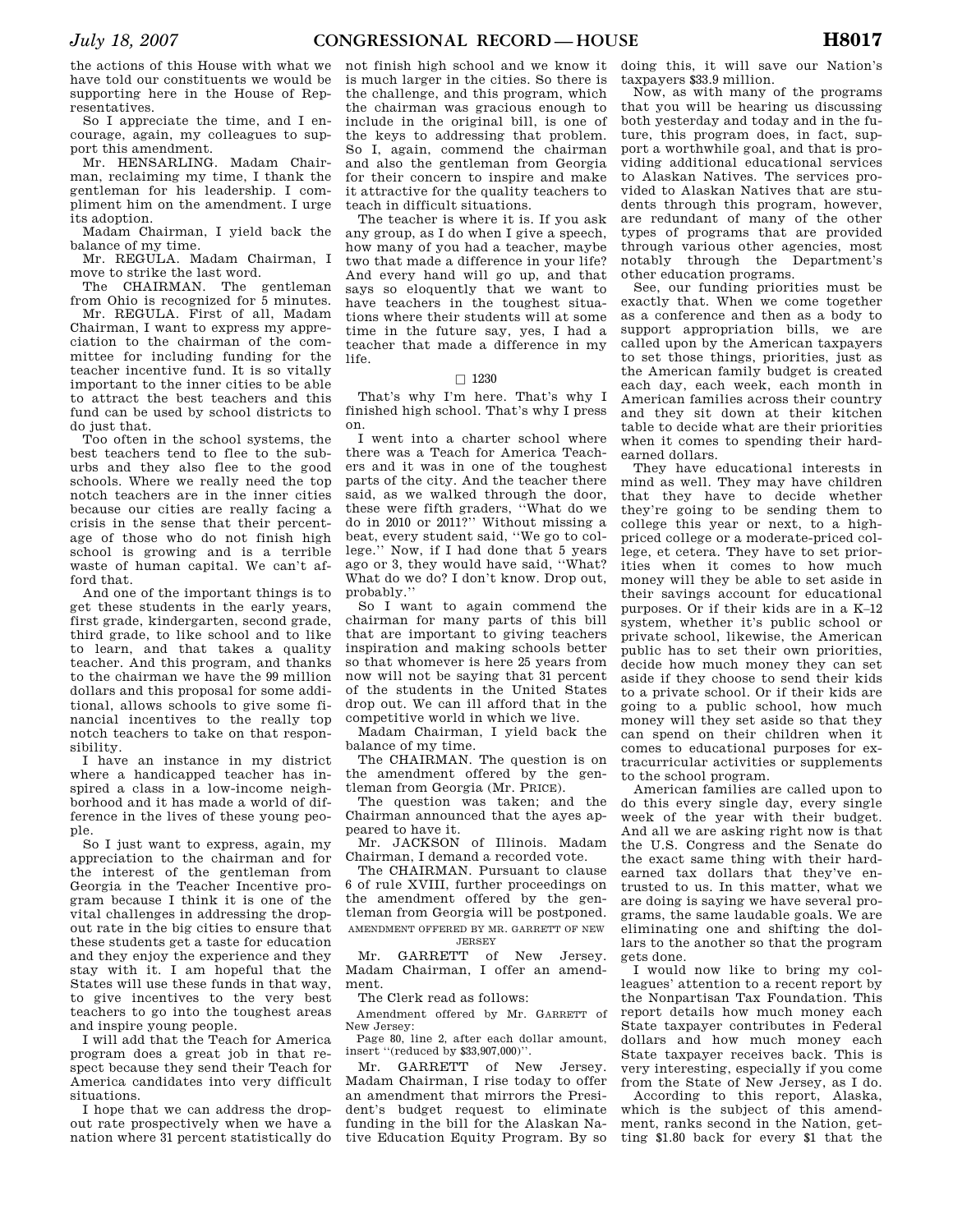the actions of this House with what we have told our constituents we would be supporting here in the House of Representatives.

So I appreciate the time, and I encourage, again, my colleagues to support this amendment.

Mr. HENSARLING. Madam Chairman, reclaiming my time, I thank the gentleman for his leadership. I compliment him on the amendment. I urge its adoption.

Madam Chairman, I yield back the balance of my time.

Mr. REGULA. Madam Chairman, I move to strike the last word.

The CHAIRMAN. The gentleman from Ohio is recognized for  $\frac{3}{2}$  minutes.

Mr. REGULA. First of all, Madam Chairman, I want to express my appreciation to the chairman of the committee for including funding for the teacher incentive fund. It is so vitally important to the inner cities to be able to attract the best teachers and this fund can be used by school districts to do just that.

Too often in the school systems, the best teachers tend to flee to the suburbs and they also flee to the good schools. Where we really need the top notch teachers are in the inner cities because our cities are really facing a crisis in the sense that their percentage of those who do not finish high school is growing and is a terrible waste of human capital. We can't afford that.

And one of the important things is to get these students in the early years, first grade, kindergarten, second grade, third grade, to like school and to like to learn, and that takes a quality teacher. And this program, and thanks to the chairman we have the 99 million dollars and this proposal for some additional, allows schools to give some financial incentives to the really top notch teachers to take on that responsibility.

I have an instance in my district where a handicapped teacher has inspired a class in a low-income neighborhood and it has made a world of difference in the lives of these young people.

So I just want to express, again, my appreciation to the chairman and for the interest of the gentleman from Georgia in the Teacher Incentive program because I think it is one of the vital challenges in addressing the dropout rate in the big cities to ensure that these students get a taste for education and they enjoy the experience and they stay with it. I am hopeful that the States will use these funds in that way, to give incentives to the very best teachers to go into the toughest areas and inspire young people.

I will add that the Teach for America program does a great job in that respect because they send their Teach for America candidates into very difficult situations.

I hope that we can address the dropout rate prospectively when we have a nation where 31 percent statistically do

not finish high school and we know it is much larger in the cities. So there is the challenge, and this program, which the chairman was gracious enough to include in the original bill, is one of the keys to addressing that problem. So I, again, commend the chairman and also the gentleman from Georgia for their concern to inspire and make it attractive for the quality teachers to teach in difficult situations.

The teacher is where it is. If you ask any group, as I do when I give a speech, how many of you had a teacher, maybe two that made a difference in your life? And every hand will go up, and that says so eloquently that we want to have teachers in the toughest situations where their students will at some time in the future say, yes, I had a teacher that made a difference in my life.

## $\Box$  1230

That's why I'm here. That's why I finished high school. That's why I press on.

I went into a charter school where there was a Teach for America Teachers and it was in one of the toughest parts of the city. And the teacher there said, as we walked through the door, these were fifth graders, ''What do we do in 2010 or 2011?'' Without missing a beat, every student said, ''We go to college.'' Now, if I had done that 5 years ago or 3, they would have said, ''What? What do we do? I don't know. Drop out, probably.''

So I want to again commend the chairman for many parts of this bill that are important to giving teachers inspiration and making schools better so that whomever is here 25 years from now will not be saying that 31 percent of the students in the United States drop out. We can ill afford that in the competitive world in which we live.

Madam Chairman, I yield back the balance of my time.

The CHAIRMAN. The question is on the amendment offered by the gentleman from Georgia (Mr. PRICE).

The question was taken; and the Chairman announced that the ayes appeared to have it.

Mr. JACKSON of Illinois. Madam Chairman, I demand a recorded vote.

The CHAIRMAN. Pursuant to clause 6 of rule XVIII, further proceedings on the amendment offered by the gentleman from Georgia will be postponed. AMENDMENT OFFERED BY MR. GARRETT OF NEW JERSEY

Mr. GARRETT of New Jersey. Madam Chairman, I offer an amendment.

The Clerk read as follows:

Amendment offered by Mr. GARRETT of New Jersey:

Page 80, line 2, after each dollar amount, insert ''(reduced by \$33,907,000)''.

Mr. GARRETT of New Jersey. Madam Chairman, I rise today to offer an amendment that mirrors the President's budget request to eliminate funding in the bill for the Alaskan Native Education Equity Program. By so doing this, it will save our Nation's taxpayers \$33.9 million.

Now, as with many of the programs that you will be hearing us discussing both yesterday and today and in the future, this program does, in fact, support a worthwhile goal, and that is providing additional educational services to Alaskan Natives. The services provided to Alaskan Natives that are students through this program, however, are redundant of many of the other types of programs that are provided through various other agencies, most notably through the Department's other education programs.

See, our funding priorities must be exactly that. When we come together as a conference and then as a body to support appropriation bills, we are called upon by the American taxpayers to set those things, priorities, just as the American family budget is created each day, each week, each month in American families across their country and they sit down at their kitchen table to decide what are their priorities when it comes to spending their hardearned dollars.

They have educational interests in mind as well. They may have children that they have to decide whether they're going to be sending them to college this year or next, to a highpriced college or a moderate-priced college, et cetera. They have to set priorities when it comes to how much money will they be able to set aside in their savings account for educational purposes. Or if their kids are in a K–12 system, whether it's public school or private school, likewise, the American public has to set their own priorities, decide how much money they can set aside if they choose to send their kids to a private school. Or if their kids are going to a public school, how much money will they set aside so that they can spend on their children when it comes to educational purposes for extracurricular activities or supplements to the school program.

American families are called upon to do this every single day, every single week of the year with their budget. And all we are asking right now is that the U.S. Congress and the Senate do the exact same thing with their hardearned tax dollars that they've entrusted to us. In this matter, what we are doing is saying we have several programs, the same laudable goals. We are eliminating one and shifting the dollars to the another so that the program gets done.

I would now like to bring my colleagues' attention to a recent report by the Nonpartisan Tax Foundation. This report details how much money each State taxpayer contributes in Federal dollars and how much money each State taxpayer receives back. This is very interesting, especially if you come from the State of New Jersey, as I do.

According to this report, Alaska, which is the subject of this amendment, ranks second in the Nation, getting \$1.80 back for every \$1 that the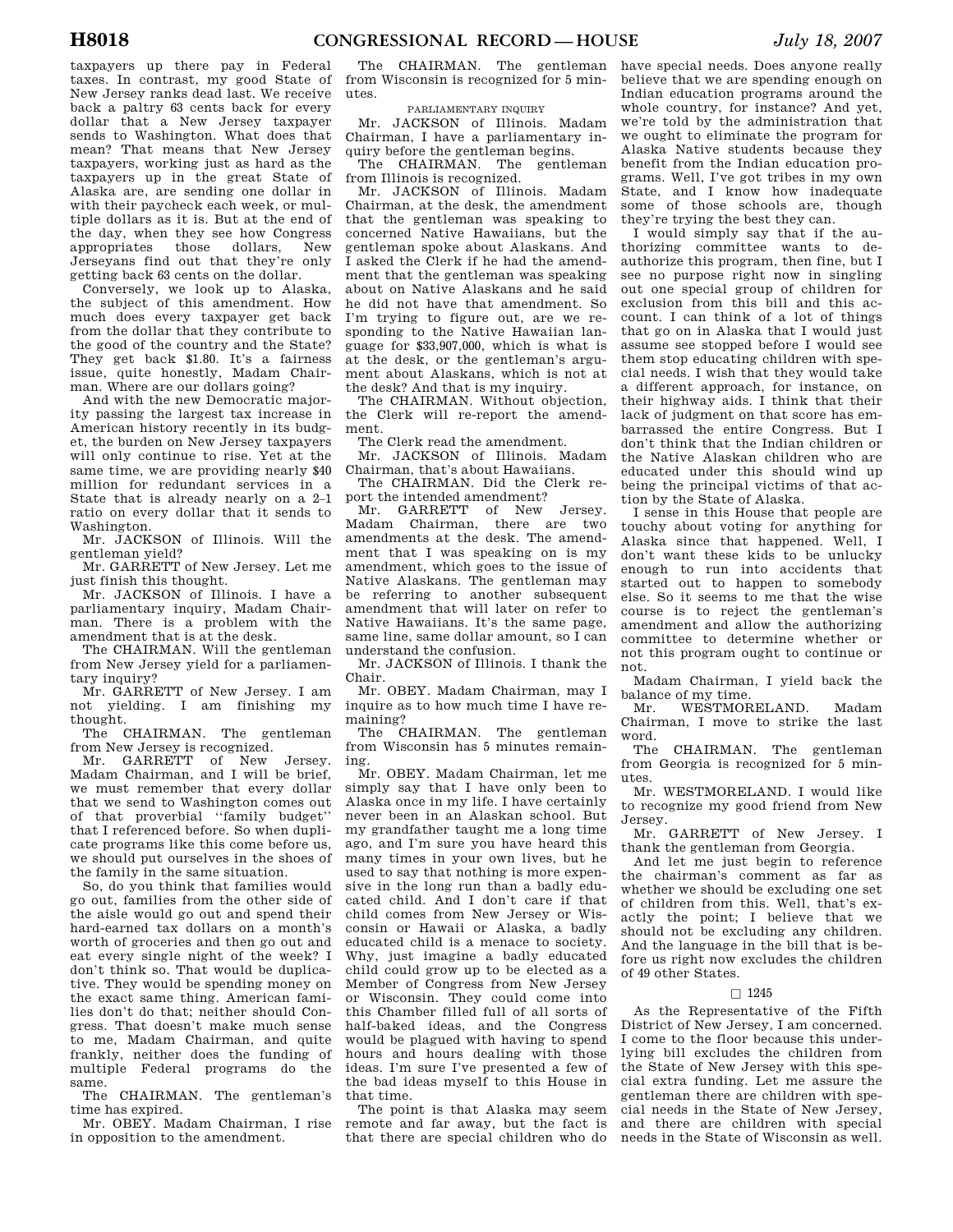taxpayers up there pay in Federal taxes. In contrast, my good State of New Jersey ranks dead last. We receive back a paltry 63 cents back for every dollar that a New Jersey taxpayer sends to Washington. What does that mean? That means that New Jersey taxpayers, working just as hard as the taxpayers up in the great State of Alaska are, are sending one dollar in with their paycheck each week, or multiple dollars as it is. But at the end of the day, when they see how Congress appropriates those dollars, New Jerseyans find out that they're only getting back 63 cents on the dollar.

Conversely, we look up to Alaska, the subject of this amendment. How much does every taxpayer get back from the dollar that they contribute to the good of the country and the State? They get back \$1.80. It's a fairness issue, quite honestly, Madam Chairman. Where are our dollars going?

And with the new Democratic majority passing the largest tax increase in American history recently in its budget, the burden on New Jersey taxpayers will only continue to rise. Yet at the same time, we are providing nearly \$40 million for redundant services in a State that is already nearly on a 2–1 ratio on every dollar that it sends to Washington.

Mr. JACKSON of Illinois. Will the gentleman yield?

Mr. GARRETT of New Jersey. Let me just finish this thought.

Mr. JACKSON of Illinois. I have a parliamentary inquiry, Madam Chairman. There is a problem with the amendment that is at the desk.

The CHAIRMAN. Will the gentleman from New Jersey yield for a parliamentary inquiry?

Mr. GARRETT of New Jersey. I am not yielding. I am finishing my thought.

The CHAIRMAN. The gentleman from New Jersey is recognized.

Mr. GARRETT of New Jersey. Madam Chairman, and I will be brief, we must remember that every dollar that we send to Washington comes out of that proverbial ''family budget'' that I referenced before. So when duplicate programs like this come before us, we should put ourselves in the shoes of the family in the same situation.

So, do you think that families would go out, families from the other side of the aisle would go out and spend their hard-earned tax dollars on a month's worth of groceries and then go out and eat every single night of the week? I don't think so. That would be duplicative. They would be spending money on the exact same thing. American families don't do that; neither should Congress. That doesn't make much sense to me, Madam Chairman, and quite frankly, neither does the funding of multiple Federal programs do the same.

The CHAIRMAN. The gentleman's time has expired.

Mr. OBEY. Madam Chairman, I rise in opposition to the amendment.

The CHAIRMAN. The gentleman from Wisconsin is recognized for 5 minutes.

# PARLIAMENTARY INQUIRY

Mr. JACKSON of Illinois. Madam Chairman, I have a parliamentary inquiry before the gentleman begins.

The CHAIRMAN. The gentleman from Illinois is recognized.

Mr. JACKSON of Illinois. Madam Chairman, at the desk, the amendment that the gentleman was speaking to concerned Native Hawaiians, but the gentleman spoke about Alaskans. And I asked the Clerk if he had the amendment that the gentleman was speaking about on Native Alaskans and he said he did not have that amendment. So I'm trying to figure out, are we responding to the Native Hawaiian language for \$33,907,000, which is what is at the desk, or the gentleman's argument about Alaskans, which is not at the desk? And that is my inquiry.

The CHAIRMAN. Without objection, the Clerk will re-report the amendment.

The Clerk read the amendment.

Mr. JACKSON of Illinois. Madam Chairman, that's about Hawaiians.

The CHAIRMAN. Did the Clerk report the intended amendment?

Mr. GARRETT of New Jersey. Madam Chairman, there are two amendments at the desk. The amendment that I was speaking on is my amendment, which goes to the issue of Native Alaskans. The gentleman may be referring to another subsequent amendment that will later on refer to Native Hawaiians. It's the same page, same line, same dollar amount, so I can understand the confusion.

Mr. JACKSON of Illinois. I thank the Chair.

Mr. OBEY. Madam Chairman, may I inquire as to how much time I have remaining?

The CHAIRMAN. The gentleman from Wisconsin has 5 minutes remaining.

Mr. OBEY. Madam Chairman, let me simply say that I have only been to Alaska once in my life. I have certainly never been in an Alaskan school. But my grandfather taught me a long time ago, and I'm sure you have heard this many times in your own lives, but he used to say that nothing is more expensive in the long run than a badly educated child. And I don't care if that child comes from New Jersey or Wisconsin or Hawaii or Alaska, a badly educated child is a menace to society. Why, just imagine a badly educated child could grow up to be elected as a Member of Congress from New Jersey or Wisconsin. They could come into this Chamber filled full of all sorts of half-baked ideas, and the Congress would be plagued with having to spend hours and hours dealing with those ideas. I'm sure I've presented a few of the bad ideas myself to this House in that time.

The point is that Alaska may seem remote and far away, but the fact is that there are special children who do

have special needs. Does anyone really believe that we are spending enough on Indian education programs around the whole country, for instance? And yet, we're told by the administration that we ought to eliminate the program for Alaska Native students because they benefit from the Indian education programs. Well, I've got tribes in my own State, and I know how inadequate some of those schools are, though they're trying the best they can.

I would simply say that if the authorizing committee wants to deauthorize this program, then fine, but I see no purpose right now in singling out one special group of children for exclusion from this bill and this account. I can think of a lot of things that go on in Alaska that I would just assume see stopped before I would see them stop educating children with special needs. I wish that they would take a different approach, for instance, on their highway aids. I think that their lack of judgment on that score has embarrassed the entire Congress. But I don't think that the Indian children or the Native Alaskan children who are educated under this should wind up being the principal victims of that action by the State of Alaska.

I sense in this House that people are touchy about voting for anything for Alaska since that happened. Well, I don't want these kids to be unlucky enough to run into accidents that started out to happen to somebody else. So it seems to me that the wise course is to reject the gentleman's amendment and allow the authorizing committee to determine whether or not this program ought to continue or not.

Madam Chairman, I yield back the balance of my time.<br>Mr. WESTMOR

WESTMORELAND. Madam Chairman, I move to strike the last word.

The CHAIRMAN. The gentleman from Georgia is recognized for 5 minutes.

Mr. WESTMORELAND. I would like to recognize my good friend from New Jersey.

Mr. GARRETT of New Jersey. I thank the gentleman from Georgia.

And let me just begin to reference the chairman's comment as far as whether we should be excluding one set of children from this. Well, that's exactly the point; I believe that we should not be excluding any children. And the language in the bill that is before us right now excludes the children of 49 other States.

# $\Box$  1245

As the Representative of the Fifth District of New Jersey, I am concerned. I come to the floor because this underlying bill excludes the children from the State of New Jersey with this special extra funding. Let me assure the gentleman there are children with special needs in the State of New Jersey, and there are children with special needs in the State of Wisconsin as well.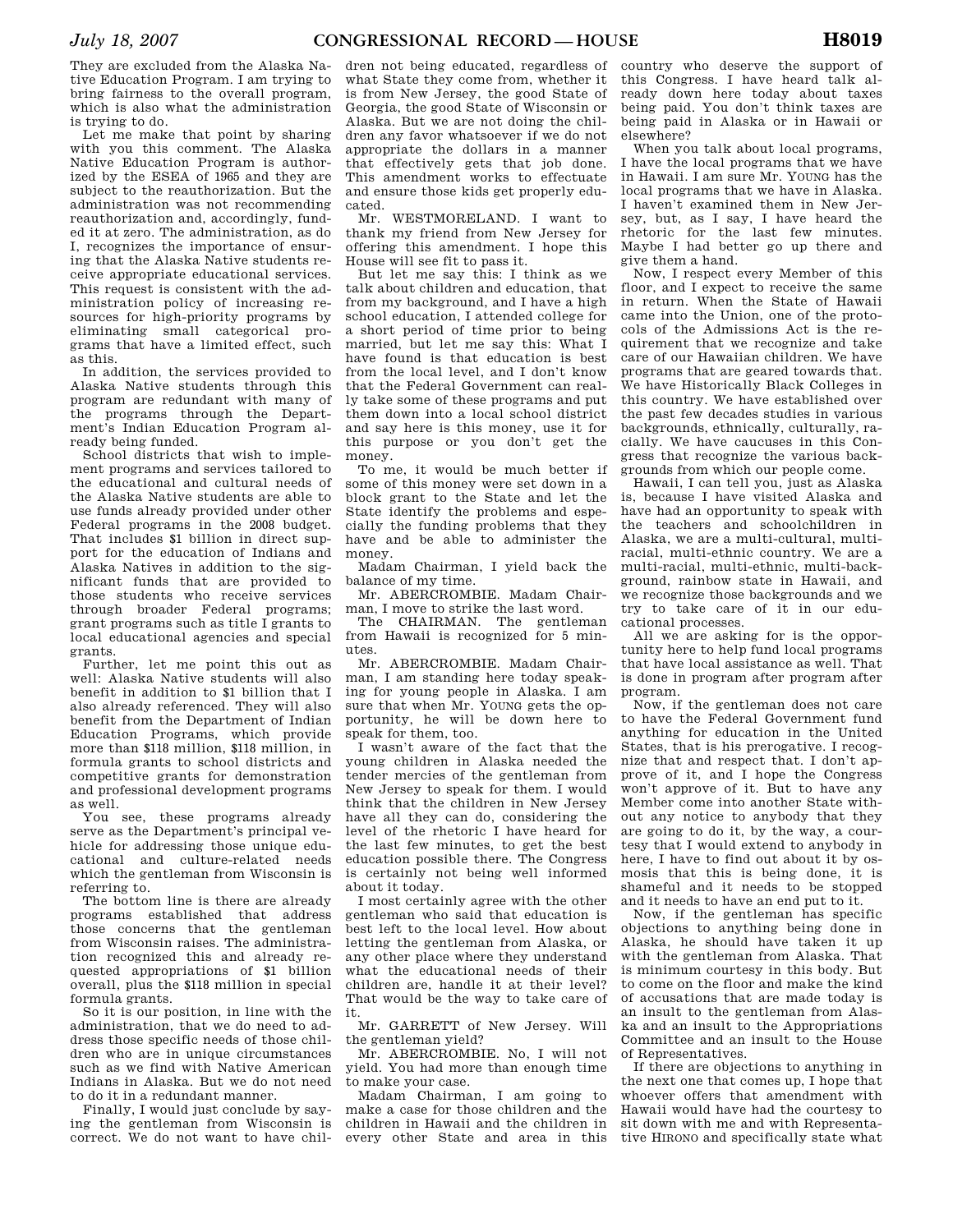They are excluded from the Alaska Native Education Program. I am trying to bring fairness to the overall program, which is also what the administration is trying to do.

Let me make that point by sharing with you this comment. The Alaska Native Education Program is authorized by the ESEA of 1965 and they are subject to the reauthorization. But the administration was not recommending reauthorization and, accordingly, funded it at zero. The administration, as do I, recognizes the importance of ensuring that the Alaska Native students receive appropriate educational services. This request is consistent with the administration policy of increasing resources for high-priority programs by eliminating small categorical programs that have a limited effect, such as this.

In addition, the services provided to Alaska Native students through this program are redundant with many of the programs through the Department's Indian Education Program already being funded.

School districts that wish to implement programs and services tailored to the educational and cultural needs of the Alaska Native students are able to use funds already provided under other Federal programs in the 2008 budget. That includes \$1 billion in direct support for the education of Indians and Alaska Natives in addition to the significant funds that are provided to those students who receive services through broader Federal programs; grant programs such as title I grants to local educational agencies and special grants.

Further, let me point this out as well: Alaska Native students will also benefit in addition to \$1 billion that I also already referenced. They will also benefit from the Department of Indian Education Programs, which provide more than \$118 million, \$118 million, in formula grants to school districts and competitive grants for demonstration and professional development programs as well.

You see, these programs already serve as the Department's principal vehicle for addressing those unique educational and culture-related needs which the gentleman from Wisconsin is referring to.

The bottom line is there are already programs established that address those concerns that the gentleman from Wisconsin raises. The administration recognized this and already requested appropriations of \$1 billion overall, plus the \$118 million in special formula grants.

So it is our position, in line with the administration, that we do need to address those specific needs of those children who are in unique circumstances such as we find with Native American Indians in Alaska. But we do not need to do it in a redundant manner.

Finally, I would just conclude by saying the gentleman from Wisconsin is correct. We do not want to have chil-

dren not being educated, regardless of what State they come from, whether it is from New Jersey, the good State of Georgia, the good State of Wisconsin or Alaska. But we are not doing the children any favor whatsoever if we do not appropriate the dollars in a manner that effectively gets that job done. This amendment works to effectuate and ensure those kids get properly educated.

Mr. WESTMORELAND. I want to thank my friend from New Jersey for offering this amendment. I hope this House will see fit to pass it.

But let me say this: I think as we talk about children and education, that from my background, and I have a high school education, I attended college for a short period of time prior to being married, but let me say this: What I have found is that education is best from the local level, and I don't know that the Federal Government can really take some of these programs and put them down into a local school district and say here is this money, use it for this purpose or you don't get the money.

To me, it would be much better if some of this money were set down in a block grant to the State and let the State identify the problems and especially the funding problems that they have and be able to administer the money.

Madam Chairman, I yield back the balance of my time.

Mr. ABERCROMBIE. Madam Chairman, I move to strike the last word.

The CHAIRMAN. The gentleman from Hawaii is recognized for 5 minutes.

Mr. ABERCROMBIE. Madam Chairman, I am standing here today speaking for young people in Alaska. I am sure that when Mr. YOUNG gets the opportunity, he will be down here to speak for them, too.

I wasn't aware of the fact that the young children in Alaska needed the tender mercies of the gentleman from New Jersey to speak for them. I would think that the children in New Jersey have all they can do, considering the level of the rhetoric I have heard for the last few minutes, to get the best education possible there. The Congress is certainly not being well informed about it today.

I most certainly agree with the other gentleman who said that education is best left to the local level. How about letting the gentleman from Alaska, or any other place where they understand what the educational needs of their children are, handle it at their level? That would be the way to take care of it.

Mr. GARRETT of New Jersey. Will the gentleman yield?

Mr. ABERCROMBIE. No, I will not yield. You had more than enough time to make your case.

Madam Chairman, I am going to make a case for those children and the children in Hawaii and the children in every other State and area in this

country who deserve the support of this Congress. I have heard talk already down here today about taxes being paid. You don't think taxes are being paid in Alaska or in Hawaii or elsewhere?

When you talk about local programs. I have the local programs that we have in Hawaii. I am sure Mr. YOUNG has the local programs that we have in Alaska. I haven't examined them in New Jersey, but, as I say, I have heard the rhetoric for the last few minutes. Maybe I had better go up there and give them a hand.

Now, I respect every Member of this floor, and I expect to receive the same in return. When the State of Hawaii came into the Union, one of the protocols of the Admissions Act is the requirement that we recognize and take care of our Hawaiian children. We have programs that are geared towards that. We have Historically Black Colleges in this country. We have established over the past few decades studies in various backgrounds, ethnically, culturally, racially. We have caucuses in this Congress that recognize the various backgrounds from which our people come.

Hawaii, I can tell you, just as Alaska is, because I have visited Alaska and have had an opportunity to speak with the teachers and schoolchildren in Alaska, we are a multi-cultural, multiracial, multi-ethnic country. We are a multi-racial, multi-ethnic, multi-background, rainbow state in Hawaii, and we recognize those backgrounds and we try to take care of it in our educational processes.

All we are asking for is the opportunity here to help fund local programs that have local assistance as well. That is done in program after program after program.

Now, if the gentleman does not care to have the Federal Government fund anything for education in the United States, that is his prerogative. I recognize that and respect that. I don't approve of it, and I hope the Congress won't approve of it. But to have any Member come into another State without any notice to anybody that they are going to do it, by the way, a courtesy that I would extend to anybody in here, I have to find out about it by osmosis that this is being done, it is shameful and it needs to be stopped and it needs to have an end put to it.

Now, if the gentleman has specific objections to anything being done in Alaska, he should have taken it up with the gentleman from Alaska. That is minimum courtesy in this body. But to come on the floor and make the kind of accusations that are made today is an insult to the gentleman from Alaska and an insult to the Appropriations Committee and an insult to the House of Representatives.

If there are objections to anything in the next one that comes up, I hope that whoever offers that amendment with Hawaii would have had the courtesy to sit down with me and with Representative HIRONO and specifically state what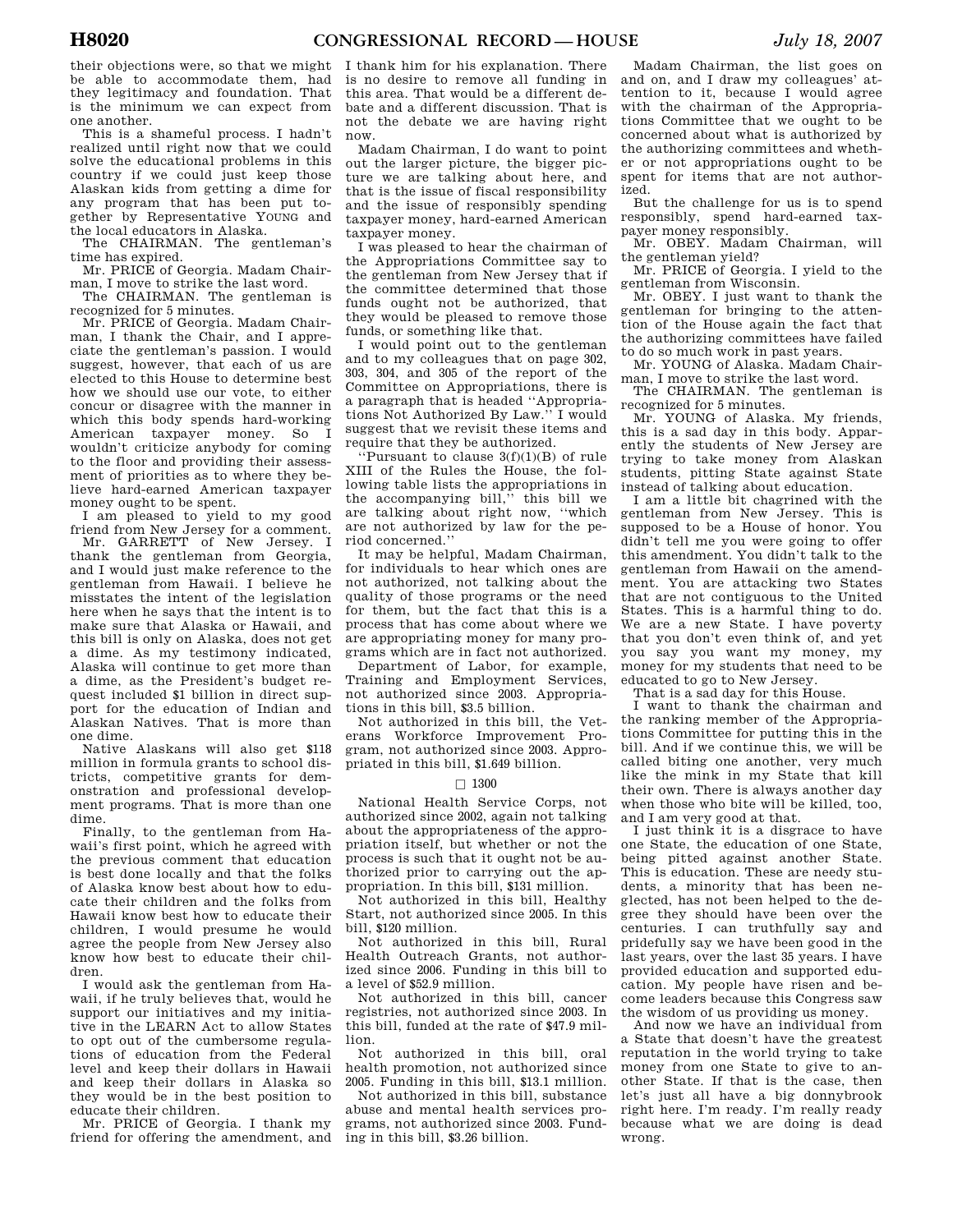their objections were, so that we might be able to accommodate them, had they legitimacy and foundation. That is the minimum we can expect from one another.

This is a shameful process. I hadn't realized until right now that we could solve the educational problems in this country if we could just keep those Alaskan kids from getting a dime for any program that has been put together by Representative YOUNG and the local educators in Alaska.

The CHAIRMAN. The gentleman's time has expired.

Mr. PRICE of Georgia. Madam Chairman, I move to strike the last word.

The CHAIRMAN. The gentleman is recognized for 5 minutes.

Mr. PRICE of Georgia. Madam Chairman, I thank the Chair, and I appreciate the gentleman's passion. I would suggest, however, that each of us are elected to this House to determine best how we should use our vote, to either concur or disagree with the manner in which this body spends hard-working American taxpayer money. So I wouldn't criticize anybody for coming to the floor and providing their assessment of priorities as to where they believe hard-earned American taxpayer money ought to be spent.

I am pleased to yield to my good friend from New Jersey for a comment.

Mr. GARRETT of New Jersey. I thank the gentleman from Georgia, and I would just make reference to the gentleman from Hawaii. I believe he misstates the intent of the legislation here when he says that the intent is to make sure that Alaska or Hawaii, and this bill is only on Alaska, does not get a dime. As my testimony indicated, Alaska will continue to get more than a dime, as the President's budget request included \$1 billion in direct support for the education of Indian and Alaskan Natives. That is more than one dime.

Native Alaskans will also get \$118 million in formula grants to school districts, competitive grants for demonstration and professional development programs. That is more than one dime.

Finally, to the gentleman from Hawaii's first point, which he agreed with the previous comment that education is best done locally and that the folks of Alaska know best about how to educate their children and the folks from Hawaii know best how to educate their children, I would presume he would agree the people from New Jersey also know how best to educate their children.

I would ask the gentleman from Hawaii, if he truly believes that, would he support our initiatives and my initiative in the LEARN Act to allow States to opt out of the cumbersome regulations of education from the Federal level and keep their dollars in Hawaii and keep their dollars in Alaska so they would be in the best position to educate their children.

Mr. PRICE of Georgia. I thank my friend for offering the amendment, and I thank him for his explanation. There is no desire to remove all funding in this area. That would be a different debate and a different discussion. That is not the debate we are having right now.

Madam Chairman, I do want to point out the larger picture, the bigger picture we are talking about here, and that is the issue of fiscal responsibility and the issue of responsibly spending taxpayer money, hard-earned American taxpayer money.

I was pleased to hear the chairman of the Appropriations Committee say to the gentleman from New Jersey that if the committee determined that those funds ought not be authorized, that they would be pleased to remove those funds, or something like that.

I would point out to the gentleman and to my colleagues that on page 302, 303, 304, and 305 of the report of the Committee on Appropriations, there is a paragraph that is headed ''Appropriations Not Authorized By Law.'' I would suggest that we revisit these items and require that they be authorized.

''Pursuant to clause 3(f)(1)(B) of rule XIII of the Rules the House, the following table lists the appropriations in the accompanying bill, $\ddot{v}$  this bill we are talking about right now, ''which are not authorized by law for the period concerned.''

It may be helpful, Madam Chairman, for individuals to hear which ones are not authorized, not talking about the quality of those programs or the need for them, but the fact that this is a process that has come about where we are appropriating money for many programs which are in fact not authorized.

Department of Labor, for example, Training and Employment Services, not authorized since 2003. Appropriations in this bill, \$3.5 billion.

Not authorized in this bill, the Veterans Workforce Improvement Program, not authorized since 2003. Appropriated in this bill, \$1.649 billion.

## $\square$  1300

National Health Service Corps, not authorized since 2002, again not talking about the appropriateness of the appropriation itself, but whether or not the process is such that it ought not be authorized prior to carrying out the appropriation. In this bill, \$131 million.

Not authorized in this bill, Healthy Start, not authorized since 2005. In this bill, \$120 million.

Not authorized in this bill, Rural Health Outreach Grants, not authorized since 2006. Funding in this bill to a level of \$52.9 million.

Not authorized in this bill, cancer registries, not authorized since 2003. In this bill, funded at the rate of \$47.9 million.

Not authorized in this bill, oral health promotion, not authorized since 2005. Funding in this bill, \$13.1 million.

Not authorized in this bill, substance abuse and mental health services programs, not authorized since 2003. Funding in this bill, \$3.26 billion.

Madam Chairman, the list goes on and on, and I draw my colleagues' attention to it, because I would agree with the chairman of the Appropriations Committee that we ought to be concerned about what is authorized by the authorizing committees and whether or not appropriations ought to be spent for items that are not authorized.

But the challenge for us is to spend responsibly, spend hard-earned taxpayer money responsibly.

Mr. OBEY. Madam Chairman, will the gentleman yield?

Mr. PRICE of Georgia. I yield to the gentleman from Wisconsin.

Mr. OBEY. I just want to thank the gentleman for bringing to the attention of the House again the fact that the authorizing committees have failed to do so much work in past years.

Mr. YOUNG of Alaska. Madam Chairman, I move to strike the last word.

The CHAIRMAN. The gentleman is recognized for 5 minutes.

Mr. YOUNG of Alaska. My friends, this is a sad day in this body. Apparently the students of New Jersey are trying to take money from Alaskan students, pitting State against State instead of talking about education.

I am a little bit chagrined with the gentleman from New Jersey. This is supposed to be a House of honor. You didn't tell me you were going to offer this amendment. You didn't talk to the gentleman from Hawaii on the amendment. You are attacking two States that are not contiguous to the United States. This is a harmful thing to do. We are a new State. I have poverty that you don't even think of, and yet you say you want my money, my money for my students that need to be educated to go to New Jersey.

That is a sad day for this House.

I want to thank the chairman and the ranking member of the Appropriations Committee for putting this in the bill. And if we continue this, we will be called biting one another, very much like the mink in my State that kill their own. There is always another day when those who bite will be killed, too, and I am very good at that.

I just think it is a disgrace to have one State, the education of one State, being pitted against another State. This is education. These are needy students, a minority that has been neglected, has not been helped to the degree they should have been over the centuries. I can truthfully say and pridefully say we have been good in the last years, over the last 35 years. I have provided education and supported education. My people have risen and become leaders because this Congress saw the wisdom of us providing us money.

And now we have an individual from a State that doesn't have the greatest reputation in the world trying to take money from one State to give to another State. If that is the case, then let's just all have a big donnybrook right here. I'm ready. I'm really ready because what we are doing is dead wrong.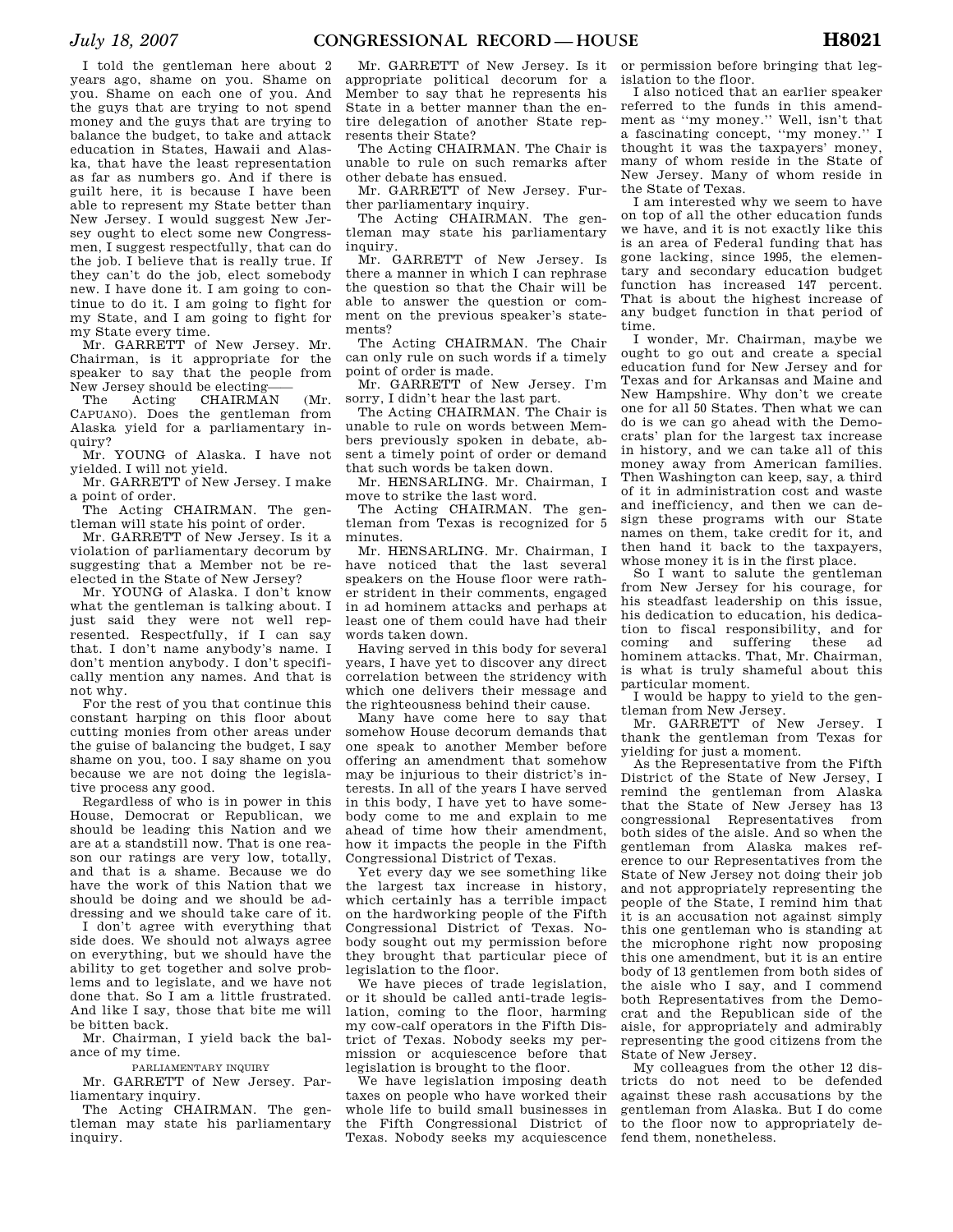I told the gentleman here about 2 years ago, shame on you. Shame on you. Shame on each one of you. And the guys that are trying to not spend money and the guys that are trying to balance the budget, to take and attack education in States, Hawaii and Alaska, that have the least representation as far as numbers go. And if there is guilt here, it is because I have been able to represent my State better than New Jersey. I would suggest New Jersey ought to elect some new Congressmen, I suggest respectfully, that can do the job. I believe that is really true. If they can't do the job, elect somebody new. I have done it. I am going to continue to do it. I am going to fight for my State, and I am going to fight for my State every time.

Mr. GARRETT of New Jersey. Mr. Chairman, is it appropriate for the speaker to say that the people from New Jersey should be electing——

The Acting CHAIRMAN (Mr. CAPUANO). Does the gentleman from Alaska yield for a parliamentary inquiry?

Mr. YOUNG of Alaska. I have not yielded. I will not yield.

Mr. GARRETT of New Jersey. I make a point of order.

The Acting CHAIRMAN. The gentleman will state his point of order.

Mr. GARRETT of New Jersey. Is it a violation of parliamentary decorum by suggesting that a Member not be reelected in the State of New Jersey?

Mr. YOUNG of Alaska. I don't know what the gentleman is talking about. I just said they were not well represented. Respectfully, if I can say that. I don't name anybody's name. I don't mention anybody. I don't specifically mention any names. And that is not why.

For the rest of you that continue this constant harping on this floor about cutting monies from other areas under the guise of balancing the budget, I say shame on you, too. I say shame on you because we are not doing the legislative process any good.

Regardless of who is in power in this House, Democrat or Republican, we should be leading this Nation and we are at a standstill now. That is one reason our ratings are very low, totally, and that is a shame. Because we do have the work of this Nation that we should be doing and we should be addressing and we should take care of it.

I don't agree with everything that side does. We should not always agree on everything, but we should have the ability to get together and solve problems and to legislate, and we have not done that. So I am a little frustrated. And like I say, those that bite me will be bitten back.

Mr. Chairman, I yield back the balance of my time.

PARLIAMENTARY INQUIRY

Mr. GARRETT of New Jersey. Parliamentary inquiry.

The Acting CHAIRMAN. The gentleman may state his parliamentary inquiry.

Mr. GARRETT of New Jersey. Is it appropriate political decorum for a Member to say that he represents his State in a better manner than the entire delegation of another State represents their State?

The Acting CHAIRMAN. The Chair is unable to rule on such remarks after other debate has ensued.

Mr. GARRETT of New Jersey. Further parliamentary inquiry.

The Acting CHAIRMAN. The gentleman may state his parliamentary inquiry.

Mr. GARRETT of New Jersey. Is there a manner in which I can rephrase the question so that the Chair will be able to answer the question or comment on the previous speaker's statements?

The Acting CHAIRMAN. The Chair can only rule on such words if a timely point of order is made.

Mr. GARRETT of New Jersey. I'm sorry, I didn't hear the last part.

The Acting CHAIRMAN. The Chair is unable to rule on words between Members previously spoken in debate, absent a timely point of order or demand that such words be taken down.

Mr. HENSARLING. Mr. Chairman, I move to strike the last word.

The Acting CHAIRMAN. The gentleman from Texas is recognized for 5 minutes.

Mr. HENSARLING. Mr. Chairman, I have noticed that the last several speakers on the House floor were rather strident in their comments, engaged in ad hominem attacks and perhaps at least one of them could have had their words taken down.

Having served in this body for several years, I have yet to discover any direct correlation between the stridency with which one delivers their message and the righteousness behind their cause.

Many have come here to say that somehow House decorum demands that one speak to another Member before offering an amendment that somehow may be injurious to their district's interests. In all of the years I have served in this body, I have yet to have somebody come to me and explain to me ahead of time how their amendment, how it impacts the people in the Fifth Congressional District of Texas.

Yet every day we see something like the largest tax increase in history, which certainly has a terrible impact on the hardworking people of the Fifth Congressional District of Texas. Nobody sought out my permission before they brought that particular piece of legislation to the floor.

We have pieces of trade legislation, or it should be called anti-trade legislation, coming to the floor, harming my cow-calf operators in the Fifth District of Texas. Nobody seeks my permission or acquiescence before that legislation is brought to the floor.

We have legislation imposing death taxes on people who have worked their whole life to build small businesses in the Fifth Congressional District of Texas. Nobody seeks my acquiescence

or permission before bringing that legislation to the floor.

I also noticed that an earlier speaker referred to the funds in this amendment as ''my money.'' Well, isn't that a fascinating concept, ''my money.'' I thought it was the taxpayers' money, many of whom reside in the State of New Jersey. Many of whom reside in the State of Texas.

I am interested why we seem to have on top of all the other education funds we have, and it is not exactly like this is an area of Federal funding that has gone lacking, since 1995, the elementary and secondary education budget function has increased 147 percent. That is about the highest increase of any budget function in that period of time.

I wonder, Mr. Chairman, maybe we ought to go out and create a special education fund for New Jersey and for Texas and for Arkansas and Maine and New Hampshire. Why don't we create one for all 50 States. Then what we can do is we can go ahead with the Democrats' plan for the largest tax increase in history, and we can take all of this money away from American families. Then Washington can keep, say, a third of it in administration cost and waste and inefficiency, and then we can design these programs with our State names on them, take credit for it, and then hand it back to the taxpayers, whose money it is in the first place.

So I want to salute the gentleman from New Jersey for his courage, for his steadfast leadership on this issue, his dedication to education, his dedication to fiscal responsibility, and for coming and suffering these ad hominem attacks. That, Mr. Chairman, is what is truly shameful about this particular moment.

I would be happy to yield to the gentleman from New Jersey.

Mr. GARRETT of New Jersey. I thank the gentleman from Texas for yielding for just a moment.

As the Representative from the Fifth District of the State of New Jersey, I remind the gentleman from Alaska that the State of New Jersey has 13 congressional Representatives from both sides of the aisle. And so when the gentleman from Alaska makes reference to our Representatives from the State of New Jersey not doing their job and not appropriately representing the people of the State, I remind him that it is an accusation not against simply this one gentleman who is standing at the microphone right now proposing this one amendment, but it is an entire body of 13 gentlemen from both sides of the aisle who I say, and I commend both Representatives from the Democrat and the Republican side of the aisle, for appropriately and admirably representing the good citizens from the State of New Jersey.

My colleagues from the other 12 districts do not need to be defended against these rash accusations by the gentleman from Alaska. But I do come to the floor now to appropriately defend them, nonetheless.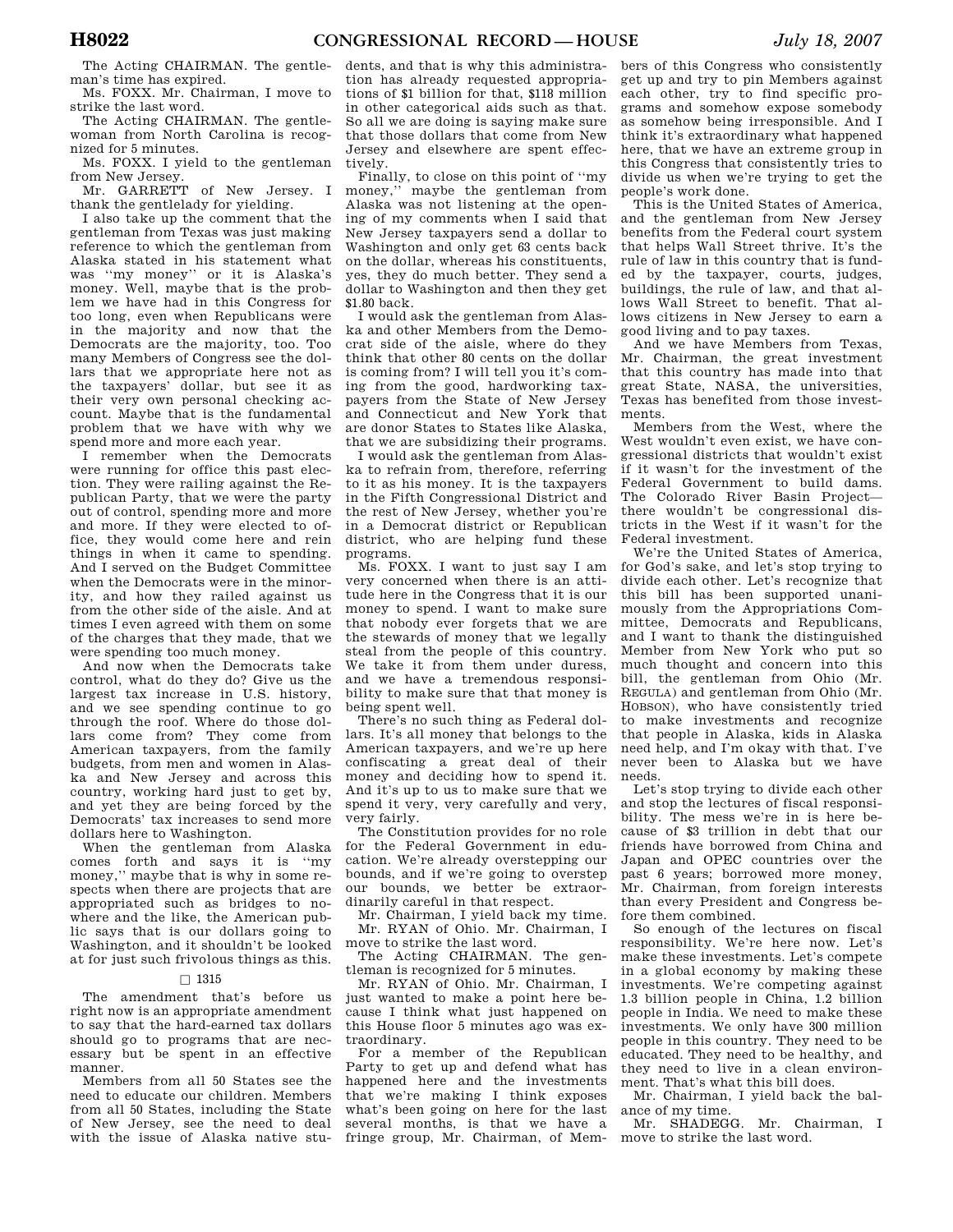The Acting CHAIRMAN. The gentleman's time has expired.

Ms. FOXX. Mr. Chairman, I move to strike the last word.

The Acting CHAIRMAN. The gentlewoman from North Carolina is recognized for 5 minutes.

Ms. FOXX. I yield to the gentleman from New Jersey.

Mr. GARRETT of New Jersey. I thank the gentlelady for yielding.

I also take up the comment that the gentleman from Texas was just making reference to which the gentleman from Alaska stated in his statement what was ''my money'' or it is Alaska's money. Well, maybe that is the problem we have had in this Congress for too long, even when Republicans were in the majority and now that the Democrats are the majority, too. Too many Members of Congress see the dollars that we appropriate here not as the taxpayers' dollar, but see it as their very own personal checking account. Maybe that is the fundamental problem that we have with why we spend more and more each year.

I remember when the Democrats were running for office this past election. They were railing against the Republican Party, that we were the party out of control, spending more and more and more. If they were elected to office, they would come here and rein things in when it came to spending. And I served on the Budget Committee when the Democrats were in the minority, and how they railed against us from the other side of the aisle. And at times I even agreed with them on some of the charges that they made, that we were spending too much money.

And now when the Democrats take control, what do they do? Give us the largest tax increase in U.S. history, and we see spending continue to go through the roof. Where do those dollars come from? They come from American taxpayers, from the family budgets, from men and women in Alaska and New Jersey and across this country, working hard just to get by, and yet they are being forced by the Democrats' tax increases to send more dollars here to Washington.

When the gentleman from Alaska comes forth and says it is ''my money,'' maybe that is why in some respects when there are projects that are appropriated such as bridges to nowhere and the like, the American public says that is our dollars going to Washington, and it shouldn't be looked at for just such frivolous things as this.

## $\Box$  1315

The amendment that's before us right now is an appropriate amendment to say that the hard-earned tax dollars should go to programs that are necessary but be spent in an effective manner.

Members from all 50 States see the need to educate our children. Members from all 50 States, including the State of New Jersey, see the need to deal with the issue of Alaska native stu-

dents, and that is why this administration has already requested appropriations of \$1 billion for that, \$118 million in other categorical aids such as that. So all we are doing is saying make sure that those dollars that come from New Jersey and elsewhere are spent effectively.

Finally, to close on this point of ''my money,'' maybe the gentleman from Alaska was not listening at the opening of my comments when I said that New Jersey taxpayers send a dollar to Washington and only get 63 cents back on the dollar, whereas his constituents, yes, they do much better. They send a dollar to Washington and then they get \$1.80 back.

I would ask the gentleman from Alaska and other Members from the Democrat side of the aisle, where do they think that other 80 cents on the dollar is coming from? I will tell you it's coming from the good, hardworking taxpayers from the State of New Jersey and Connecticut and New York that are donor States to States like Alaska, that we are subsidizing their programs.

I would ask the gentleman from Alaska to refrain from, therefore, referring to it as his money. It is the taxpayers in the Fifth Congressional District and the rest of New Jersey, whether you're in a Democrat district or Republican district, who are helping fund these programs.

Ms. FOXX. I want to just say I am very concerned when there is an attitude here in the Congress that it is our money to spend. I want to make sure that nobody ever forgets that we are the stewards of money that we legally steal from the people of this country. We take it from them under duress, and we have a tremendous responsibility to make sure that that money is being spent well.

There's no such thing as Federal dollars. It's all money that belongs to the American taxpayers, and we're up here confiscating a great deal of their money and deciding how to spend it. And it's up to us to make sure that we spend it very, very carefully and very, very fairly.

The Constitution provides for no role for the Federal Government in education. We're already overstepping our bounds, and if we're going to overstep our bounds, we better be extraordinarily careful in that respect.

Mr. Chairman, I yield back my time. Mr. RYAN of Ohio. Mr. Chairman, I move to strike the last word.

The Acting CHAIRMAN. The gentleman is recognized for 5 minutes.

Mr. RYAN of Ohio. Mr. Chairman, I just wanted to make a point here because I think what just happened on this House floor 5 minutes ago was extraordinary.

For a member of the Republican Party to get up and defend what has happened here and the investments that we're making I think exposes what's been going on here for the last several months, is that we have a fringe group, Mr. Chairman, of Mem-

bers of this Congress who consistently get up and try to pin Members against each other, try to find specific programs and somehow expose somebody as somehow being irresponsible. And I think it's extraordinary what happened here, that we have an extreme group in this Congress that consistently tries to divide us when we're trying to get the people's work done.

This is the United States of America, and the gentleman from New Jersey benefits from the Federal court system that helps Wall Street thrive. It's the rule of law in this country that is funded by the taxpayer, courts, judges, buildings, the rule of law, and that allows Wall Street to benefit. That allows citizens in New Jersey to earn a good living and to pay taxes.

And we have Members from Texas, Mr. Chairman, the great investment that this country has made into that great State, NASA, the universities, Texas has benefited from those investments.

Members from the West, where the West wouldn't even exist, we have congressional districts that wouldn't exist if it wasn't for the investment of the Federal Government to build dams. The Colorado River Basin Project there wouldn't be congressional districts in the West if it wasn't for the Federal investment.

We're the United States of America, for God's sake, and let's stop trying to divide each other. Let's recognize that this bill has been supported unanimously from the Appropriations Committee, Democrats and Republicans, and I want to thank the distinguished Member from New York who put so much thought and concern into this bill, the gentleman from Ohio (Mr. REGULA) and gentleman from Ohio (Mr. HOBSON), who have consistently tried to make investments and recognize that people in Alaska, kids in Alaska need help, and I'm okay with that. I've never been to Alaska but we have needs.

Let's stop trying to divide each other and stop the lectures of fiscal responsibility. The mess we're in is here because of \$3 trillion in debt that our friends have borrowed from China and Japan and OPEC countries over the past 6 years; borrowed more money, Mr. Chairman, from foreign interests than every President and Congress before them combined.

So enough of the lectures on fiscal responsibility. We're here now. Let's make these investments. Let's compete in a global economy by making these investments. We're competing against 1.3 billion people in China, 1.2 billion people in India. We need to make these investments. We only have 300 million people in this country. They need to be educated. They need to be healthy, and they need to live in a clean environment. That's what this bill does.

Mr. Chairman, I yield back the balance of my time.

Mr. SHADEGG. Mr. Chairman, I move to strike the last word.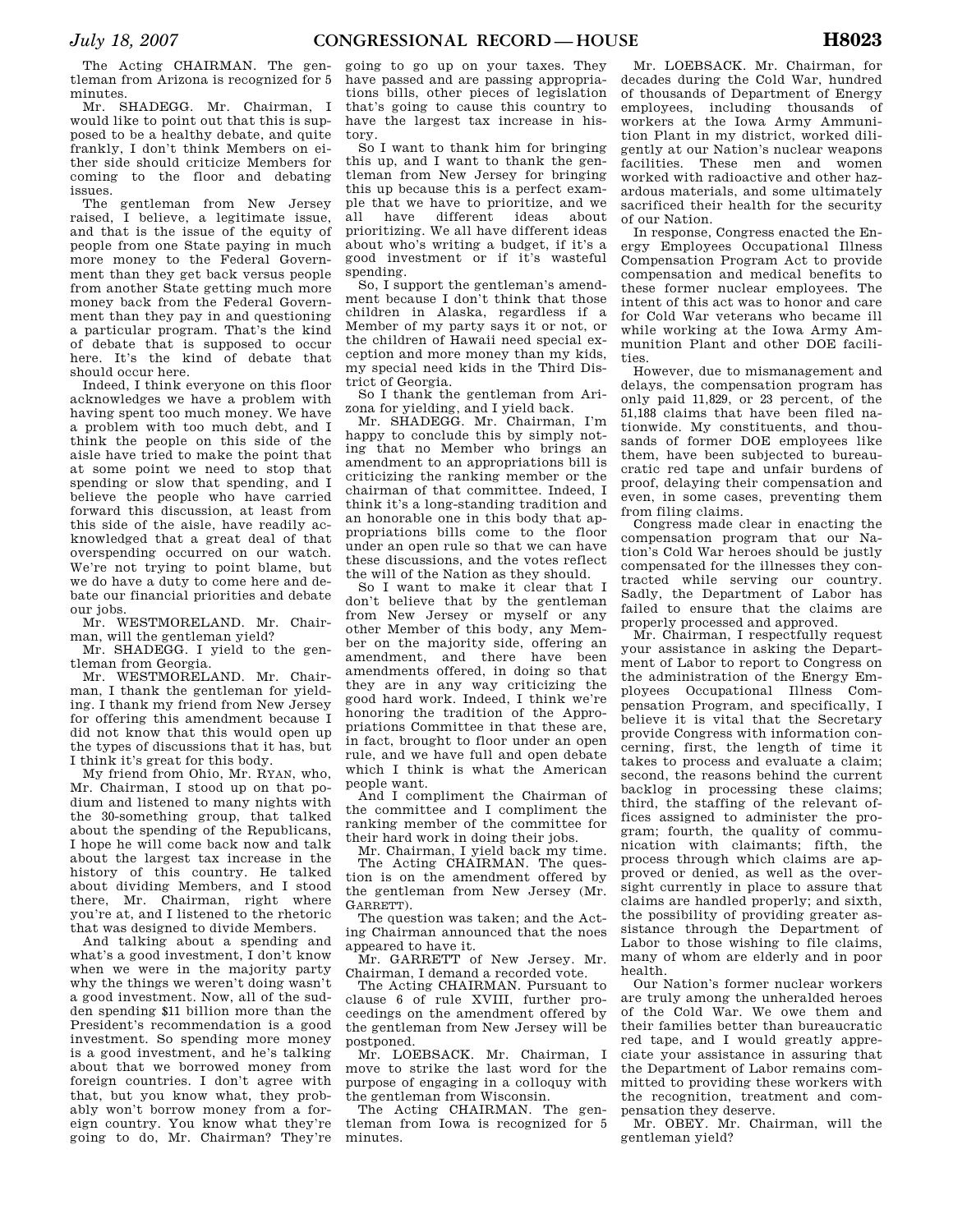The Acting CHAIRMAN. The gentleman from Arizona is recognized for 5 minutes.

Mr. SHADEGG. Mr. Chairman, I would like to point out that this is supposed to be a healthy debate, and quite frankly, I don't think Members on either side should criticize Members for coming to the floor and debating issues.

The gentleman from New Jersey raised, I believe, a legitimate issue, and that is the issue of the equity of people from one State paying in much more money to the Federal Government than they get back versus people from another State getting much more money back from the Federal Government than they pay in and questioning a particular program. That's the kind of debate that is supposed to occur here. It's the kind of debate that should occur here.

Indeed, I think everyone on this floor acknowledges we have a problem with having spent too much money. We have a problem with too much debt, and I think the people on this side of the aisle have tried to make the point that at some point we need to stop that spending or slow that spending, and I believe the people who have carried forward this discussion, at least from this side of the aisle, have readily acknowledged that a great deal of that overspending occurred on our watch. We're not trying to point blame, but we do have a duty to come here and debate our financial priorities and debate our jobs.

Mr. WESTMORELAND. Mr. Chairman, will the gentleman yield?

Mr. SHADEGG. I yield to the gentleman from Georgia.

Mr. WESTMORELAND. Mr. Chairman, I thank the gentleman for yielding. I thank my friend from New Jersey for offering this amendment because I did not know that this would open up the types of discussions that it has, but I think it's great for this body.

My friend from Ohio, Mr. RYAN, who, Mr. Chairman, I stood up on that podium and listened to many nights with the 30-something group, that talked about the spending of the Republicans, I hope he will come back now and talk about the largest tax increase in the history of this country. He talked about dividing Members, and I stood there, Mr. Chairman, right where you're at, and I listened to the rhetoric that was designed to divide Members.

And talking about a spending and what's a good investment, I don't know when we were in the majority party why the things we weren't doing wasn't a good investment. Now, all of the sudden spending \$11 billion more than the President's recommendation is a good investment. So spending more money is a good investment, and he's talking about that we borrowed money from foreign countries. I don't agree with that, but you know what, they probably won't borrow money from a foreign country. You know what they're going to do, Mr. Chairman? They're

going to go up on your taxes. They have passed and are passing appropriations bills, other pieces of legislation that's going to cause this country to have the largest tax increase in history.

So I want to thank him for bringing this up, and I want to thank the gentleman from New Jersey for bringing this up because this is a perfect example that we have to prioritize, and we all have different ideas about prioritizing. We all have different ideas about who's writing a budget, if it's a good investment or if it's wasteful spending.

So, I support the gentleman's amendment because I don't think that those children in Alaska, regardless if a Member of my party says it or not, or the children of Hawaii need special exception and more money than my kids, my special need kids in the Third District of Georgia.

So I thank the gentleman from Arizona for yielding, and I yield back.

Mr. SHADEGG. Mr. Chairman, I'm happy to conclude this by simply noting that no Member who brings an amendment to an appropriations bill is criticizing the ranking member or the chairman of that committee. Indeed, I think it's a long-standing tradition and an honorable one in this body that appropriations bills come to the floor under an open rule so that we can have these discussions, and the votes reflect the will of the Nation as they should.

So I want to make it clear that I don't believe that by the gentleman from New Jersey or myself or any other Member of this body, any Member on the majority side, offering an amendment, and there have been amendments offered, in doing so that they are in any way criticizing the good hard work. Indeed, I think we're honoring the tradition of the Appropriations Committee in that these are, in fact, brought to floor under an open rule, and we have full and open debate which I think is what the American people want.

And I compliment the Chairman of the committee and I compliment the ranking member of the committee for their hard work in doing their jobs.

Mr. Chairman, I yield back my time. The Acting CHAIRMAN. The question is on the amendment offered by the gentleman from New Jersey (Mr. GARRETT).

The question was taken; and the Acting Chairman announced that the noes appeared to have it.

Mr. GARRETT of New Jersey. Mr. Chairman, I demand a recorded vote.

The Acting CHAIRMAN. Pursuant to clause 6 of rule XVIII, further proceedings on the amendment offered by the gentleman from New Jersey will be postponed.

Mr. LOEBSACK. Mr. Chairman, I move to strike the last word for the purpose of engaging in a colloquy with the gentleman from Wisconsin.

The Acting CHAIRMAN. The gentleman from Iowa is recognized for 5 minutes.

Mr. LOEBSACK. Mr. Chairman, for decades during the Cold War, hundred of thousands of Department of Energy employees, including thousands of workers at the Iowa Army Ammunition Plant in my district, worked diligently at our Nation's nuclear weapons facilities. These men and women worked with radioactive and other hazardous materials, and some ultimately sacrificed their health for the security of our Nation.

In response, Congress enacted the Energy Employees Occupational Illness Compensation Program Act to provide compensation and medical benefits to these former nuclear employees. The intent of this act was to honor and care for Cold War veterans who became ill while working at the Iowa Army Ammunition Plant and other DOE facilities.

However, due to mismanagement and delays, the compensation program has only paid 11,829, or 23 percent, of the 51,188 claims that have been filed nationwide. My constituents, and thousands of former DOE employees like them, have been subjected to bureaucratic red tape and unfair burdens of proof, delaying their compensation and even, in some cases, preventing them from filing claims.

Congress made clear in enacting the compensation program that our Nation's Cold War heroes should be justly compensated for the illnesses they contracted while serving our country. Sadly, the Department of Labor has failed to ensure that the claims are properly processed and approved.

Mr. Chairman, I respectfully request your assistance in asking the Department of Labor to report to Congress on the administration of the Energy Employees Occupational Illness Compensation Program, and specifically, I believe it is vital that the Secretary provide Congress with information concerning, first, the length of time it takes to process and evaluate a claim; second, the reasons behind the current backlog in processing these claims; third, the staffing of the relevant offices assigned to administer the program; fourth, the quality of communication with claimants; fifth, the process through which claims are approved or denied, as well as the oversight currently in place to assure that claims are handled properly; and sixth, the possibility of providing greater assistance through the Department of Labor to those wishing to file claims, many of whom are elderly and in poor health.

Our Nation's former nuclear workers are truly among the unheralded heroes of the Cold War. We owe them and their families better than bureaucratic red tape, and I would greatly appreciate your assistance in assuring that the Department of Labor remains committed to providing these workers with the recognition, treatment and compensation they deserve.

Mr. OBEY. Mr. Chairman, will the gentleman yield?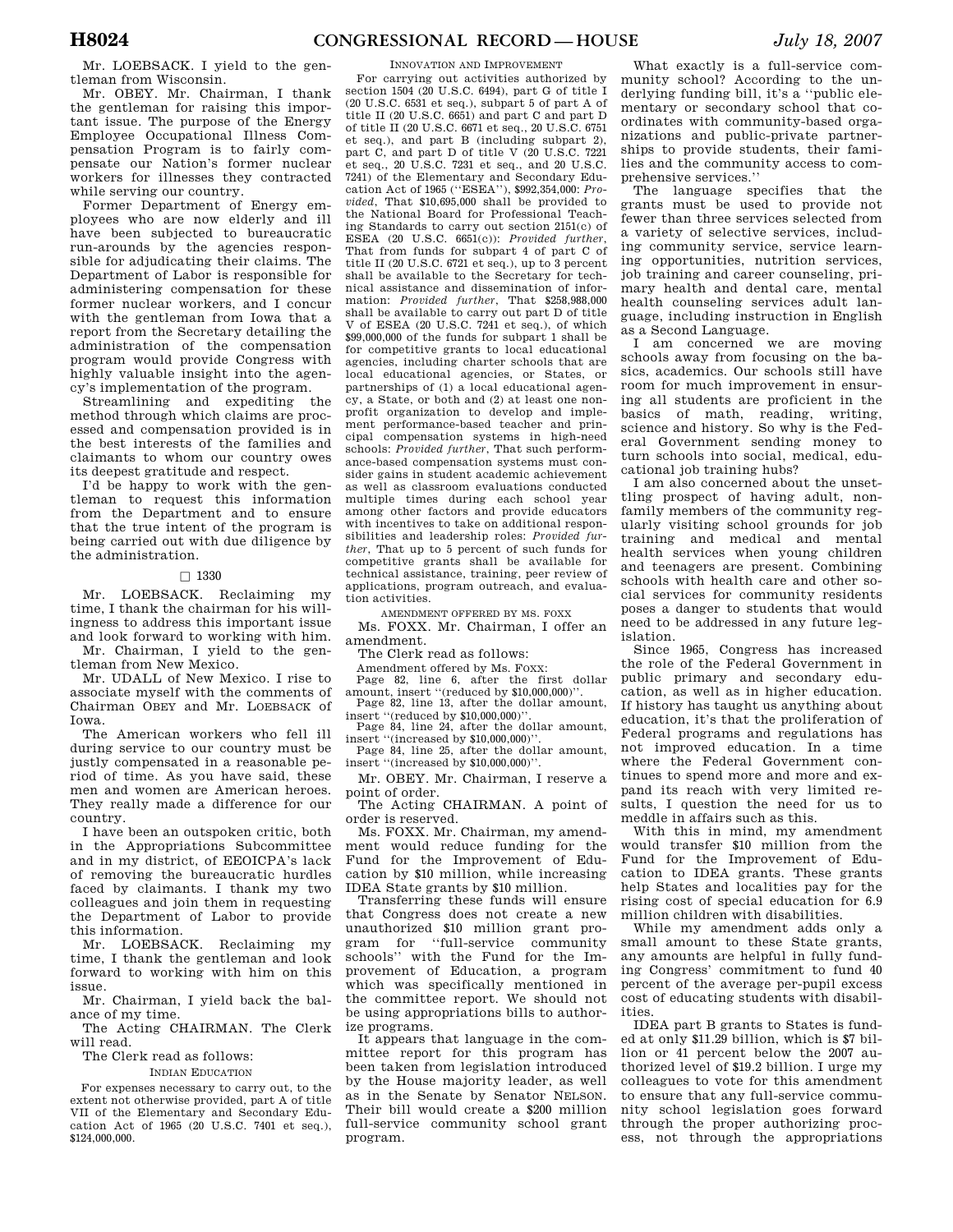Mr. LOEBSACK. I yield to the gentleman from Wisconsin.

Mr. OBEY. Mr. Chairman, I thank the gentleman for raising this important issue. The purpose of the Energy Employee Occupational Illness Compensation Program is to fairly compensate our Nation's former nuclear workers for illnesses they contracted while serving our country.

Former Department of Energy employees who are now elderly and ill have been subjected to bureaucratic run-arounds by the agencies responsible for adjudicating their claims. The Department of Labor is responsible for administering compensation for these former nuclear workers, and I concur with the gentleman from Iowa that a report from the Secretary detailing the administration of the compensation program would provide Congress with highly valuable insight into the agency's implementation of the program.

Streamlining and expediting the method through which claims are processed and compensation provided is in the best interests of the families and claimants to whom our country owes its deepest gratitude and respect.

I'd be happy to work with the gentleman to request this information from the Department and to ensure that the true intent of the program is being carried out with due diligence by the administration.

### $\Box$  1330

Mr. LOEBSACK. Reclaiming my time, I thank the chairman for his willingness to address this important issue and look forward to working with him.

Mr. Chairman, I yield to the gentleman from New Mexico. Mr. UDALL of New Mexico. I rise to

associate myself with the comments of Chairman OBEY and Mr. LOEBSACK of Iowa.

The American workers who fell ill during service to our country must be justly compensated in a reasonable period of time. As you have said, these men and women are American heroes. They really made a difference for our country.

I have been an outspoken critic, both in the Appropriations Subcommittee and in my district, of EEOICPA's lack of removing the bureaucratic hurdles faced by claimants. I thank my two colleagues and join them in requesting the Department of Labor to provide this information.

Mr. LOEBSACK. Reclaiming my time, I thank the gentleman and look forward to working with him on this issue.

Mr. Chairman, I yield back the balance of my time.

The Acting CHAIRMAN. The Clerk will read.

The Clerk read as follows:

INDIAN EDUCATION

For expenses necessary to carry out, to the extent not otherwise provided, part A of title VII of the Elementary and Secondary Education Act of 1965 (20 U.S.C. 7401 et seq.), \$124,000,000.

#### INNOVATION AND IMPROVEMENT

For carrying out activities authorized by section 1504 (20 U.S.C. 6494), part G of title I (20 U.S.C. 6531 et seq.), subpart 5 of part A of title II (20 U.S.C. 6651) and part C and part D of title II (20 U.S.C. 6671 et seq., 20 U.S.C. 6751 et seq.), and part B (including subpart 2), part C, and part D of title V (20 U.S.C. 7221 et seq., 20 U.S.C. 7231 et seq., and 20 U.S.C. 7241) of the Elementary and Secondary Education Act of 1965 (''ESEA''), \$992,354,000: *Provided*, That \$10,695,000 shall be provided to the National Board for Professional Teaching Standards to carry out section 2151(c) of ESEA (20 U.S.C. 6651(c)): *Provided further*, That from funds for subpart 4 of part C of title II (20 U.S.C. 6721 et seq.), up to 3 percent shall be available to the Secretary for technical assistance and dissemination of information: *Provided further*, That \$258,988,000 shall be available to carry out part D of title V of ESEA (20 U.S.C. 7241 et seq.), of which \$99,000,000 of the funds for subpart 1 shall be for competitive grants to local educational agencies, including charter schools that are local educational agencies, or States, or partnerships of (1) a local educational agency, a State, or both and (2) at least one nonprofit organization to develop and implement performance-based teacher and principal compensation systems in high-need schools: *Provided further*, That such performance-based compensation systems must consider gains in student academic achievement as well as classroom evaluations conducted multiple times during each school year among other factors and provide educators with incentives to take on additional responsibilities and leadership roles: *Provided further*, That up to 5 percent of such funds for competitive grants shall be available for technical assistance, training, peer review of applications, program outreach, and evaluation activities.

AMENDMENT OFFERED BY MS. FOXX

Ms. FOXX. Mr. Chairman, I offer an amendment.

The Clerk read as follows:

Amendment offered by Ms. FOXX:

Page 82, line 6, after the first dollar amount, insert ''(reduced by \$10,000,000)''. Page 82, line 13, after the dollar amount,

insert ''(reduced by \$10,000,000)''. Page 84, line 24, after the dollar amount, insert ''(increased by \$10,000,000)''.

Page 84, line 25, after the dollar amount, insert ''(increased by \$10,000,000)''.

Mr. OBEY. Mr. Chairman, I reserve a point of order.

The Acting CHAIRMAN. A point of order is reserved.

Ms. FOXX. Mr. Chairman, my amendment would reduce funding for the Fund for the Improvement of Education by \$10 million, while increasing IDEA State grants by \$10 million.

Transferring these funds will ensure that Congress does not create a new unauthorized \$10 million grant program for ''full-service community schools'' with the Fund for the Improvement of Education, a program which was specifically mentioned in the committee report. We should not be using appropriations bills to authorize programs.

It appears that language in the committee report for this program has been taken from legislation introduced by the House majority leader, as well as in the Senate by Senator NELSON. Their bill would create a \$200 million full-service community school grant program.

What exactly is a full-service community school? According to the underlying funding bill, it's a ''public elementary or secondary school that coordinates with community-based organizations and public-private partnerships to provide students, their families and the community access to comprehensive services.''

The language specifies that the grants must be used to provide not fewer than three services selected from a variety of selective services, including community service, service learning opportunities, nutrition services, job training and career counseling, primary health and dental care, mental health counseling services adult language, including instruction in English as a Second Language.

I am concerned we are moving schools away from focusing on the basics, academics. Our schools still have room for much improvement in ensuring all students are proficient in the basics of math, reading, writing, science and history. So why is the Federal Government sending money to turn schools into social, medical, educational job training hubs?

I am also concerned about the unsettling prospect of having adult, nonfamily members of the community regularly visiting school grounds for job training and medical and mental health services when young children and teenagers are present. Combining schools with health care and other social services for community residents poses a danger to students that would need to be addressed in any future legislation.

Since 1965, Congress has increased the role of the Federal Government in public primary and secondary education, as well as in higher education. If history has taught us anything about education, it's that the proliferation of Federal programs and regulations has not improved education. In a time where the Federal Government continues to spend more and more and expand its reach with very limited results, I question the need for us to meddle in affairs such as this.

With this in mind, my amendment would transfer \$10 million from the Fund for the Improvement of Education to IDEA grants. These grants help States and localities pay for the rising cost of special education for 6.9 million children with disabilities.

While my amendment adds only a small amount to these State grants, any amounts are helpful in fully funding Congress' commitment to fund 40 percent of the average per-pupil excess cost of educating students with disabilities.

IDEA part B grants to States is funded at only \$11.29 billion, which is \$7 billion or 41 percent below the 2007 authorized level of \$19.2 billion. I urge my colleagues to vote for this amendment to ensure that any full-service community school legislation goes forward through the proper authorizing process, not through the appropriations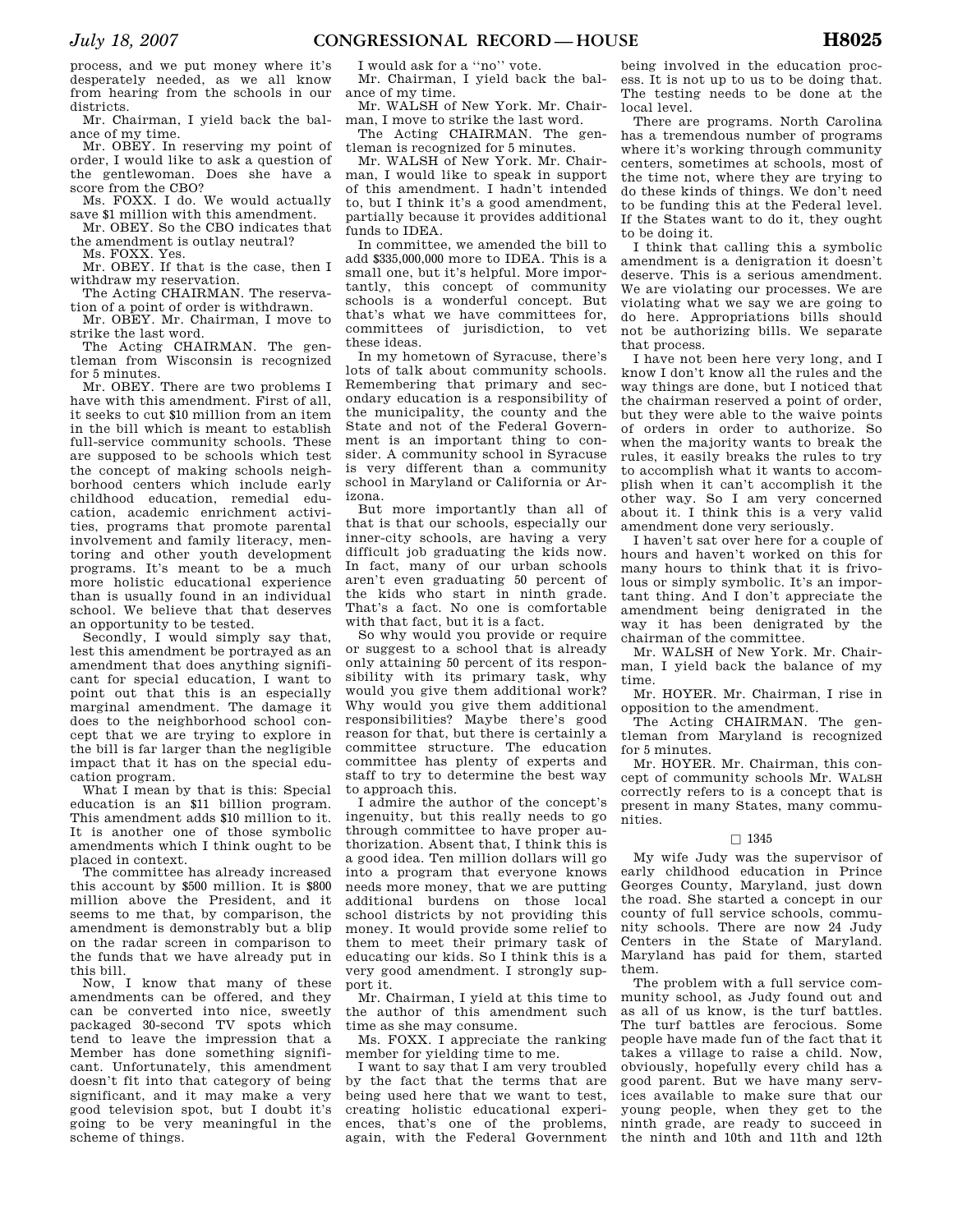process, and we put money where it's desperately needed, as we all know from hearing from the schools in our districts.

Mr. Chairman, I yield back the balance of my time.

Mr. OBEY. In reserving my point of order, I would like to ask a question of the gentlewoman. Does she have a score from the CBO?

Ms. FOXX. I do. We would actually save \$1 million with this amendment.

Mr. OBEY. So the CBO indicates that the amendment is outlay neutral?

Ms. FOXX. Yes.

Mr. OBEY. If that is the case, then I withdraw my reservation.

The Acting CHAIRMAN. The reservation of a point of order is withdrawn.

Mr. OBEY. Mr. Chairman, I move to strike the last word.

The Acting CHAIRMAN. The gentleman from Wisconsin is recognized for 5 minutes.

Mr. OBEY. There are two problems I have with this amendment. First of all, it seeks to cut \$10 million from an item in the bill which is meant to establish full-service community schools. These are supposed to be schools which test the concept of making schools neighborhood centers which include early childhood education, remedial education, academic enrichment activities, programs that promote parental involvement and family literacy, mentoring and other youth development programs. It's meant to be a much more holistic educational experience than is usually found in an individual school. We believe that that deserves an opportunity to be tested.

Secondly, I would simply say that, lest this amendment be portrayed as an amendment that does anything significant for special education, I want to point out that this is an especially marginal amendment. The damage it does to the neighborhood school concept that we are trying to explore in the bill is far larger than the negligible impact that it has on the special education program.

What I mean by that is this: Special education is an \$11 billion program. This amendment adds \$10 million to it. It is another one of those symbolic amendments which I think ought to be placed in context.

The committee has already increased this account by \$500 million. It is \$800 million above the President, and it seems to me that, by comparison, the amendment is demonstrably but a blip on the radar screen in comparison to the funds that we have already put in this bill.

Now, I know that many of these amendments can be offered, and they can be converted into nice, sweetly packaged 30-second TV spots which tend to leave the impression that a Member has done something significant. Unfortunately, this amendment doesn't fit into that category of being significant, and it may make a very good television spot, but I doubt it's going to be very meaningful in the scheme of things.

I would ask for a ''no'' vote.

Mr. Chairman, I yield back the balance of my time.

Mr. WALSH of New York. Mr. Chairman, I move to strike the last word.

The Acting CHAIRMAN. The gentleman is recognized for 5 minutes.

Mr. WALSH of New York. Mr. Chairman, I would like to speak in support of this amendment. I hadn't intended to, but I think it's a good amendment, partially because it provides additional funds to IDEA.

In committee, we amended the bill to add \$335,000,000 more to IDEA. This is a small one, but it's helpful. More importantly, this concept of community schools is a wonderful concept. But that's what we have committees for, committees of jurisdiction, to vet these ideas.

In my hometown of Syracuse, there's lots of talk about community schools. Remembering that primary and secondary education is a responsibility of the municipality, the county and the State and not of the Federal Government is an important thing to consider. A community school in Syracuse is very different than a community school in Maryland or California or Arizona.

But more importantly than all of that is that our schools, especially our inner-city schools, are having a very difficult job graduating the kids now. In fact, many of our urban schools aren't even graduating 50 percent of the kids who start in ninth grade. That's a fact. No one is comfortable with that fact, but it is a fact.

So why would you provide or require or suggest to a school that is already only attaining 50 percent of its responsibility with its primary task, why would you give them additional work? Why would you give them additional responsibilities? Maybe there's good reason for that, but there is certainly a committee structure. The education committee has plenty of experts and staff to try to determine the best way to approach this.

I admire the author of the concept's ingenuity, but this really needs to go through committee to have proper authorization. Absent that, I think this is a good idea. Ten million dollars will go into a program that everyone knows needs more money, that we are putting additional burdens on those local school districts by not providing this money. It would provide some relief to them to meet their primary task of educating our kids. So I think this is a very good amendment. I strongly support it.

Mr. Chairman, I yield at this time to the author of this amendment such time as she may consume.

Ms. FOXX. I appreciate the ranking member for yielding time to me.

I want to say that I am very troubled by the fact that the terms that are being used here that we want to test, creating holistic educational experiences, that's one of the problems, again, with the Federal Government

being involved in the education process. It is not up to us to be doing that. The testing needs to be done at the local level.

There are programs. North Carolina has a tremendous number of programs where it's working through community centers, sometimes at schools, most of the time not, where they are trying to do these kinds of things. We don't need to be funding this at the Federal level. If the States want to do it, they ought to be doing it.

I think that calling this a symbolic amendment is a denigration it doesn't deserve. This is a serious amendment. We are violating our processes. We are violating what we say we are going to do here. Appropriations bills should not be authorizing bills. We separate that process.

I have not been here very long, and I know I don't know all the rules and the way things are done, but I noticed that the chairman reserved a point of order, but they were able to the waive points of orders in order to authorize. So when the majority wants to break the rules, it easily breaks the rules to try to accomplish what it wants to accomplish when it can't accomplish it the other way. So I am very concerned about it. I think this is a very valid amendment done very seriously.

I haven't sat over here for a couple of hours and haven't worked on this for many hours to think that it is frivolous or simply symbolic. It's an important thing. And I don't appreciate the amendment being denigrated in the way it has been denigrated by the chairman of the committee.

Mr. WALSH of New York. Mr. Chairman, I yield back the balance of my time.

Mr. HOYER. Mr. Chairman, I rise in opposition to the amendment.

The Acting CHAIRMAN. The gentleman from Maryland is recognized for 5 minutes.

Mr. HOYER. Mr. Chairman, this concept of community schools Mr. WALSH correctly refers to is a concept that is present in many States, many communities.

## $\Box$  1345

My wife Judy was the supervisor of early childhood education in Prince Georges County, Maryland, just down the road. She started a concept in our county of full service schools, community schools. There are now 24 Judy Centers in the State of Maryland. Maryland has paid for them, started them.

The problem with a full service community school, as Judy found out and as all of us know, is the turf battles. The turf battles are ferocious. Some people have made fun of the fact that it takes a village to raise a child. Now, obviously, hopefully every child has a good parent. But we have many services available to make sure that our young people, when they get to the ninth grade, are ready to succeed in the ninth and 10th and 11th and 12th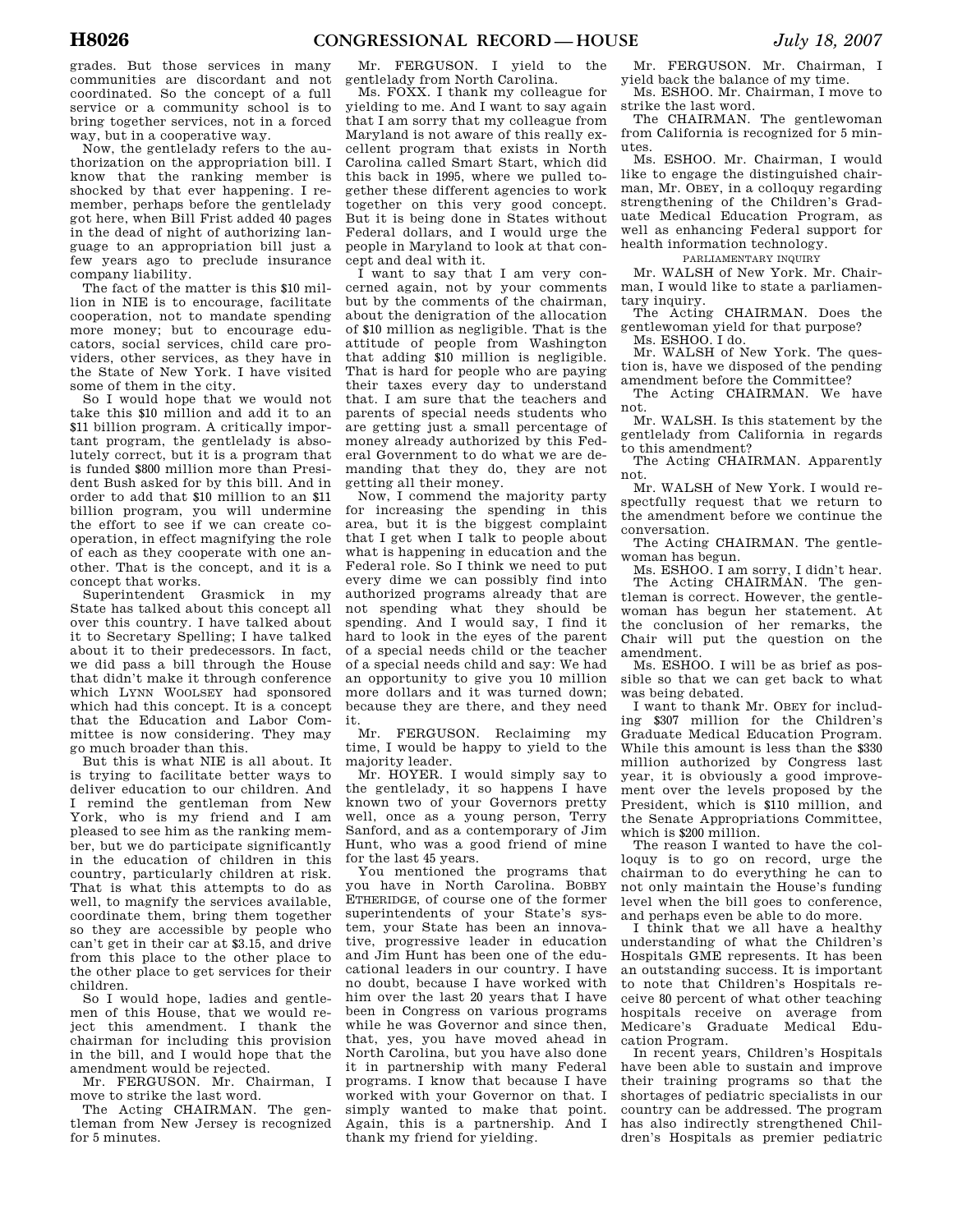grades. But those services in many communities are discordant and not coordinated. So the concept of a full service or a community school is to bring together services, not in a forced way, but in a cooperative way.

Now, the gentlelady refers to the authorization on the appropriation bill. I know that the ranking member is shocked by that ever happening. I remember, perhaps before the gentlelady got here, when Bill Frist added 40 pages in the dead of night of authorizing language to an appropriation bill just a few years ago to preclude insurance company liability.

The fact of the matter is this \$10 million in NIE is to encourage, facilitate cooperation, not to mandate spending more money; but to encourage educators, social services, child care providers, other services, as they have in the State of New York. I have visited some of them in the city.

So I would hope that we would not take this \$10 million and add it to an \$11 billion program. A critically important program, the gentlelady is absolutely correct, but it is a program that is funded \$800 million more than President Bush asked for by this bill. And in order to add that \$10 million to an \$11 billion program, you will undermine the effort to see if we can create cooperation, in effect magnifying the role of each as they cooperate with one another. That is the concept, and it is a concept that works.

Superintendent Grasmick in my State has talked about this concept all over this country. I have talked about it to Secretary Spelling; I have talked about it to their predecessors. In fact, we did pass a bill through the House that didn't make it through conference which LYNN WOOLSEY had sponsored which had this concept. It is a concept that the Education and Labor Committee is now considering. They may go much broader than this.

But this is what NIE is all about. It is trying to facilitate better ways to deliver education to our children. And I remind the gentleman from New York, who is my friend and I am pleased to see him as the ranking member, but we do participate significantly in the education of children in this country, particularly children at risk. That is what this attempts to do as well, to magnify the services available, coordinate them, bring them together so they are accessible by people who can't get in their car at \$3.15, and drive from this place to the other place to the other place to get services for their children.

So I would hope, ladies and gentlemen of this House, that we would reject this amendment. I thank the chairman for including this provision in the bill, and I would hope that the amendment would be rejected.

Mr. FERGUSON. Mr. Chairman, I move to strike the last word.

The Acting CHAIRMAN. The gentleman from New Jersey is recognized for 5 minutes.

Mr. FERGUSON. I yield to the gentlelady from North Carolina.

Ms. FOXX. I thank my colleague for yielding to me. And I want to say again that I am sorry that my colleague from Maryland is not aware of this really excellent program that exists in North Carolina called Smart Start, which did this back in 1995, where we pulled together these different agencies to work together on this very good concept. But it is being done in States without Federal dollars, and I would urge the people in Maryland to look at that concept and deal with it.

I want to say that I am very concerned again, not by your comments but by the comments of the chairman, about the denigration of the allocation of \$10 million as negligible. That is the attitude of people from Washington that adding \$10 million is negligible. That is hard for people who are paying their taxes every day to understand that. I am sure that the teachers and parents of special needs students who are getting just a small percentage of money already authorized by this Federal Government to do what we are demanding that they do, they are not getting all their money.

Now, I commend the majority party for increasing the spending in this area, but it is the biggest complaint that I get when I talk to people about what is happening in education and the Federal role. So I think we need to put every dime we can possibly find into authorized programs already that are not spending what they should be spending. And I would say, I find it hard to look in the eyes of the parent of a special needs child or the teacher of a special needs child and say: We had an opportunity to give you 10 million more dollars and it was turned down; because they are there, and they need it.

Mr. FERGUSON. Reclaiming my time, I would be happy to yield to the majority leader.

Mr. HOYER. I would simply say to the gentlelady, it so happens I have known two of your Governors pretty well, once as a young person, Terry Sanford, and as a contemporary of Jim Hunt, who was a good friend of mine for the last 45 years.

You mentioned the programs that you have in North Carolina. BOBBY ETHERIDGE, of course one of the former superintendents of your State's system, your State has been an innovative, progressive leader in education and Jim Hunt has been one of the educational leaders in our country. I have no doubt, because I have worked with him over the last 20 years that I have been in Congress on various programs while he was Governor and since then, that, yes, you have moved ahead in North Carolina, but you have also done it in partnership with many Federal programs. I know that because I have worked with your Governor on that. I simply wanted to make that point. Again, this is a partnership. And I thank my friend for yielding.

Mr. FERGUSON. Mr. Chairman, I yield back the balance of my time.

Ms. ESHOO. Mr. Chairman, I move to strike the last word.

The CHAIRMAN. The gentlewoman from California is recognized for 5 minutes.

Ms. ESHOO. Mr. Chairman, I would like to engage the distinguished chairman, Mr. OBEY, in a colloquy regarding strengthening of the Children's Graduate Medical Education Program, as well as enhancing Federal support for health information technology.

PARLIAMENTARY INQUIRY

Mr. WALSH of New York. Mr. Chairman, I would like to state a parliamentary inquiry.

The Acting CHAIRMAN. Does the gentlewoman yield for that purpose? Ms. ESHOO. I do.

Mr. WALSH of New York. The question is, have we disposed of the pending amendment before the Committee?

The Acting CHAIRMAN. We have not.

Mr. WALSH. Is this statement by the gentlelady from California in regards to this amendment?

The Acting CHAIRMAN. Apparently not.

Mr. WALSH of New York. I would respectfully request that we return to the amendment before we continue the conversation.

The Acting CHAIRMAN. The gentlewoman has begun.

Ms. ESHOO. I am sorry, I didn't hear. The Acting CHAIRMAN. The gentleman is correct. However, the gentlewoman has begun her statement. At the conclusion of her remarks, the Chair will put the question on the amendment.

Ms. ESHOO. I will be as brief as possible so that we can get back to what was being debated.

I want to thank Mr. OBEY for including \$307 million for the Children's Graduate Medical Education Program. While this amount is less than the \$330 million authorized by Congress last year, it is obviously a good improvement over the levels proposed by the President, which is \$110 million, and the Senate Appropriations Committee, which is \$200 million.

The reason I wanted to have the colloquy is to go on record, urge the chairman to do everything he can to not only maintain the House's funding level when the bill goes to conference, and perhaps even be able to do more.

I think that we all have a healthy understanding of what the Children's Hospitals GME represents. It has been an outstanding success. It is important to note that Children's Hospitals receive 80 percent of what other teaching hospitals receive on average from Medicare's Graduate Medical Education Program.

In recent years, Children's Hospitals have been able to sustain and improve their training programs so that the shortages of pediatric specialists in our country can be addressed. The program has also indirectly strengthened Children's Hospitals as premier pediatric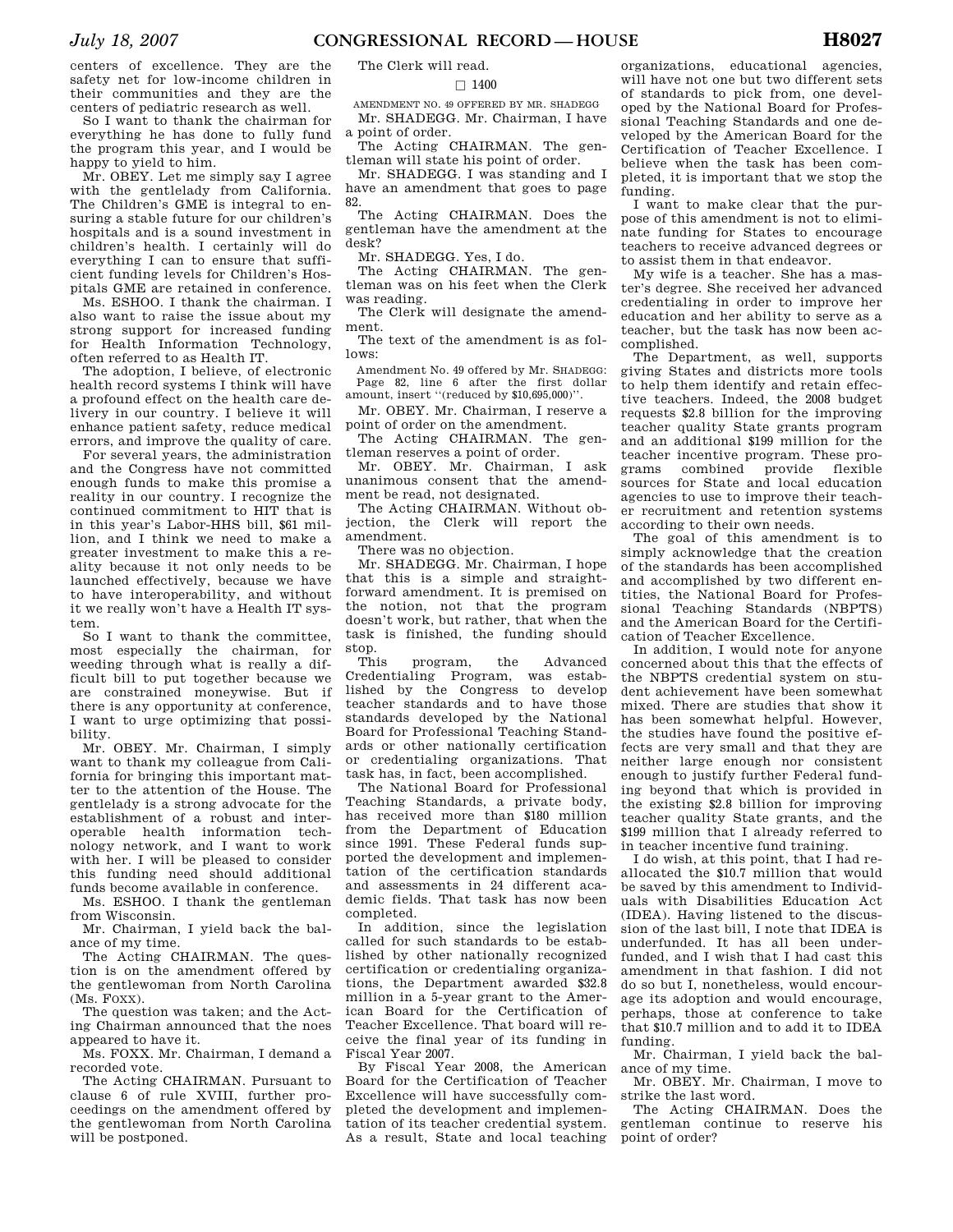centers of pediatric research as well. So I want to thank the chairman for everything he has done to fully fund the program this year, and I would be happy to yield to him.

Mr. OBEY. Let me simply say I agree with the gentlelady from California. The Children's GME is integral to ensuring a stable future for our children's hospitals and is a sound investment in children's health. I certainly will do everything I can to ensure that sufficient funding levels for Children's Hospitals GME are retained in conference.

Ms. ESHOO. I thank the chairman. I also want to raise the issue about my strong support for increased funding for Health Information Technology, often referred to as Health IT.

The adoption, I believe, of electronic health record systems I think will have a profound effect on the health care delivery in our country. I believe it will enhance patient safety, reduce medical errors, and improve the quality of care.

For several years, the administration and the Congress have not committed enough funds to make this promise a reality in our country. I recognize the continued commitment to HIT that is in this year's Labor-HHS bill, \$61 million, and I think we need to make a greater investment to make this a reality because it not only needs to be launched effectively, because we have to have interoperability, and without it we really won't have a Health IT system.

So I want to thank the committee, most especially the chairman, for weeding through what is really a difficult bill to put together because we are constrained moneywise. But if there is any opportunity at conference, I want to urge optimizing that possibility.

Mr. OBEY. Mr. Chairman, I simply want to thank my colleague from California for bringing this important matter to the attention of the House. The gentlelady is a strong advocate for the establishment of a robust and interoperable health information technology network, and I want to work with her. I will be pleased to consider this funding need should additional funds become available in conference.

Ms. ESHOO. I thank the gentleman from Wisconsin.

Mr. Chairman, I yield back the balance of my time.

The Acting CHAIRMAN. The question is on the amendment offered by the gentlewoman from North Carolina (Ms. FOXX).

The question was taken; and the Acting Chairman announced that the noes appeared to have it.

Ms. FOXX. Mr. Chairman, I demand a recorded vote.

The Acting CHAIRMAN. Pursuant to clause 6 of rule XVIII, further proceedings on the amendment offered by the gentlewoman from North Carolina will be postponed.

The Clerk will read.

## $\Box$  1400

AMENDMENT NO. 49 OFFERED BY MR. SHADEGG Mr. SHADEGG. Mr. Chairman, I have a point of order.

The Acting CHAIRMAN. The gentleman will state his point of order.

Mr. SHADEGG. I was standing and I have an amendment that goes to page 82.

The Acting CHAIRMAN. Does the gentleman have the amendment at the desk?

Mr. SHADEGG. Yes, I do.

The Acting CHAIRMAN. The gentleman was on his feet when the Clerk was reading.

The Clerk will designate the amendment.

The text of the amendment is as follows:

Amendment No. 49 offered by Mr. SHADEGG: Page 82, line 6 after the first dollar amount, insert ''(reduced by \$10,695,000)''.

Mr. OBEY. Mr. Chairman, I reserve a point of order on the amendment.

The Acting CHAIRMAN. The gentleman reserves a point of order.

Mr. OBEY. Mr. Chairman, I ask unanimous consent that the amendment be read, not designated.

The Acting CHAIRMAN. Without objection, the Clerk will report the amendment.

There was no objection.

Mr. SHADEGG. Mr. Chairman, I hope that this is a simple and straightforward amendment. It is premised on the notion, not that the program doesn't work, but rather, that when the task is finished, the funding should

stop. program, the Advanced Credentialing Program, was established by the Congress to develop teacher standards and to have those standards developed by the National Board for Professional Teaching Standards or other nationally certification or credentialing organizations. That task has, in fact, been accomplished.

The National Board for Professional Teaching Standards, a private body, has received more than \$180 million from the Department of Education since 1991. These Federal funds supported the development and implementation of the certification standards and assessments in 24 different academic fields. That task has now been completed.

In addition, since the legislation called for such standards to be established by other nationally recognized certification or credentialing organizations, the Department awarded \$32.8 million in a 5-year grant to the American Board for the Certification of Teacher Excellence. That board will receive the final year of its funding in Fiscal Year 2007.

By Fiscal Year 2008, the American Board for the Certification of Teacher Excellence will have successfully completed the development and implementation of its teacher credential system. As a result, State and local teaching

organizations, educational agencies, will have not one but two different sets of standards to pick from, one developed by the National Board for Professional Teaching Standards and one developed by the American Board for the Certification of Teacher Excellence. I believe when the task has been completed, it is important that we stop the funding.

I want to make clear that the purpose of this amendment is not to eliminate funding for States to encourage teachers to receive advanced degrees or to assist them in that endeavor.

My wife is a teacher. She has a master's degree. She received her advanced credentialing in order to improve her education and her ability to serve as a teacher, but the task has now been accomplished.

The Department, as well, supports giving States and districts more tools to help them identify and retain effective teachers. Indeed, the 2008 budget requests \$2.8 billion for the improving teacher quality State grants program and an additional \$199 million for the teacher incentive program. These programs combined provide flexible sources for State and local education agencies to use to improve their teacher recruitment and retention systems according to their own needs.

The goal of this amendment is to simply acknowledge that the creation of the standards has been accomplished and accomplished by two different entities, the National Board for Professional Teaching Standards (NBPTS) and the American Board for the Certification of Teacher Excellence.

In addition, I would note for anyone concerned about this that the effects of the NBPTS credential system on student achievement have been somewhat mixed. There are studies that show it has been somewhat helpful. However, the studies have found the positive effects are very small and that they are neither large enough nor consistent enough to justify further Federal funding beyond that which is provided in the existing \$2.8 billion for improving teacher quality State grants, and the \$199 million that I already referred to in teacher incentive fund training.

I do wish, at this point, that I had reallocated the \$10.7 million that would be saved by this amendment to Individuals with Disabilities Education Act (IDEA). Having listened to the discussion of the last bill, I note that IDEA is underfunded. It has all been underfunded, and I wish that I had cast this amendment in that fashion. I did not do so but I, nonetheless, would encourage its adoption and would encourage, perhaps, those at conference to take that \$10.7 million and to add it to IDEA funding.

Mr. Chairman, I yield back the balance of my time.

Mr. OBEY. Mr. Chairman, I move to strike the last word.

The Acting CHAIRMAN. Does the gentleman continue to reserve his point of order?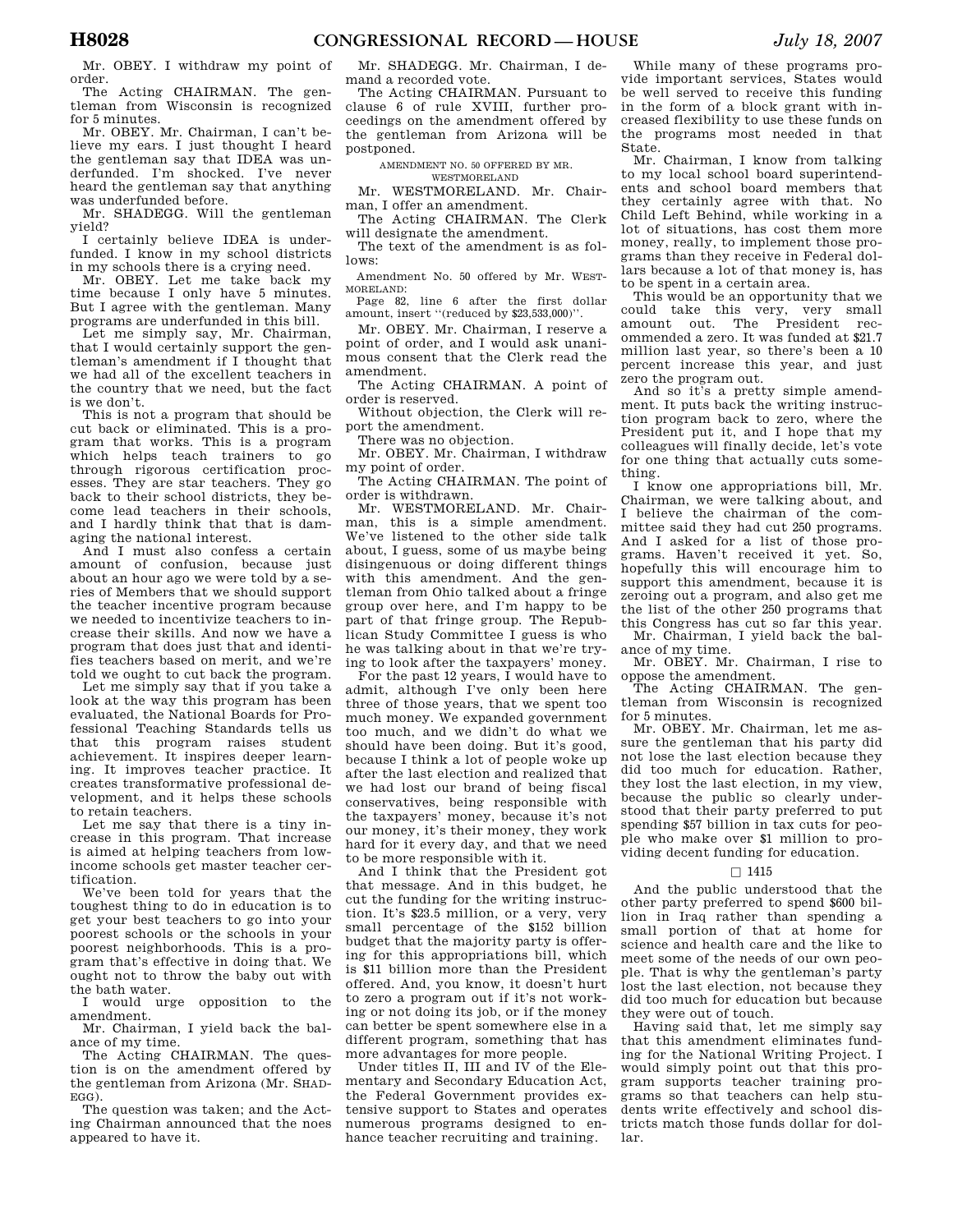Mr. OBEY. I withdraw my point of order.

The Acting CHAIRMAN. The gentleman from Wisconsin is recognized for 5 minutes.

Mr. OBEY. Mr. Chairman, I can't believe my ears. I just thought I heard the gentleman say that IDEA was underfunded. I'm shocked. I've never heard the gentleman say that anything was underfunded before.

Mr. SHADEGG. Will the gentleman yield?

I certainly believe IDEA is underfunded. I know in my school districts in my schools there is a crying need.

Mr. OBEY. Let me take back my time because I only have 5 minutes. But I agree with the gentleman. Many programs are underfunded in this bill.

Let me simply say, Mr. Chairman, that I would certainly support the gentleman's amendment if I thought that we had all of the excellent teachers in the country that we need, but the fact is we don't.

This is not a program that should be cut back or eliminated. This is a program that works. This is a program which helps teach trainers to go through rigorous certification processes. They are star teachers. They go back to their school districts, they become lead teachers in their schools, and I hardly think that that is damaging the national interest.

And I must also confess a certain amount of confusion, because just about an hour ago we were told by a series of Members that we should support the teacher incentive program because we needed to incentivize teachers to increase their skills. And now we have a program that does just that and identifies teachers based on merit, and we're told we ought to cut back the program.

Let me simply say that if you take a look at the way this program has been evaluated, the National Boards for Professional Teaching Standards tells us that this program raises student achievement. It inspires deeper learning. It improves teacher practice. It creates transformative professional development, and it helps these schools to retain teachers.

Let me say that there is a tiny increase in this program. That increase is aimed at helping teachers from lowincome schools get master teacher certification.

We've been told for years that the toughest thing to do in education is to get your best teachers to go into your poorest schools or the schools in your poorest neighborhoods. This is a program that's effective in doing that. We ought not to throw the baby out with the bath water.

I would urge opposition to the amendment.

Mr. Chairman, I yield back the balance of my time.

The Acting CHAIRMAN. The question is on the amendment offered by the gentleman from Arizona (Mr. SHAD-EGG).

The question was taken; and the Acting Chairman announced that the noes appeared to have it.

Mr. SHADEGG. Mr. Chairman, I demand a recorded vote.

The Acting CHAIRMAN. Pursuant to clause 6 of rule XVIII, further proceedings on the amendment offered by the gentleman from Arizona will be postponed.

AMENDMENT NO. 50 OFFERED BY MR. WESTMORELAND

Mr. WESTMORELAND. Mr. Chairman, I offer an amendment.

The Acting CHAIRMAN. The Clerk

will designate the amendment. The text of the amendment is as fol-

lows: Amendment No. 50 offered by Mr. WEST-

MORELAND: Page 82, line 6 after the first dollar amount, insert ''(reduced by \$23,533,000)''.

Mr. OBEY. Mr. Chairman, I reserve a point of order, and I would ask unani-

mous consent that the Clerk read the amendment.

The Acting CHAIRMAN. A point of order is reserved.

Without objection, the Clerk will report the amendment.

There was no objection.

Mr. OBEY. Mr. Chairman, I withdraw my point of order.

The Acting CHAIRMAN. The point of order is withdrawn.

Mr. WESTMORELAND. Mr. Chairman, this is a simple amendment. We've listened to the other side talk about, I guess, some of us maybe being disingenuous or doing different things with this amendment. And the gentleman from Ohio talked about a fringe group over here, and I'm happy to be part of that fringe group. The Republican Study Committee I guess is who he was talking about in that we're trying to look after the taxpayers' money.

For the past 12 years, I would have to admit, although I've only been here three of those years, that we spent too much money. We expanded government too much, and we didn't do what we should have been doing. But it's good, because I think a lot of people woke up after the last election and realized that we had lost our brand of being fiscal conservatives, being responsible with the taxpayers' money, because it's not our money, it's their money, they work hard for it every day, and that we need to be more responsible with it.

And I think that the President got that message. And in this budget, he cut the funding for the writing instruction. It's \$23.5 million, or a very, very small percentage of the \$152 billion budget that the majority party is offering for this appropriations bill, which is \$11 billion more than the President offered. And, you know, it doesn't hurt to zero a program out if it's not working or not doing its job, or if the money can better be spent somewhere else in a different program, something that has more advantages for more people.

Under titles II, III and IV of the Elementary and Secondary Education Act, the Federal Government provides extensive support to States and operates numerous programs designed to enhance teacher recruiting and training.

While many of these programs provide important services, States would be well served to receive this funding in the form of a block grant with increased flexibility to use these funds on the programs most needed in that State.

Mr. Chairman, I know from talking to my local school board superintendents and school board members that they certainly agree with that. No Child Left Behind, while working in a lot of situations, has cost them more money, really, to implement those programs than they receive in Federal dollars because a lot of that money is, has to be spent in a certain area.

This would be an opportunity that we could take this very, very small amount out. The President recommended a zero. It was funded at \$21.7 million last year, so there's been a 10 percent increase this year, and just zero the program out.

And so it's a pretty simple amendment. It puts back the writing instruction program back to zero, where the President put it, and I hope that my colleagues will finally decide, let's vote for one thing that actually cuts something.

I know one appropriations bill, Mr. Chairman, we were talking about, and I believe the chairman of the committee said they had cut 250 programs. And I asked for a list of those programs. Haven't received it yet. So, hopefully this will encourage him to support this amendment, because it is zeroing out a program, and also get me the list of the other 250 programs that this Congress has cut so far this year.

Mr. Chairman, I yield back the balance of my time.

Mr. OBEY. Mr. Chairman, I rise to oppose the amendment.

The Acting CHAIRMAN. The gentleman from Wisconsin is recognized for 5 minutes.

Mr. OBEY. Mr. Chairman, let me assure the gentleman that his party did not lose the last election because they did too much for education. Rather, they lost the last election, in my view, because the public so clearly understood that their party preferred to put spending \$57 billion in tax cuts for people who make over \$1 million to providing decent funding for education.

# $\Box$  1415

And the public understood that the other party preferred to spend \$600 billion in Iraq rather than spending a small portion of that at home for science and health care and the like to meet some of the needs of our own people. That is why the gentleman's party lost the last election, not because they did too much for education but because they were out of touch.

Having said that, let me simply say that this amendment eliminates funding for the National Writing Project. I would simply point out that this program supports teacher training programs so that teachers can help students write effectively and school districts match those funds dollar for dollar.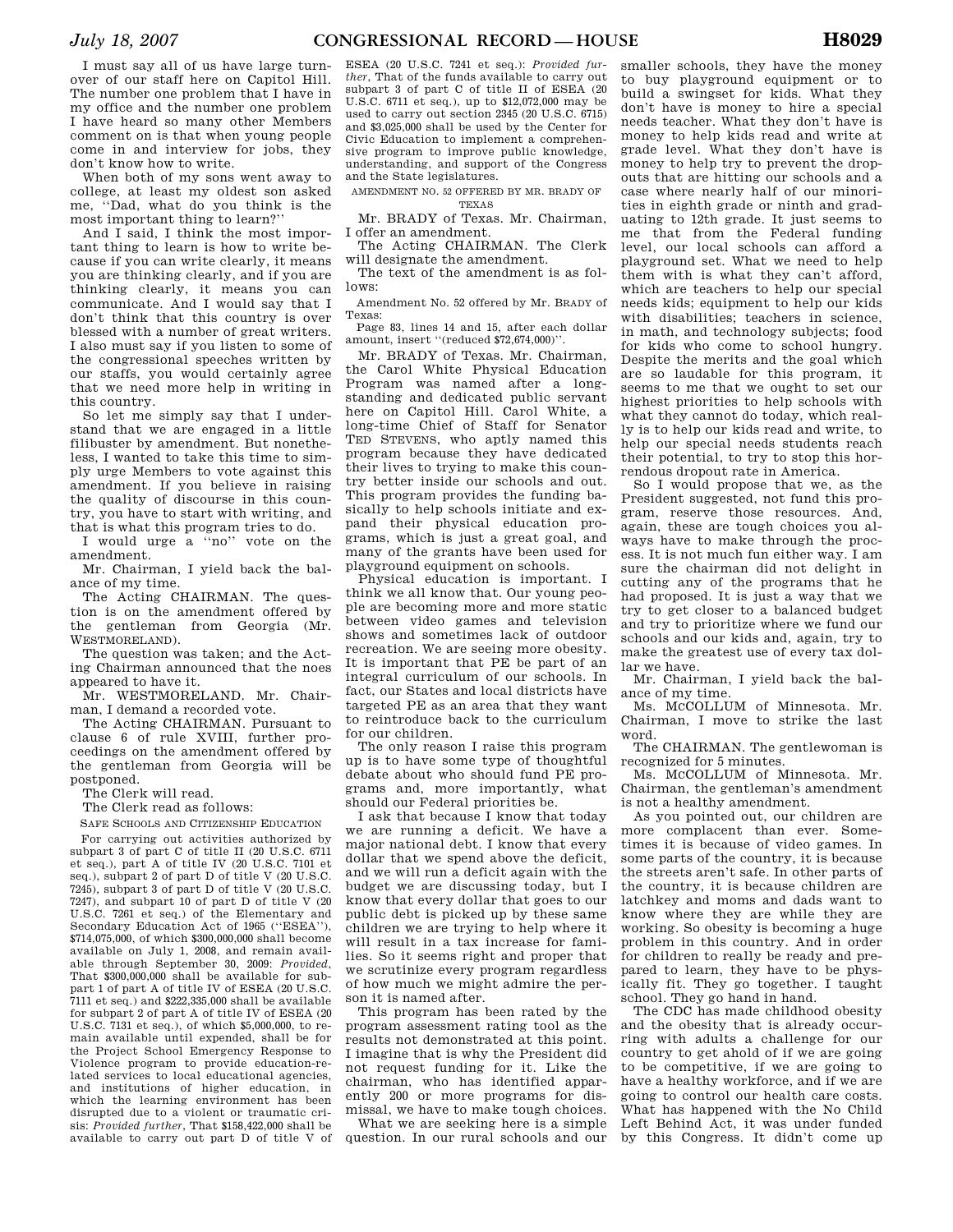I must say all of us have large turnover of our staff here on Capitol Hill. The number one problem that I have in my office and the number one problem I have heard so many other Members comment on is that when young people come in and interview for jobs, they don't know how to write.

When both of my sons went away to college, at least my oldest son asked me, ''Dad, what do you think is the most important thing to learn?''

And I said, I think the most important thing to learn is how to write because if you can write clearly, it means you are thinking clearly, and if you are thinking clearly, it means you can communicate. And I would say that I don't think that this country is over blessed with a number of great writers. I also must say if you listen to some of the congressional speeches written by our staffs, you would certainly agree that we need more help in writing in this country.

So let me simply say that I understand that we are engaged in a little filibuster by amendment. But nonetheless, I wanted to take this time to simply urge Members to vote against this amendment. If you believe in raising the quality of discourse in this country, you have to start with writing, and that is what this program tries to do.

I would urge a ''no'' vote on the amendment.

Mr. Chairman, I yield back the balance of my time.

The Acting CHAIRMAN. The question is on the amendment offered by the gentleman from Georgia (Mr. WESTMORELAND).

The question was taken; and the Acting Chairman announced that the noes appeared to have it.

Mr. WESTMORELAND. Mr. Chairman, I demand a recorded vote.

The Acting CHAIRMAN. Pursuant to clause 6 of rule XVIII, further proceedings on the amendment offered by the gentleman from Georgia will be postponed.

The Clerk will read.

The Clerk read as follows:

SAFE SCHOOLS AND CITIZENSHIP EDUCATION

For carrying out activities authorized by subpart 3 of part C of title II (20 U.S.C. 6711 et seq.), part A of title IV (20 U.S.C. 7101 et seq.), subpart 2 of part D of title V (20 U.S.C. 7245), subpart 3 of part D of title V (20 U.S.C. 7247), and subpart 10 of part D of title V (20 U.S.C. 7261 et seq.) of the Elementary and Secondary Education Act of 1965 (''ESEA''), \$714,075,000, of which \$300,000,000 shall become available on July 1, 2008, and remain available through September 30, 2009: *Provided*, That \$300,000,000 shall be available for subpart 1 of part A of title IV of ESEA (20 U.S.C. 7111 et seq.) and \$222,335,000 shall be available for subpart 2 of part A of title IV of ESEA (20 U.S.C. 7131 et seq.), of which \$5,000,000, to remain available until expended, shall be for the Project School Emergency Response to Violence program to provide education-related services to local educational agencies, and institutions of higher education, in which the learning environment has been disrupted due to a violent or traumatic crisis: *Provided further*, That \$158,422,000 shall be available to carry out part D of title V of

ESEA (20 U.S.C. 7241 et seq.): *Provided further*, That of the funds available to carry out subpart 3 of part C of title II of ESEA (20 U.S.C. 6711 et seq.), up to \$12,072,000 may be used to carry out section 2345 (20 U.S.C. 6715) and \$3,025,000 shall be used by the Center for Civic Education to implement a comprehensive program to improve public knowledge, understanding, and support of the Congress and the State legislatures.

AMENDMENT NO. 52 OFFERED BY MR. BRADY OF

TEXAS

Mr. BRADY of Texas. Mr. Chairman, I offer an amendment.

The Acting CHAIRMAN. The Clerk will designate the amendment.

The text of the amendment is as follows:

Amendment No. 52 offered by Mr. BRADY of Texas:

Page 83, lines 14 and 15, after each dollar amount, insert ''(reduced \$72,674,000)''.

Mr. BRADY of Texas. Mr. Chairman, the Carol White Physical Education Program was named after a longstanding and dedicated public servant here on Capitol Hill. Carol White, a long-time Chief of Staff for Senator TED STEVENS, who aptly named this program because they have dedicated their lives to trying to make this country better inside our schools and out. This program provides the funding basically to help schools initiate and expand their physical education programs, which is just a great goal, and many of the grants have been used for playground equipment on schools.

Physical education is important. I think we all know that. Our young people are becoming more and more static between video games and television shows and sometimes lack of outdoor recreation. We are seeing more obesity. It is important that PE be part of an integral curriculum of our schools. In fact, our States and local districts have targeted PE as an area that they want to reintroduce back to the curriculum for our children.

The only reason I raise this program up is to have some type of thoughtful debate about who should fund PE programs and, more importantly, what should our Federal priorities be.

I ask that because I know that today we are running a deficit. We have a major national debt. I know that every dollar that we spend above the deficit, and we will run a deficit again with the budget we are discussing today, but I know that every dollar that goes to our public debt is picked up by these same children we are trying to help where it will result in a tax increase for families. So it seems right and proper that we scrutinize every program regardless of how much we might admire the person it is named after.

This program has been rated by the program assessment rating tool as the results not demonstrated at this point. I imagine that is why the President did not request funding for it. Like the chairman, who has identified apparently 200 or more programs for dismissal, we have to make tough choices.

What we are seeking here is a simple question. In our rural schools and our

smaller schools, they have the money to buy playground equipment or to build a swingset for kids. What they don't have is money to hire a special needs teacher. What they don't have is money to help kids read and write at grade level. What they don't have is money to help try to prevent the dropouts that are hitting our schools and a case where nearly half of our minorities in eighth grade or ninth and graduating to 12th grade. It just seems to me that from the Federal funding level, our local schools can afford a playground set. What we need to help them with is what they can't afford, which are teachers to help our special needs kids; equipment to help our kids with disabilities; teachers in science, in math, and technology subjects; food for kids who come to school hungry. Despite the merits and the goal which are so laudable for this program, it seems to me that we ought to set our highest priorities to help schools with what they cannot do today, which really is to help our kids read and write, to help our special needs students reach their potential, to try to stop this horrendous dropout rate in America.

So I would propose that we, as the President suggested, not fund this program, reserve those resources. And, again, these are tough choices you always have to make through the process. It is not much fun either way. I am sure the chairman did not delight in cutting any of the programs that he had proposed. It is just a way that we try to get closer to a balanced budget and try to prioritize where we fund our schools and our kids and, again, try to make the greatest use of every tax dollar we have.

Mr. Chairman, I yield back the balance of my time.

Ms. MCCOLLUM of Minnesota. Mr. Chairman, I move to strike the last word.

The CHAIRMAN. The gentlewoman is recognized for 5 minutes.

Ms. MCCOLLUM of Minnesota. Mr. Chairman, the gentleman's amendment is not a healthy amendment.

As you pointed out, our children are more complacent than ever. Sometimes it is because of video games. In some parts of the country, it is because the streets aren't safe. In other parts of the country, it is because children are latchkey and moms and dads want to know where they are while they are working. So obesity is becoming a huge problem in this country. And in order for children to really be ready and prepared to learn, they have to be physically fit. They go together. I taught school. They go hand in hand.

The CDC has made childhood obesity and the obesity that is already occurring with adults a challenge for our country to get ahold of if we are going to be competitive, if we are going to have a healthy workforce, and if we are going to control our health care costs. What has happened with the No Child Left Behind Act, it was under funded by this Congress. It didn't come up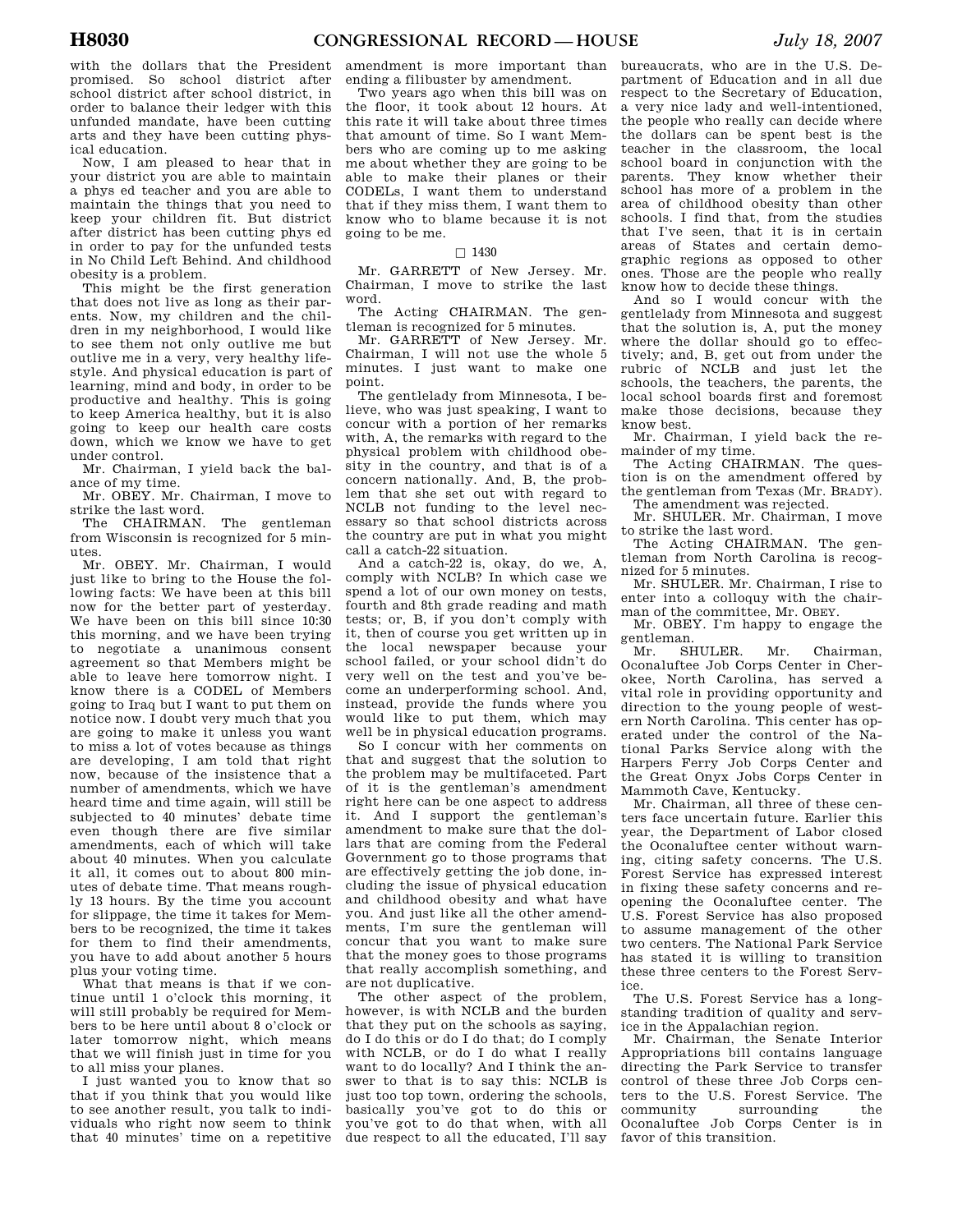with the dollars that the President promised. So school district after school district after school district, in order to balance their ledger with this unfunded mandate, have been cutting arts and they have been cutting physical education.

Now, I am pleased to hear that in your district you are able to maintain a phys ed teacher and you are able to maintain the things that you need to keep your children fit. But district after district has been cutting phys ed in order to pay for the unfunded tests in No Child Left Behind. And childhood obesity is a problem.

This might be the first generation that does not live as long as their parents. Now, my children and the children in my neighborhood, I would like to see them not only outlive me but outlive me in a very, very healthy lifestyle. And physical education is part of learning, mind and body, in order to be productive and healthy. This is going to keep America healthy, but it is also going to keep our health care costs down, which we know we have to get under control.

Mr. Chairman, I yield back the balance of my time.

Mr. OBEY. Mr. Chairman, I move to strike the last word.

The CHAIRMAN. The gentleman from Wisconsin is recognized for 5 minutes.

Mr. OBEY. Mr. Chairman, I would just like to bring to the House the following facts: We have been at this bill now for the better part of yesterday. We have been on this bill since 10:30 this morning, and we have been trying to negotiate a unanimous consent agreement so that Members might be able to leave here tomorrow night. I know there is a CODEL of Members going to Iraq but I want to put them on notice now. I doubt very much that you are going to make it unless you want to miss a lot of votes because as things are developing, I am told that right now, because of the insistence that a number of amendments, which we have heard time and time again, will still be subjected to 40 minutes' debate time even though there are five similar amendments, each of which will take about 40 minutes. When you calculate it all, it comes out to about 800 minutes of debate time. That means roughly 13 hours. By the time you account for slippage, the time it takes for Members to be recognized, the time it takes for them to find their amendments, you have to add about another 5 hours plus your voting time.

What that means is that if we continue until 1 o'clock this morning, it will still probably be required for Members to be here until about 8 o'clock or later tomorrow night, which means that we will finish just in time for you to all miss your planes.

I just wanted you to know that so that if you think that you would like to see another result, you talk to individuals who right now seem to think that 40 minutes' time on a repetitive

amendment is more important than ending a filibuster by amendment.

Two years ago when this bill was on the floor, it took about 12 hours. At this rate it will take about three times that amount of time. So I want Members who are coming up to me asking me about whether they are going to be able to make their planes or their CODELs, I want them to understand that if they miss them, I want them to know who to blame because it is not going to be me.

### $\Box$  1430

Mr. GARRETT of New Jersey. Mr. Chairman, I move to strike the last word.

The Acting CHAIRMAN. The gentleman is recognized for 5 minutes.

Mr. GARRETT of New Jersey. Mr. Chairman, I will not use the whole 5 minutes. I just want to make one point.

The gentlelady from Minnesota, I believe, who was just speaking, I want to concur with a portion of her remarks with, A, the remarks with regard to the physical problem with childhood obesity in the country, and that is of a concern nationally. And, B, the problem that she set out with regard to NCLB not funding to the level necessary so that school districts across the country are put in what you might call a catch-22 situation.

And a catch-22 is, okay, do we, A, comply with NCLB? In which case we spend a lot of our own money on tests, fourth and 8th grade reading and math tests; or, B, if you don't comply with it, then of course you get written up in the local newspaper because your school failed, or your school didn't do very well on the test and you've become an underperforming school. And, instead, provide the funds where you would like to put them, which may well be in physical education programs.

So I concur with her comments on that and suggest that the solution to the problem may be multifaceted. Part of it is the gentleman's amendment right here can be one aspect to address it. And I support the gentleman's amendment to make sure that the dollars that are coming from the Federal Government go to those programs that are effectively getting the job done, including the issue of physical education and childhood obesity and what have you. And just like all the other amendments, I'm sure the gentleman will concur that you want to make sure that the money goes to those programs that really accomplish something, and are not duplicative.

The other aspect of the problem, however, is with NCLB and the burden that they put on the schools as saying, do I do this or do I do that; do I comply with NCLB, or do I do what I really want to do locally? And I think the answer to that is to say this: NCLB is just too top town, ordering the schools, basically you've got to do this or you've got to do that when, with all due respect to all the educated, I'll say

bureaucrats, who are in the U.S. Department of Education and in all due respect to the Secretary of Education, a very nice lady and well-intentioned, the people who really can decide where the dollars can be spent best is the teacher in the classroom, the local school board in conjunction with the parents. They know whether their school has more of a problem in the area of childhood obesity than other schools. I find that, from the studies that I've seen, that it is in certain areas of States and certain demographic regions as opposed to other ones. Those are the people who really know how to decide these things.

And so I would concur with the gentlelady from Minnesota and suggest that the solution is, A, put the money where the dollar should go to effectively; and, B, get out from under the rubric of NCLB and just let the schools, the teachers, the parents, the local school boards first and foremost make those decisions, because they know best.

Mr. Chairman, I yield back the remainder of my time.

The Acting CHAIRMAN. The question is on the amendment offered by the gentleman from Texas (Mr. BRADY). The amendment was rejected.

Mr. SHULER. Mr. Chairman, I move to strike the last word.

The Acting CHAIRMAN. The gentleman from North Carolina is recognized for 5 minutes.

Mr. SHULER. Mr. Chairman, I rise to enter into a colloquy with the chairman of the committee, Mr. OBEY.

Mr. OBEY. I'm happy to engage the gentleman.<br>Mr. SF

SHULER. Mr. Chairman, Oconaluftee Job Corps Center in Cherokee, North Carolina, has served a vital role in providing opportunity and direction to the young people of western North Carolina. This center has operated under the control of the National Parks Service along with the Harpers Ferry Job Corps Center and the Great Onyx Jobs Corps Center in Mammoth Cave, Kentucky.

Mr. Chairman, all three of these centers face uncertain future. Earlier this year, the Department of Labor closed the Oconaluftee center without warning, citing safety concerns. The U.S. Forest Service has expressed interest in fixing these safety concerns and reopening the Oconaluftee center. The U.S. Forest Service has also proposed to assume management of the other two centers. The National Park Service has stated it is willing to transition these three centers to the Forest Service.

The U.S. Forest Service has a longstanding tradition of quality and service in the Appalachian region.

Mr. Chairman, the Senate Interior Appropriations bill contains language directing the Park Service to transfer control of these three Job Corps centers to the U.S. Forest Service. The community surrounding the Oconaluftee Job Corps Center is in favor of this transition.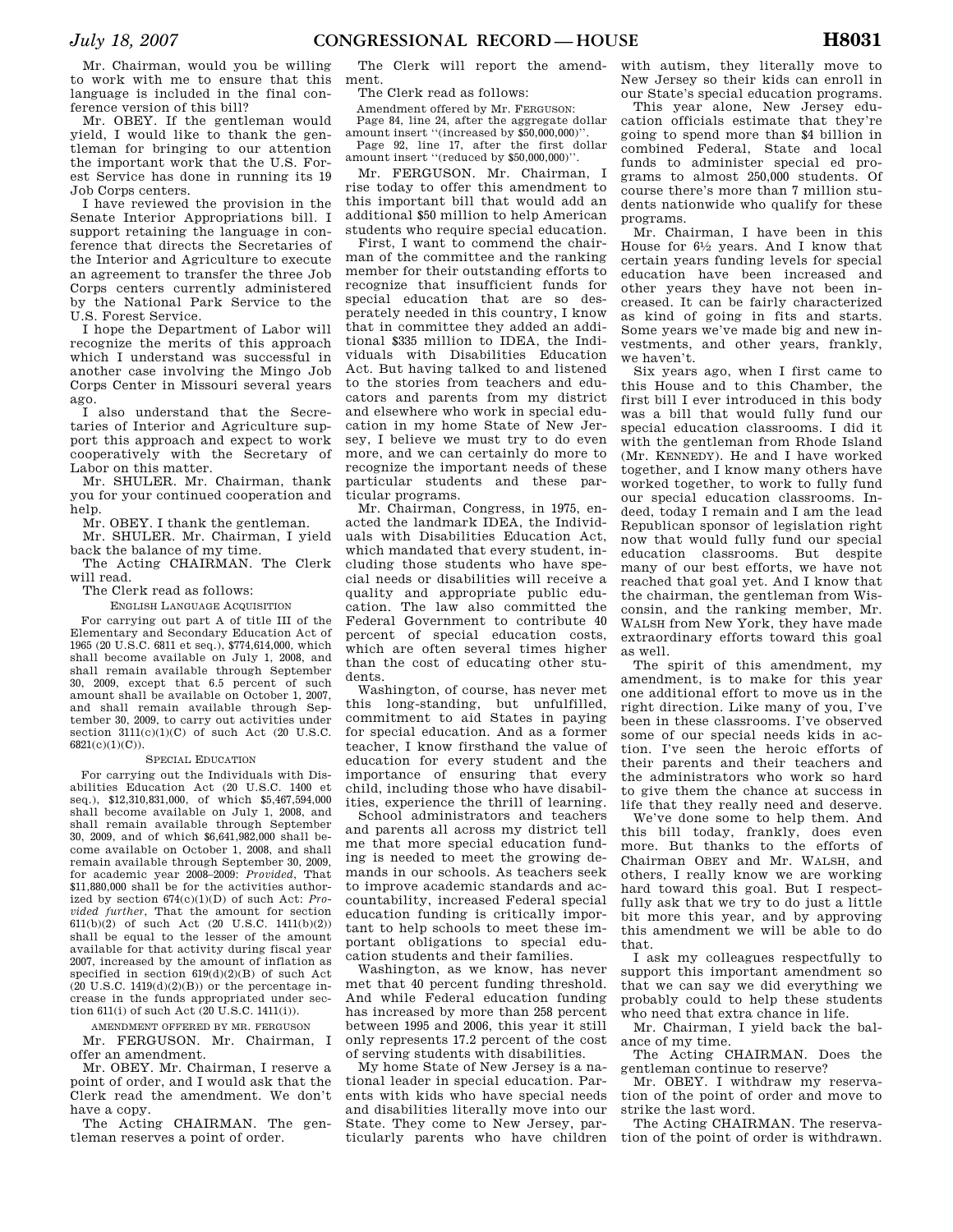Mr. Chairman, would you be willing to work with me to ensure that this language is included in the final conference version of this bill?

Mr. OBEY. If the gentleman would yield, I would like to thank the gentleman for bringing to our attention the important work that the U.S. Forest Service has done in running its 19 Job Corps centers.

I have reviewed the provision in the Senate Interior Appropriations bill. I support retaining the language in conference that directs the Secretaries of the Interior and Agriculture to execute an agreement to transfer the three Job Corps centers currently administered by the National Park Service to the U.S. Forest Service.

I hope the Department of Labor will recognize the merits of this approach which I understand was successful in another case involving the Mingo Job Corps Center in Missouri several years ago.

I also understand that the Secretaries of Interior and Agriculture support this approach and expect to work cooperatively with the Secretary of Labor on this matter.

Mr. SHULER. Mr. Chairman, thank you for your continued cooperation and help.

Mr. OBEY. I thank the gentleman.

Mr. SHULER. Mr. Chairman, I yield back the balance of my time.

The Acting CHAIRMAN. The Clerk will read.

The Clerk read as follows:

ENGLISH LANGUAGE ACQUISITION For carrying out part A of title III of the Elementary and Secondary Education Act of 1965 (20 U.S.C. 6811 et seq.), \$774,614,000, which shall become available on July 1, 2008, and shall remain available through September 30, 2009, except that 6.5 percent of such amount shall be available on October 1, 2007, and shall remain available through September 30, 2009, to carry out activities under section  $311(c)(1)(C)$  of such Act  $(20 \text{ H.S C})$ 6821(c)(1)(C)).

## SPECIAL EDUCATION

For carrying out the Individuals with Disabilities Education Act (20 U.S.C. 1400 et seq.), \$12,310,831,000, of which \$5,467,594,000 shall become available on July 1, 2008, and shall remain available through September 30, 2009, and of which \$6,641,982,000 shall become available on October 1, 2008, and shall remain available through September 30, 2009, for academic year 2008–2009: *Provided*, That \$11,880,000 shall be for the activities authorized by section 674(c)(1)(D) of such Act: *Provided further*, That the amount for section 611(b)(2) of such Act (20 U.S.C. 1411(b)(2)) shall be equal to the lesser of the amount available for that activity during fiscal year 2007, increased by the amount of inflation as specified in section 619(d)(2)(B) of such Act  $(20 \text{ U.S.C. } 1419(d)(2)(B))$  or the percentage increase in the funds appropriated under section 611(i) of such Act (20 U.S.C. 1411(i)).

AMENDMENT OFFERED BY MR. FERGUSON Mr. FERGUSON. Mr. Chairman, I offer an amendment.

Mr. OBEY. Mr. Chairman, I reserve a point of order, and I would ask that the Clerk read the amendment. We don't have a copy.

The Acting CHAIRMAN. The gentleman reserves a point of order.

The Clerk will report the amendment.

The Clerk read as follows:

Amendment offered by Mr. FERGUSON:

Page 84, line 24, after the aggregate dollar amount insert ''(increased by \$50,000,000)''.

Page 92, line 17, after the first dollar amount insert ''(reduced by \$50,000,000)''.

Mr. FERGUSON. Mr. Chairman, I rise today to offer this amendment to this important bill that would add an additional \$50 million to help American students who require special education.

First, I want to commend the chairman of the committee and the ranking member for their outstanding efforts to recognize that insufficient funds for special education that are so desperately needed in this country, I know that in committee they added an additional \$335 million to IDEA, the Individuals with Disabilities Education Act. But having talked to and listened to the stories from teachers and educators and parents from my district and elsewhere who work in special education in my home State of New Jersey, I believe we must try to do even more, and we can certainly do more to recognize the important needs of these particular students and these particular programs.

Mr. Chairman, Congress, in 1975, enacted the landmark IDEA, the Individuals with Disabilities Education Act, which mandated that every student, including those students who have special needs or disabilities will receive a quality and appropriate public education. The law also committed the Federal Government to contribute 40 percent of special education costs, which are often several times higher than the cost of educating other students.

Washington, of course, has never met this long-standing, but unfulfilled, commitment to aid States in paying for special education. And as a former teacher, I know firsthand the value of education for every student and the importance of ensuring that every child, including those who have disabilities, experience the thrill of learning.

School administrators and teachers and parents all across my district tell me that more special education funding is needed to meet the growing demands in our schools. As teachers seek to improve academic standards and accountability, increased Federal special education funding is critically important to help schools to meet these important obligations to special education students and their families.

Washington, as we know, has never met that 40 percent funding threshold. And while Federal education funding has increased by more than 258 percent between 1995 and 2006, this year it still only represents 17.2 percent of the cost of serving students with disabilities.

My home State of New Jersey is a national leader in special education. Parents with kids who have special needs and disabilities literally move into our State. They come to New Jersey, particularly parents who have children

with autism, they literally move to New Jersey so their kids can enroll in our State's special education programs.

This year alone, New Jersey education officials estimate that they're going to spend more than \$4 billion in combined Federal, State and local funds to administer special ed programs to almost 250,000 students. Of course there's more than 7 million students nationwide who qualify for these programs.

Mr. Chairman, I have been in this House for  $6\frac{1}{2}$  years. And I know that certain years funding levels for special education have been increased and other years they have not been increased. It can be fairly characterized as kind of going in fits and starts. Some years we've made big and new investments, and other years, frankly, we haven't.

Six years ago, when I first came to this House and to this Chamber, the first bill I ever introduced in this body was a bill that would fully fund our special education classrooms. I did it with the gentleman from Rhode Island (Mr. KENNEDY). He and I have worked together, and I know many others have worked together, to work to fully fund our special education classrooms. Indeed, today I remain and I am the lead Republican sponsor of legislation right now that would fully fund our special education classrooms. But despite many of our best efforts, we have not reached that goal yet. And I know that the chairman, the gentleman from Wisconsin, and the ranking member, Mr. WALSH from New York, they have made extraordinary efforts toward this goal as well.

The spirit of this amendment, my amendment, is to make for this year one additional effort to move us in the right direction. Like many of you, I've been in these classrooms. I've observed some of our special needs kids in action. I've seen the heroic efforts of their parents and their teachers and the administrators who work so hard to give them the chance at success in life that they really need and deserve.

We've done some to help them. And this bill today, frankly, does even more. But thanks to the efforts of Chairman OBEY and Mr. WALSH, and others, I really know we are working hard toward this goal. But I respectfully ask that we try to do just a little bit more this year, and by approving this amendment we will be able to do that.

I ask my colleagues respectfully to support this important amendment so that we can say we did everything we probably could to help these students who need that extra chance in life.

Mr. Chairman, I yield back the balance of my time.

The Acting CHAIRMAN. Does the gentleman continue to reserve?

Mr. OBEY. I withdraw my reservation of the point of order and move to strike the last word.

The Acting CHAIRMAN. The reservation of the point of order is withdrawn.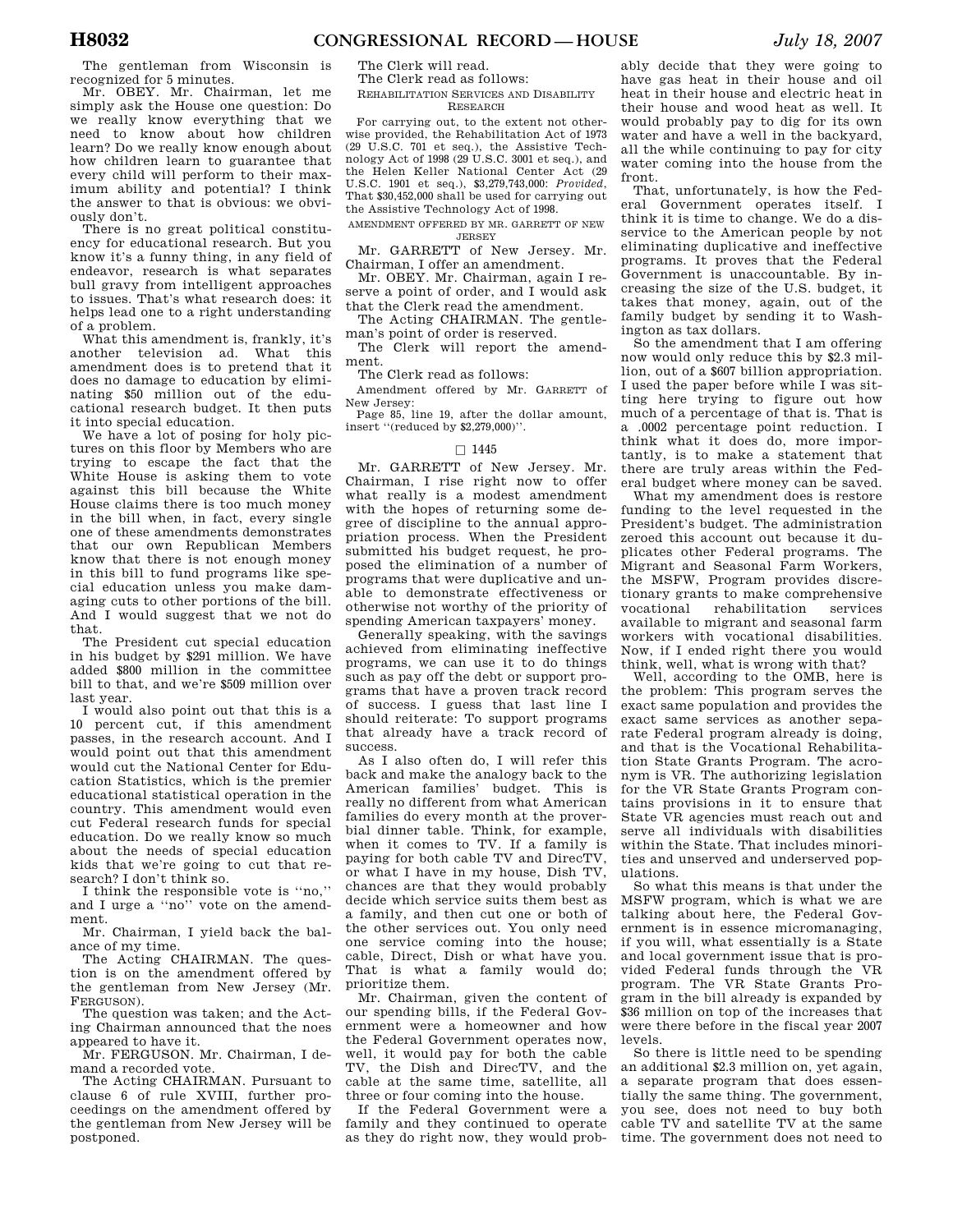The gentleman from Wisconsin is recognized for 5 minutes.

Mr. OBEY. Mr. Chairman, let me simply ask the House one question: Do we really know everything that we need to know about how children learn? Do we really know enough about how children learn to guarantee that every child will perform to their maximum ability and potential? I think the answer to that is obvious: we obviously don't.

There is no great political constituency for educational research. But you know it's a funny thing, in any field of endeavor, research is what separates bull gravy from intelligent approaches to issues. That's what research does: it helps lead one to a right understanding of a problem.

What this amendment is, frankly, it's another television ad. What this amendment does is to pretend that it does no damage to education by eliminating \$50 million out of the educational research budget. It then puts it into special education.

We have a lot of posing for holy pictures on this floor by Members who are trying to escape the fact that the White House is asking them to vote against this bill because the White House claims there is too much money in the bill when, in fact, every single one of these amendments demonstrates that our own Republican Members know that there is not enough money in this bill to fund programs like special education unless you make damaging cuts to other portions of the bill. And I would suggest that we not do that.

The President cut special education in his budget by \$291 million. We have added \$800 million in the committee bill to that, and we're \$509 million over last year.

I would also point out that this is a 10 percent cut, if this amendment passes, in the research account. And I would point out that this amendment would cut the National Center for Education Statistics, which is the premier educational statistical operation in the country. This amendment would even cut Federal research funds for special education. Do we really know so much about the needs of special education kids that we're going to cut that research? I don't think so.

I think the responsible vote is ''no,'' and I urge a ''no'' vote on the amendment.

Mr. Chairman, I yield back the balance of my time.

The Acting CHAIRMAN. The question is on the amendment offered by the gentleman from New Jersey (Mr. FERGUSON).

The question was taken; and the Acting Chairman announced that the noes appeared to have it.

Mr. FERGUSON. Mr. Chairman, I demand a recorded vote.

The Acting CHAIRMAN. Pursuant to clause 6 of rule XVIII, further proceedings on the amendment offered by the gentleman from New Jersey will be postponed.

The Clerk will read. The Clerk read as follows:

## REHABILITATION SERVICES AND DISABILITY RESEARCH

For carrying out, to the extent not otherwise provided, the Rehabilitation Act of 1973 (29 U.S.C. 701 et seq.), the Assistive Technology Act of 1998 (29 U.S.C. 3001 et seq.), and the Helen Keller National Center Act (29 U.S.C. 1901 et seq.), \$3,279,743,000: *Provided*, That \$30,452,000 shall be used for carrying out the Assistive Technology Act of 1998.

AMENDMENT OFFERED BY MR. GARRETT OF NEW JERSEY

Mr. GARRETT of New Jersey. Mr. Chairman, I offer an amendment.

Mr. OBEY. Mr. Chairman, again I reserve a point of order, and I would ask that the Clerk read the amendment.

The Acting CHAIRMAN. The gentleman's point of order is reserved.

The Clerk will report the amendment.

The Clerk read as follows:

Amendment offered by Mr. GARRETT of New Jersey:

Page 85, line 19, after the dollar amount, insert ''(reduced by \$2,279,000)''.

#### $\Box$  1445

Mr. GARRETT of New Jersey. Mr. Chairman, I rise right now to offer what really is a modest amendment with the hopes of returning some degree of discipline to the annual appropriation process. When the President submitted his budget request, he proposed the elimination of a number of programs that were duplicative and unable to demonstrate effectiveness or otherwise not worthy of the priority of spending American taxpayers' money.

Generally speaking, with the savings achieved from eliminating ineffective programs, we can use it to do things such as pay off the debt or support programs that have a proven track record of success. I guess that last line I should reiterate: To support programs that already have a track record of success.

As I also often do, I will refer this back and make the analogy back to the American families' budget. This is really no different from what American families do every month at the proverbial dinner table. Think, for example, when it comes to TV. If a family is paying for both cable TV and DirecTV, or what I have in my house, Dish TV, chances are that they would probably decide which service suits them best as a family, and then cut one or both of the other services out. You only need one service coming into the house; cable, Direct, Dish or what have you. That is what a family would do; prioritize them.

Mr. Chairman, given the content of our spending bills, if the Federal Government were a homeowner and how the Federal Government operates now, well, it would pay for both the cable TV, the Dish and DirecTV, and the cable at the same time, satellite, all three or four coming into the house.

If the Federal Government were a family and they continued to operate as they do right now, they would prob-

ably decide that they were going to have gas heat in their house and oil heat in their house and electric heat in their house and wood heat as well. It would probably pay to dig for its own water and have a well in the backyard, all the while continuing to pay for city water coming into the house from the front.

That, unfortunately, is how the Federal Government operates itself. I think it is time to change. We do a disservice to the American people by not eliminating duplicative and ineffective programs. It proves that the Federal Government is unaccountable. By increasing the size of the U.S. budget, it takes that money, again, out of the family budget by sending it to Washington as tax dollars.

So the amendment that I am offering now would only reduce this by \$2.3 million, out of a \$607 billion appropriation. I used the paper before while I was sitting here trying to figure out how much of a percentage of that is. That is a .0002 percentage point reduction. I think what it does do, more importantly, is to make a statement that there are truly areas within the Federal budget where money can be saved.

What my amendment does is restore funding to the level requested in the President's budget. The administration zeroed this account out because it duplicates other Federal programs. The Migrant and Seasonal Farm Workers, the MSFW, Program provides discretionary grants to make comprehensive vocational rehabilitation services available to migrant and seasonal farm workers with vocational disabilities. Now, if I ended right there you would think, well, what is wrong with that?

Well, according to the OMB, here is the problem: This program serves the exact same population and provides the exact same services as another separate Federal program already is doing, and that is the Vocational Rehabilitation State Grants Program. The acronym is VR. The authorizing legislation for the VR State Grants Program contains provisions in it to ensure that State VR agencies must reach out and serve all individuals with disabilities within the State. That includes minorities and unserved and underserved populations.

So what this means is that under the MSFW program, which is what we are talking about here, the Federal Government is in essence micromanaging, if you will, what essentially is a State and local government issue that is provided Federal funds through the VR program. The VR State Grants Program in the bill already is expanded by \$36 million on top of the increases that were there before in the fiscal year 2007 levels.

So there is little need to be spending an additional \$2.3 million on, yet again, a separate program that does essentially the same thing. The government, you see, does not need to buy both cable TV and satellite TV at the same time. The government does not need to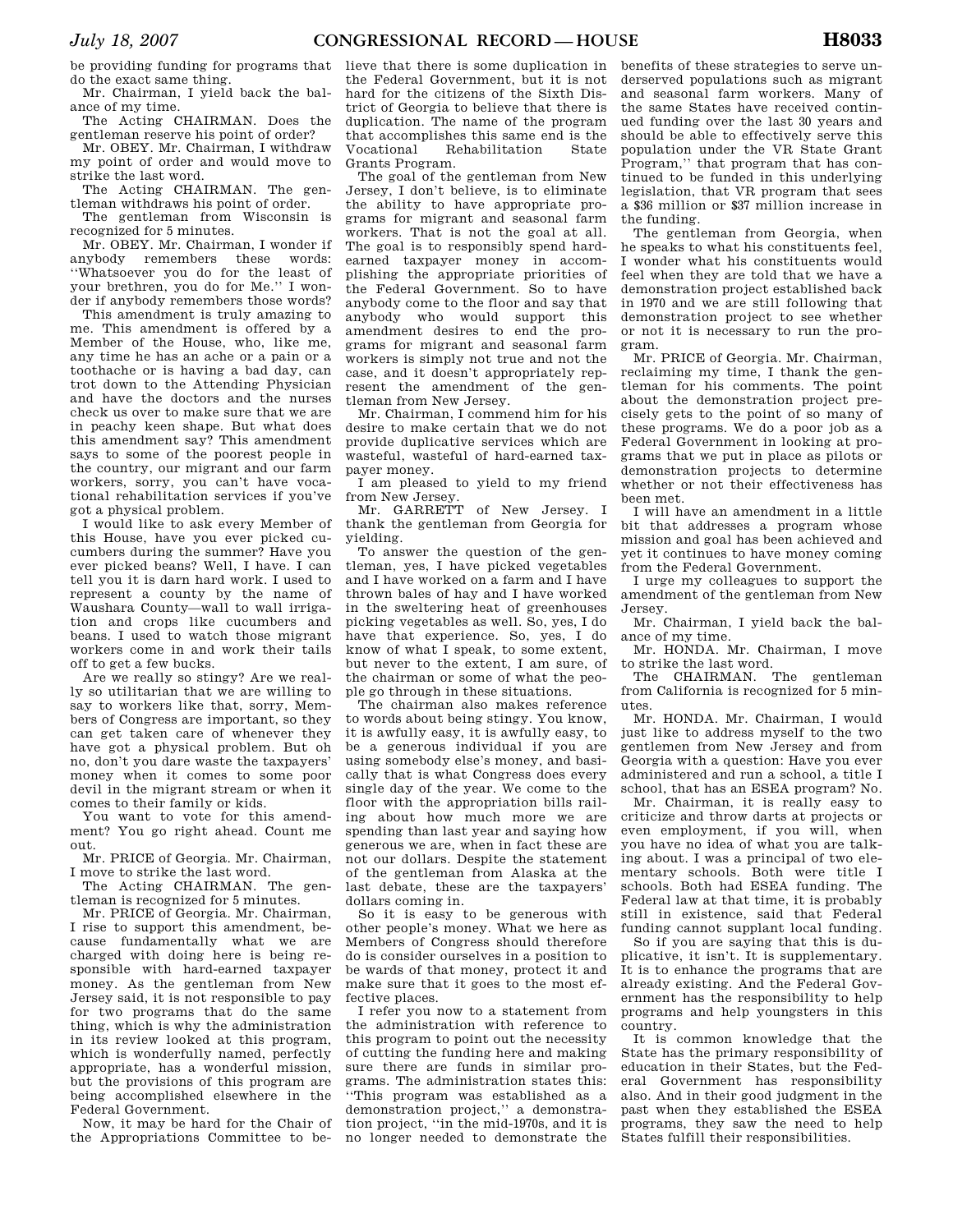be providing funding for programs that do the exact same thing.

Mr. Chairman, I yield back the balance of my time.

The Acting CHAIRMAN. Does the gentleman reserve his point of order?

Mr. OBEY. Mr. Chairman, I withdraw my point of order and would move to strike the last word.

The Acting CHAIRMAN. The gentleman withdraws his point of order.

The gentleman from Wisconsin is recognized for 5 minutes.

Mr. OBEY. Mr. Chairman, I wonder if anybody remembers these words: ''Whatsoever you do for the least of your brethren, you do for Me.'' I wonder if anybody remembers those words?

This amendment is truly amazing to me. This amendment is offered by a Member of the House, who, like me, any time he has an ache or a pain or a toothache or is having a bad day, can trot down to the Attending Physician and have the doctors and the nurses check us over to make sure that we are in peachy keen shape. But what does this amendment say? This amendment says to some of the poorest people in the country, our migrant and our farm workers, sorry, you can't have vocational rehabilitation services if you've got a physical problem.

I would like to ask every Member of this House, have you ever picked cucumbers during the summer? Have you ever picked beans? Well, I have. I can tell you it is darn hard work. I used to represent a county by the name of Waushara County—wall to wall irrigation and crops like cucumbers and beans. I used to watch those migrant workers come in and work their tails off to get a few bucks.

Are we really so stingy? Are we really so utilitarian that we are willing to say to workers like that, sorry, Members of Congress are important, so they can get taken care of whenever they have got a physical problem. But oh no, don't you dare waste the taxpayers' money when it comes to some poor devil in the migrant stream or when it comes to their family or kids.

You want to vote for this amendment? You go right ahead. Count me out.

Mr. PRICE of Georgia. Mr. Chairman, I move to strike the last word.

The Acting CHAIRMAN. The gentleman is recognized for 5 minutes.

Mr. PRICE of Georgia. Mr. Chairman, I rise to support this amendment, because fundamentally what we are charged with doing here is being responsible with hard-earned taxpayer money. As the gentleman from New Jersey said, it is not responsible to pay for two programs that do the same thing, which is why the administration in its review looked at this program, which is wonderfully named, perfectly appropriate, has a wonderful mission, but the provisions of this program are being accomplished elsewhere in the Federal Government.

Now, it may be hard for the Chair of the Appropriations Committee to believe that there is some duplication in the Federal Government, but it is not hard for the citizens of the Sixth District of Georgia to believe that there is duplication. The name of the program that accomplishes this same end is the Vocational Rehabilitation State Grants Program.

The goal of the gentleman from New Jersey, I don't believe, is to eliminate the ability to have appropriate programs for migrant and seasonal farm workers. That is not the goal at all. The goal is to responsibly spend hardearned taxpayer money in accomplishing the appropriate priorities of the Federal Government. So to have anybody come to the floor and say that anybody who would support this amendment desires to end the programs for migrant and seasonal farm workers is simply not true and not the case, and it doesn't appropriately represent the amendment of the gentleman from New Jersey.

Mr. Chairman, I commend him for his desire to make certain that we do not provide duplicative services which are wasteful, wasteful of hard-earned taxpayer money.

I am pleased to yield to my friend from New Jersey.

Mr. GARRETT of New Jersey. I thank the gentleman from Georgia for yielding.

To answer the question of the gentleman, yes, I have picked vegetables and I have worked on a farm and I have thrown bales of hay and I have worked in the sweltering heat of greenhouses picking vegetables as well. So, yes, I do have that experience. So, yes, I do know of what I speak, to some extent, but never to the extent, I am sure, of the chairman or some of what the people go through in these situations.

The chairman also makes reference to words about being stingy. You know, it is awfully easy, it is awfully easy, to be a generous individual if you are using somebody else's money, and basically that is what Congress does every single day of the year. We come to the floor with the appropriation bills railing about how much more we are spending than last year and saying how generous we are, when in fact these are not our dollars. Despite the statement of the gentleman from Alaska at the last debate, these are the taxpayers' dollars coming in.

So it is easy to be generous with other people's money. What we here as Members of Congress should therefore do is consider ourselves in a position to be wards of that money, protect it and make sure that it goes to the most effective places.

I refer you now to a statement from the administration with reference to this program to point out the necessity of cutting the funding here and making sure there are funds in similar programs. The administration states this: ''This program was established as a demonstration project,'' a demonstration project, ''in the mid-1970s, and it is no longer needed to demonstrate the

benefits of these strategies to serve underserved populations such as migrant and seasonal farm workers. Many of the same States have received continued funding over the last 30 years and should be able to effectively serve this population under the VR State Grant Program,'' that program that has continued to be funded in this underlying legislation, that VR program that sees a \$36 million or \$37 million increase in the funding.

The gentleman from Georgia, when he speaks to what his constituents feel, I wonder what his constituents would feel when they are told that we have a demonstration project established back in 1970 and we are still following that demonstration project to see whether or not it is necessary to run the program.

Mr. PRICE of Georgia. Mr. Chairman, reclaiming my time, I thank the gentleman for his comments. The point about the demonstration project precisely gets to the point of so many of these programs. We do a poor job as a Federal Government in looking at programs that we put in place as pilots or demonstration projects to determine whether or not their effectiveness has been met.

I will have an amendment in a little bit that addresses a program whose mission and goal has been achieved and yet it continues to have money coming from the Federal Government.

I urge my colleagues to support the amendment of the gentleman from New Jersey.

Mr. Chairman, I yield back the balance of my time.

Mr. HONDA. Mr. Chairman, I move to strike the last word.

The CHAIRMAN. The gentleman from California is recognized for 5 minutes.

Mr. HONDA. Mr. Chairman, I would just like to address myself to the two gentlemen from New Jersey and from Georgia with a question: Have you ever administered and run a school, a title I school, that has an ESEA program? No.

Mr. Chairman, it is really easy to criticize and throw darts at projects or even employment, if you will, when you have no idea of what you are talking about. I was a principal of two elementary schools. Both were title I schools. Both had ESEA funding. The Federal law at that time, it is probably still in existence, said that Federal funding cannot supplant local funding.

So if you are saying that this is duplicative, it isn't. It is supplementary. It is to enhance the programs that are already existing. And the Federal Government has the responsibility to help programs and help youngsters in this country.

It is common knowledge that the State has the primary responsibility of education in their States, but the Federal Government has responsibility also. And in their good judgment in the past when they established the ESEA programs, they saw the need to help States fulfill their responsibilities.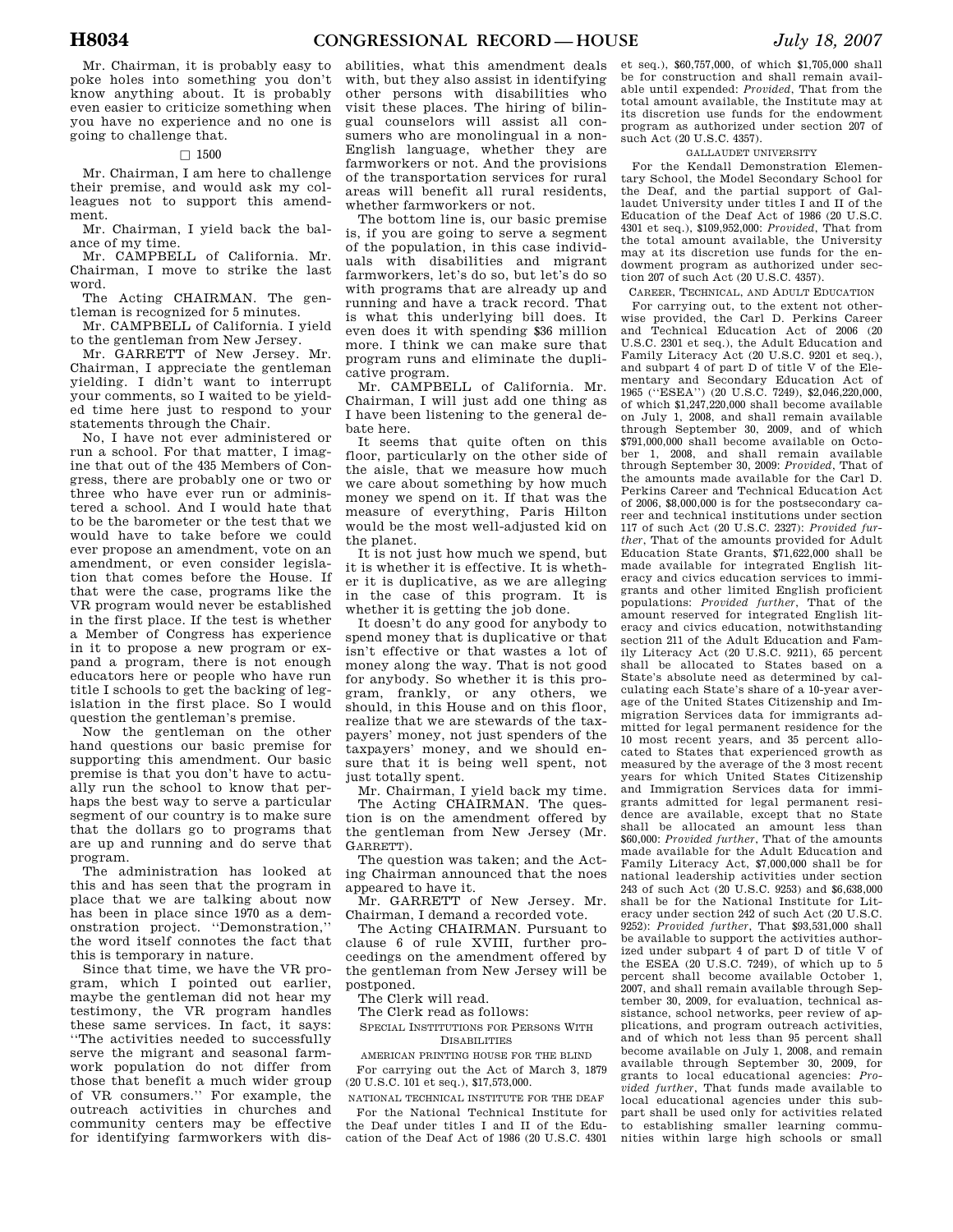Mr. Chairman, it is probably easy to poke holes into something you don't know anything about. It is probably even easier to criticize something when you have no experience and no one is going to challenge that.

## $\Box$  1500

Mr. Chairman, I am here to challenge their premise, and would ask my colleagues not to support this amendment.

Mr. Chairman, I yield back the balance of my time.

Mr. CAMPBELL of California. Mr. Chairman, I move to strike the last word.

The Acting CHAIRMAN. The gentleman is recognized for 5 minutes.

Mr. CAMPBELL of California. I yield to the gentleman from New Jersey.

Mr. GARRETT of New Jersey. Mr. Chairman, I appreciate the gentleman yielding. I didn't want to interrupt your comments, so I waited to be yielded time here just to respond to your statements through the Chair.

No, I have not ever administered or run a school. For that matter, I imagine that out of the 435 Members of Congress, there are probably one or two or three who have ever run or administered a school. And I would hate that to be the barometer or the test that we would have to take before we could ever propose an amendment, vote on an amendment, or even consider legislation that comes before the House. If that were the case, programs like the VR program would never be established in the first place. If the test is whether a Member of Congress has experience in it to propose a new program or expand a program, there is not enough educators here or people who have run title I schools to get the backing of legislation in the first place. So I would question the gentleman's premise.

Now the gentleman on the other hand questions our basic premise for supporting this amendment. Our basic premise is that you don't have to actually run the school to know that perhaps the best way to serve a particular segment of our country is to make sure that the dollars go to programs that are up and running and do serve that program.

The administration has looked at this and has seen that the program in place that we are talking about now has been in place since 1970 as a demonstration project. ''Demonstration,'' the word itself connotes the fact that this is temporary in nature.

Since that time, we have the VR program, which I pointed out earlier, maybe the gentleman did not hear my testimony, the VR program handles these same services. In fact, it says: ''The activities needed to successfully serve the migrant and seasonal farmwork population do not differ from those that benefit a much wider group of VR consumers.'' For example, the outreach activities in churches and community centers may be effective for identifying farmworkers with dis-

abilities, what this amendment deals with, but they also assist in identifying other persons with disabilities who visit these places. The hiring of bilingual counselors will assist all consumers who are monolingual in a non-English language, whether they are farmworkers or not. And the provisions of the transportation services for rural areas will benefit all rural residents, whether farmworkers or not.

The bottom line is, our basic premise is, if you are going to serve a segment of the population, in this case individuals with disabilities and migrant farmworkers, let's do so, but let's do so with programs that are already up and running and have a track record. That is what this underlying bill does. It even does it with spending \$36 million more. I think we can make sure that program runs and eliminate the duplicative program.

Mr. CAMPBELL of California. Mr. Chairman, I will just add one thing as I have been listening to the general debate here.

It seems that quite often on this floor, particularly on the other side of the aisle, that we measure how much we care about something by how much money we spend on it. If that was the measure of everything, Paris Hilton would be the most well-adjusted kid on the planet.

It is not just how much we spend, but it is whether it is effective. It is whether it is duplicative, as we are alleging in the case of this program. It is whether it is getting the job done.

It doesn't do any good for anybody to spend money that is duplicative or that isn't effective or that wastes a lot of money along the way. That is not good for anybody. So whether it is this program, frankly, or any others, we should, in this House and on this floor, realize that we are stewards of the taxpayers' money, not just spenders of the taxpayers' money, and we should ensure that it is being well spent, not just totally spent.

Mr. Chairman, I yield back my time. The Acting CHAIRMAN. The question is on the amendment offered by the gentleman from New Jersey (Mr. GARRETT).

The question was taken; and the Acting Chairman announced that the noes appeared to have it.

Mr. GARRETT of New Jersey. Mr. Chairman, I demand a recorded vote.

The Acting CHAIRMAN. Pursuant to clause 6 of rule XVIII, further proceedings on the amendment offered by the gentleman from New Jersey will be postponed.

The Clerk will read.

The Clerk read as follows:

SPECIAL INSTITUTIONS FOR PERSONS WITH DISABILITIES

AMERICAN PRINTING HOUSE FOR THE BLIND For carrying out the Act of March 3, 1879 (20 U.S.C. 101 et seq.), \$17,573,000.

NATIONAL TECHNICAL INSTITUTE FOR THE DEAF For the National Technical Institute for the Deaf under titles I and II of the Education of the Deaf Act of 1986 (20 U.S.C. 4301

et seq.), \$60,757,000, of which \$1,705,000 shall be for construction and shall remain available until expended: *Provided*, That from the total amount available, the Institute may at its discretion use funds for the endowment program as authorized under section 207 of such Act (20 U.S.C. 4357).

# GALLAUDET UNIVERSITY

For the Kendall Demonstration Elementary School, the Model Secondary School for the Deaf, and the partial support of Gallaudet University under titles I and II of the Education of the Deaf Act of 1986 (20 U.S.C. 4301 et seq.), \$109,952,000: *Provided*, That from the total amount available, the University may at its discretion use funds for the endowment program as authorized under section 207 of such Act (20 U.S.C. 4357).

CAREER, TECHNICAL, AND ADULT EDUCATION

For carrying out, to the extent not otherwise provided, the Carl D. Perkins Career and Technical Education Act of 2006 (20 U.S.C. 2301 et seq.), the Adult Education and Family Literacy Act (20 U.S.C. 9201 et seq.), and subpart 4 of part D of title V of the Elementary and Secondary Education Act of 1965 (''ESEA'') (20 U.S.C. 7249), \$2,046,220,000, of which \$1,247,220,000 shall become available on July 1, 2008, and shall remain available through September 30, 2009, and of which \$791,000,000 shall become available on October 1, 2008, and shall remain available through September 30, 2009: *Provided*, That of the amounts made available for the Carl D. Perkins Career and Technical Education Act of 2006, \$8,000,000 is for the postsecondary career and technical institutions under section 117 of such Act (20 U.S.C. 2327): *Provided further*, That of the amounts provided for Adult Education State Grants, \$71,622,000 shall be made available for integrated English literacy and civics education services to immigrants and other limited English proficient populations: *Provided further*, That of the amount reserved for integrated English literacy and civics education, notwithstanding section 211 of the Adult Education and Family Literacy Act (20 U.S.C. 9211), 65 percent shall be allocated to States based on a State's absolute need as determined by calculating each State's share of a 10-year average of the United States Citizenship and Immigration Services data for immigrants admitted for legal permanent residence for the 10 most recent years, and 35 percent allocated to States that experienced growth as measured by the average of the 3 most recent years for which United States Citizenship and Immigration Services data for immigrants admitted for legal permanent residence are available, except that no State shall be allocated an amount less than \$60,000: *Provided further*, That of the amounts made available for the Adult Education and Family Literacy Act, \$7,000,000 shall be for national leadership activities under section 243 of such Act (20 U.S.C. 9253) and \$6,638,000 shall be for the National Institute for Literacy under section 242 of such Act (20 U.S.C. 9252): *Provided further*, That \$93,531,000 shall be available to support the activities authorized under subpart 4 of part D of title V of the ESEA (20 U.S.C. 7249), of which up to 5 percent shall become available October 1, 2007, and shall remain available through September 30, 2009, for evaluation, technical assistance, school networks, peer review of applications, and program outreach activities, and of which not less than 95 percent shall become available on July 1, 2008, and remain available through September 30, 2009, for grants to local educational agencies: *Provided further*, That funds made available to local educational agencies under this subpart shall be used only for activities related to establishing smaller learning communities within large high schools or small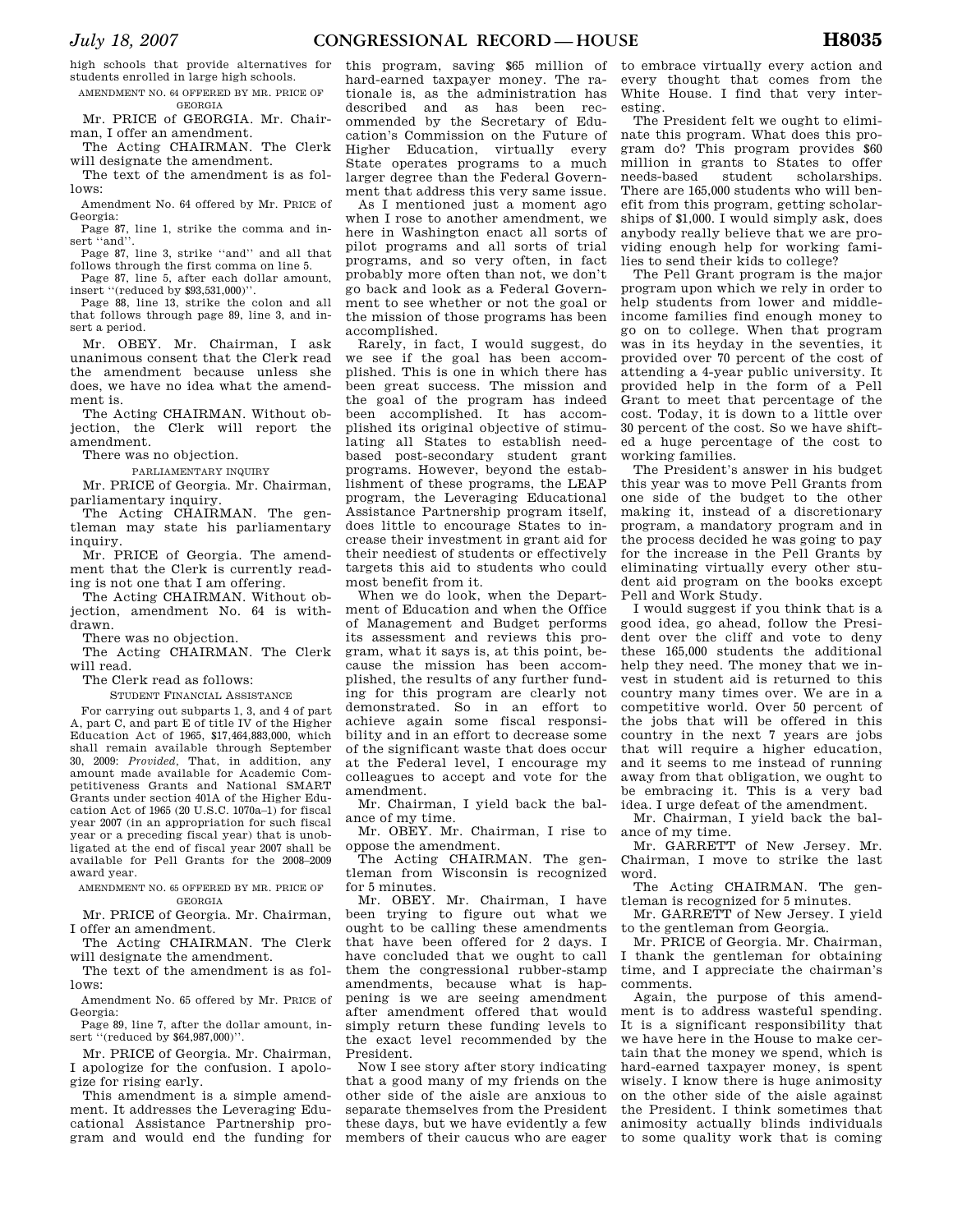high schools that provide alternatives for students enrolled in large high schools. AMENDMENT NO. 64 OFFERED BY MR. PRICE OF

# GEORGIA

Mr. PRICE of GEORGIA. Mr. Chairman, I offer an amendment.

The Acting CHAIRMAN. The Clerk will designate the amendment.

The text of the amendment is as follows:

Amendment No. 64 offered by Mr. PRICE of Georgia:

Page 87, line 1, strike the comma and insert "and"

Page 87, line 3, strike ''and'' and all that follows through the first comma on line 5.

Page 87, line 5, after each dollar amount, insert ''(reduced by \$93,531,000)''.

Page 88, line 13, strike the colon and all that follows through page 89, line 3, and insert a period.

Mr. OBEY. Mr. Chairman, I ask unanimous consent that the Clerk read the amendment because unless she does, we have no idea what the amendment is.

The Acting CHAIRMAN. Without objection, the Clerk will report the amendment.

There was no objection.

PARLIAMENTARY INQUIRY

Mr. PRICE of Georgia. Mr. Chairman, parliamentary inquiry.

The Acting CHAIRMAN. The gentleman may state his parliamentary inquiry.

Mr. PRICE of Georgia. The amendment that the Clerk is currently reading is not one that I am offering.

The Acting CHAIRMAN. Without objection, amendment No. 64 is withdrawn.

There was no objection.

The Acting CHAIRMAN. The Clerk will read.

The Clerk read as follows:

STUDENT FINANCIAL ASSISTANCE

For carrying out subparts 1, 3, and 4 of part A, part C, and part E of title IV of the Higher Education Act of 1965, \$17,464,883,000, which shall remain available through September 30, 2009: *Provided,* That, in addition, any amount made available for Academic Competitiveness Grants and National SMART Grants under section 401A of the Higher Education Act of 1965  $(20 \text{ U.S. C. } 1070a-1)$  for fiscal year 2007 (in an appropriation for such fiscal year or a preceding fiscal year) that is unobligated at the end of fiscal year 2007 shall be available for Pell Grants for the 2008–2009 award year.

AMENDMENT NO. 65 OFFERED BY MR. PRICE OF GEORGIA

Mr. PRICE of Georgia. Mr. Chairman, I offer an amendment.

The Acting CHAIRMAN. The Clerk will designate the amendment.

The text of the amendment is as follows:

Amendment No. 65 offered by Mr. PRICE of Georgia:

Page 89, line 7, after the dollar amount, insert "(reduced by \$64,987,000)".

Mr. PRICE of Georgia. Mr. Chairman, I apologize for the confusion. I apologize for rising early.

This amendment is a simple amendment. It addresses the Leveraging Educational Assistance Partnership program and would end the funding for

this program, saving \$65 million of hard-earned taxpayer money. The rationale is, as the administration has described and as has been recommended by the Secretary of Education's Commission on the Future of Higher Education, virtually every State operates programs to a much larger degree than the Federal Government that address this very same issue.

As I mentioned just a moment ago when I rose to another amendment, we here in Washington enact all sorts of pilot programs and all sorts of trial programs, and so very often, in fact probably more often than not, we don't go back and look as a Federal Government to see whether or not the goal or the mission of those programs has been accomplished.

Rarely, in fact, I would suggest, do we see if the goal has been accomplished. This is one in which there has been great success. The mission and the goal of the program has indeed been accomplished. It has accomplished its original objective of stimulating all States to establish needbased post-secondary student grant programs. However, beyond the establishment of these programs, the LEAP program, the Leveraging Educational Assistance Partnership program itself, does little to encourage States to increase their investment in grant aid for their neediest of students or effectively targets this aid to students who could most benefit from it.

When we do look, when the Department of Education and when the Office of Management and Budget performs its assessment and reviews this program, what it says is, at this point, because the mission has been accomplished, the results of any further funding for this program are clearly not demonstrated. So in an effort to achieve again some fiscal responsibility and in an effort to decrease some of the significant waste that does occur at the Federal level, I encourage my colleagues to accept and vote for the amendment.

Mr. Chairman, I yield back the balance of my time.

Mr. OBEY. Mr. Chairman, I rise to oppose the amendment.

The Acting CHAIRMAN. The gentleman from Wisconsin is recognized for 5 minutes.

Mr. OBEY. Mr. Chairman, I have been trying to figure out what we ought to be calling these amendments that have been offered for 2 days. I have concluded that we ought to call them the congressional rubber-stamp amendments, because what is happening is we are seeing amendment after amendment offered that would simply return these funding levels to the exact level recommended by the President.

Now I see story after story indicating that a good many of my friends on the other side of the aisle are anxious to separate themselves from the President these days, but we have evidently a few members of their caucus who are eager

to embrace virtually every action and every thought that comes from the White House. I find that very interesting.

The President felt we ought to eliminate this program. What does this program do? This program provides \$60 million in grants to States to offer<br>needs-based student scholarships. scholarships. There are 165,000 students who will benefit from this program, getting scholarships of \$1,000. I would simply ask, does anybody really believe that we are providing enough help for working families to send their kids to college?

The Pell Grant program is the major program upon which we rely in order to help students from lower and middleincome families find enough money to go on to college. When that program was in its heyday in the seventies, it provided over 70 percent of the cost of attending a 4-year public university. It provided help in the form of a Pell Grant to meet that percentage of the cost. Today, it is down to a little over 30 percent of the cost. So we have shifted a huge percentage of the cost to working families.

The President's answer in his budget this year was to move Pell Grants from one side of the budget to the other making it, instead of a discretionary program, a mandatory program and in the process decided he was going to pay for the increase in the Pell Grants by eliminating virtually every other student aid program on the books except Pell and Work Study.

I would suggest if you think that is a good idea, go ahead, follow the President over the cliff and vote to deny these 165,000 students the additional help they need. The money that we invest in student aid is returned to this country many times over. We are in a competitive world. Over 50 percent of the jobs that will be offered in this country in the next 7 years are jobs that will require a higher education, and it seems to me instead of running away from that obligation, we ought to be embracing it. This is a very bad idea. I urge defeat of the amendment.

Mr. Chairman, I yield back the balance of my time.

Mr. GARRETT of New Jersey. Mr. Chairman, I move to strike the last word.

The Acting CHAIRMAN. The gentleman is recognized for 5 minutes.

Mr. GARRETT of New Jersey. I yield to the gentleman from Georgia.

Mr. PRICE of Georgia. Mr. Chairman, I thank the gentleman for obtaining time, and I appreciate the chairman's comments.

Again, the purpose of this amendment is to address wasteful spending. It is a significant responsibility that we have here in the House to make certain that the money we spend, which is hard-earned taxpayer money, is spent wisely. I know there is huge animosity on the other side of the aisle against the President. I think sometimes that animosity actually blinds individuals to some quality work that is coming